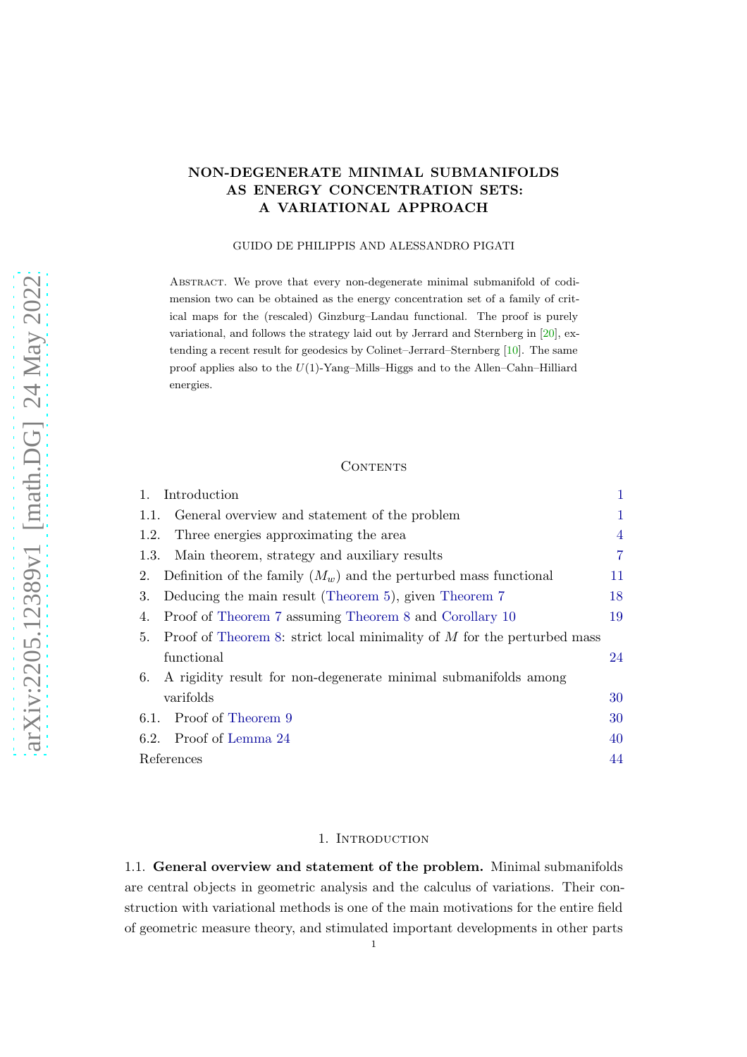## NON-DEGENERATE MINIMAL SUBMANIFOLDS AS ENERGY CONCENTRATION SETS: A VARIATIONAL APPROACH

#### GUIDO DE PHILIPPIS AND ALESSANDRO PIGATI

Abstract. We prove that every non-degenerate minimal submanifold of codimension two can be obtained as the energy concentration set of a family of critical maps for the (rescaled) Ginzburg–Landau functional. The proof is purely variational, and follows the strategy laid out by Jerrard and Sternberg in [\[20\]](#page-44-0), extending a recent result for geodesics by Colinet–Jerrard–Sternberg [\[10\]](#page-44-1). The same proof applies also to the  $U(1)$ -Yang–Mills–Higgs and to the Allen–Cahn–Hilliard energies.

## **CONTENTS**

| 1.<br>Introduction      |                                                                           | 1              |
|-------------------------|---------------------------------------------------------------------------|----------------|
| 1.1.                    | General overview and statement of the problem                             | 1              |
| 1.2.                    | Three energies approximating the area                                     | $\overline{4}$ |
| 1.3.                    | Main theorem, strategy and auxiliary results                              | 7              |
| 2.                      | Definition of the family $(M_w)$ and the perturbed mass functional        | 11             |
| 3.                      | Deducing the main result (Theorem 5), given Theorem 7                     | 18             |
| 4.                      | Proof of Theorem 7 assuming Theorem 8 and Corollary 10                    | 19             |
| 5.                      | Proof of Theorem 8: strict local minimality of $M$ for the perturbed mass |                |
| functional              |                                                                           | 24             |
| 6.                      | A rigidity result for non-degenerate minimal submanifolds among           |                |
| varifolds               |                                                                           | 30             |
| 6.1. Proof of Theorem 9 |                                                                           | 30             |
| 6.2. Proof of Lemma 24  |                                                                           | 40             |
| References              |                                                                           | 44             |

## 1. INTRODUCTION

<span id="page-0-1"></span><span id="page-0-0"></span>1.1. General overview and statement of the problem. Minimal submanifolds are central objects in geometric analysis and the calculus of variations. Their construction with variational methods is one of the main motivations for the entire field of geometric measure theory, and stimulated important developments in other parts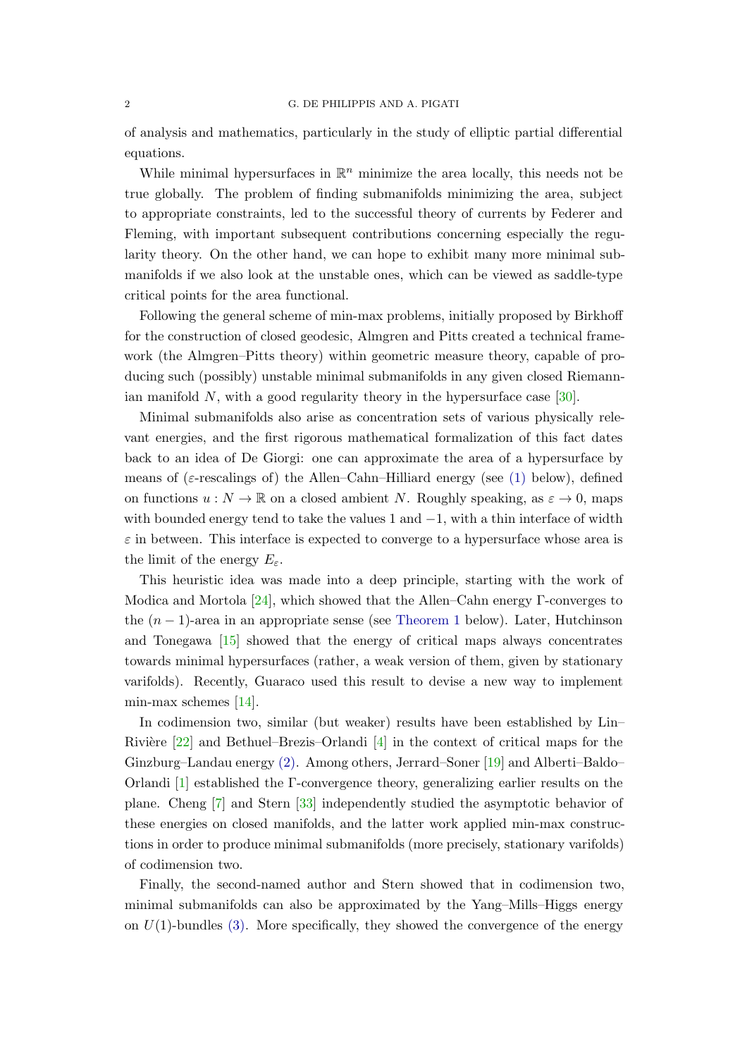## 2 G. DE PHILIPPIS AND A. PIGATI

of analysis and mathematics, particularly in the study of elliptic partial differential equations.

While minimal hypersurfaces in  $\mathbb{R}^n$  minimize the area locally, this needs not be true globally. The problem of finding submanifolds minimizing the area, subject to appropriate constraints, led to the successful theory of currents by Federer and Fleming, with important subsequent contributions concerning especially the regularity theory. On the other hand, we can hope to exhibit many more minimal submanifolds if we also look at the unstable ones, which can be viewed as saddle-type critical points for the area functional.

Following the general scheme of min-max problems, initially proposed by Birkhoff for the construction of closed geodesic, Almgren and Pitts created a technical framework (the Almgren–Pitts theory) within geometric measure theory, capable of producing such (possibly) unstable minimal submanifolds in any given closed Riemannian manifold  $N$ , with a good regularity theory in the hypersurface case  $[30]$ .

Minimal submanifolds also arise as concentration sets of various physically relevant energies, and the first rigorous mathematical formalization of this fact dates back to an idea of De Giorgi: one can approximate the area of a hypersurface by means of ( $\varepsilon$ -rescalings of) the Allen–Cahn–Hilliard energy (see [\(1\)](#page-3-1) below), defined on functions  $u : N \to \mathbb{R}$  on a closed ambient N. Roughly speaking, as  $\varepsilon \to 0$ , maps with bounded energy tend to take the values 1 and  $-1$ , with a thin interface of width  $\varepsilon$  in between. This interface is expected to converge to a hypersurface whose area is the limit of the energy  $E_{\varepsilon}$ .

This heuristic idea was made into a deep principle, starting with the work of Modica and Mortola  $[24]$ , which showed that the Allen–Cahn energy Γ-converges to the  $(n-1)$ -area in an appropriate sense (see [Theorem 1](#page-4-0) below). Later, Hutchinson and Tonegawa [\[15\]](#page-44-4) showed that the energy of critical maps always concentrates towards minimal hypersurfaces (rather, a weak version of them, given by stationary varifolds). Recently, Guaraco used this result to devise a new way to implement min-max schemes [\[14\]](#page-44-5).

In codimension two, similar (but weaker) results have been established by Lin– Rivière  $[22]$  and Bethuel–Brezis–Orlandi  $[4]$  in the context of critical maps for the Ginzburg–Landau energy [\(2\).](#page-3-2) Among others, Jerrard–Soner [\[19\]](#page-44-7) and Alberti–Baldo– Orlandi [\[1\]](#page-43-2) established the Γ-convergence theory, generalizing earlier results on the plane. Cheng [\[7\]](#page-43-3) and Stern [\[33\]](#page-45-0) independently studied the asymptotic behavior of these energies on closed manifolds, and the latter work applied min-max constructions in order to produce minimal submanifolds (more precisely, stationary varifolds) of codimension two.

Finally, the second-named author and Stern showed that in codimension two, minimal submanifolds can also be approximated by the Yang–Mills–Higgs energy on  $U(1)$ -bundles [\(3\).](#page-3-3) More specifically, they showed the convergence of the energy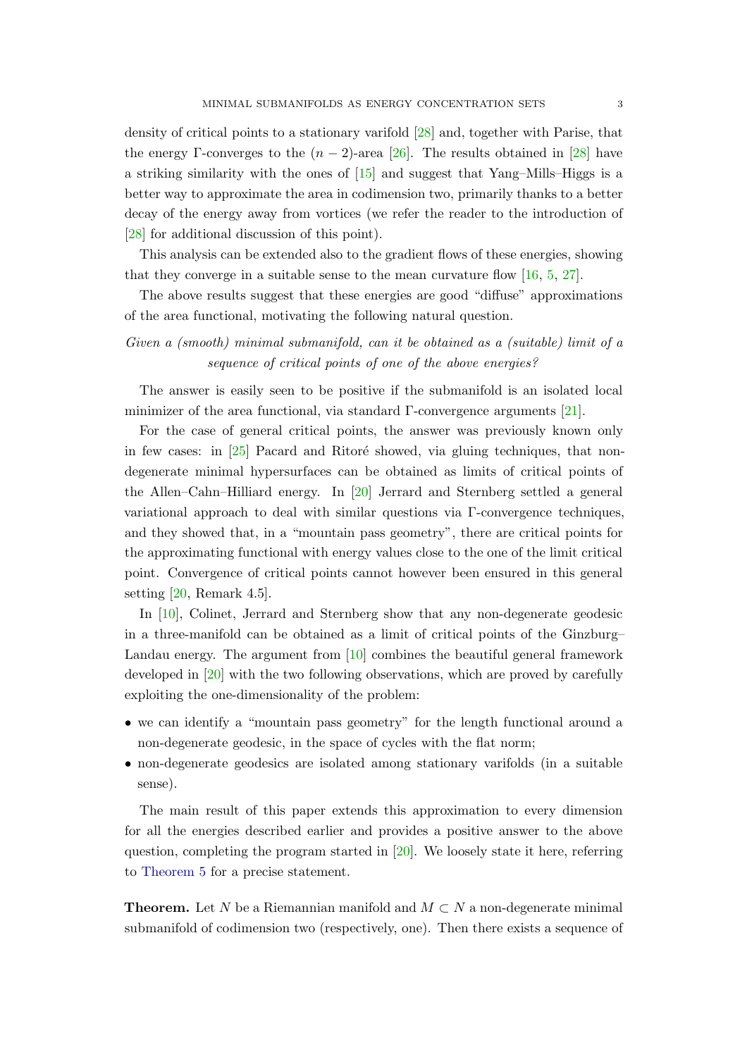density of critical points to a stationary varifold [\[28\]](#page-44-8) and, together with Parise, that the energy Γ-converges to the  $(n-2)$ -area [\[26\]](#page-44-9). The results obtained in [\[28\]](#page-44-8) have a striking similarity with the ones of  $[15]$  and suggest that Yang–Mills–Higgs is a better way to approximate the area in codimension two, primarily thanks to a better decay of the energy away from vortices (we refer the reader to the introduction of [\[28\]](#page-44-8) for additional discussion of this point).

This analysis can be extended also to the gradient flows of these energies, showing that they converge in a suitable sense to the mean curvature flow  $[16, 5, 27]$  $[16, 5, 27]$  $[16, 5, 27]$  $[16, 5, 27]$ .

The above results suggest that these energies are good "diffuse" approximations of the area functional, motivating the following natural question.

Given a (smooth) minimal submanifold, can it be obtained as a (suitable) limit of a sequence of critical points of one of the above energies?

The answer is easily seen to be positive if the submanifold is an isolated local minimizer of the area functional, via standard Γ-convergence arguments [\[21\]](#page-44-12).

For the case of general critical points, the answer was previously known only in few cases: in  $[25]$  Pacard and Ritoré showed, via gluing techniques, that nondegenerate minimal hypersurfaces can be obtained as limits of critical points of the Allen–Cahn–Hilliard energy. In [\[20\]](#page-44-0) Jerrard and Sternberg settled a general variational approach to deal with similar questions via Γ-convergence techniques, and they showed that, in a "mountain pass geometry", there are critical points for the approximating functional with energy values close to the one of the limit critical point. Convergence of critical points cannot however been ensured in this general setting  $[20,$  Remark 4.5.

In [\[10\]](#page-44-1), Colinet, Jerrard and Sternberg show that any non-degenerate geodesic in a three-manifold can be obtained as a limit of critical points of the Ginzburg– Landau energy. The argument from [\[10\]](#page-44-1) combines the beautiful general framework developed in [\[20\]](#page-44-0) with the two following observations, which are proved by carefully exploiting the one-dimensionality of the problem:

- we can identify a "mountain pass geometry" for the length functional around a non-degenerate geodesic, in the space of cycles with the flat norm;
- non-degenerate geodesics are isolated among stationary varifolds (in a suitable sense).

The main result of this paper extends this approximation to every dimension for all the energies described earlier and provides a positive answer to the above question, completing the program started in  $[20]$ . We loosely state it here, referring to [Theorem 5](#page-6-1) for a precise statement.

**Theorem.** Let N be a Riemannian manifold and  $M \subset N$  a non-degenerate minimal submanifold of codimension two (respectively, one). Then there exists a sequence of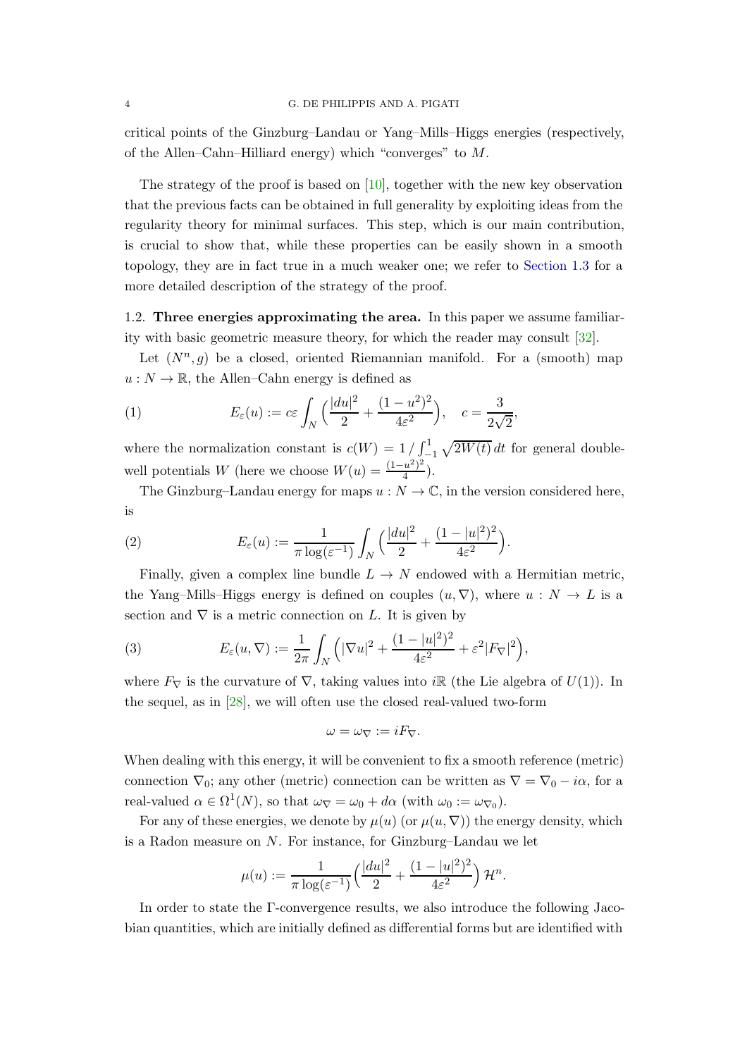critical points of the Ginzburg–Landau or Yang–Mills–Higgs energies (respectively, of the Allen–Cahn–Hilliard energy) which "converges" to  $M$ .

The strategy of the proof is based on [\[10\]](#page-44-1), together with the new key observation that the previous facts can be obtained in full generality by exploiting ideas from the regularity theory for minimal surfaces. This step, which is our main contribution, is crucial to show that, while these properties can be easily shown in a smooth topology, they are in fact true in a much weaker one; we refer to [Section 1.3](#page-6-0) for a more detailed description of the strategy of the proof.

<span id="page-3-0"></span>1.2. Three energies approximating the area. In this paper we assume familiarity with basic geometric measure theory, for which the reader may consult [\[32\]](#page-45-1).

Let  $(N^n, g)$  be a closed, oriented Riemannian manifold. For a (smooth) map  $u: N \to \mathbb{R}$ , the Allen–Cahn energy is defined as

<span id="page-3-1"></span>(1) 
$$
E_{\varepsilon}(u) := c\varepsilon \int_N \left( \frac{|du|^2}{2} + \frac{(1-u^2)^2}{4\varepsilon^2} \right), \quad c = \frac{3}{2\sqrt{2}},
$$

where the normalization constant is  $c(W) = 1 / \int_{1}^{1} \sqrt{2W(t)} dt$  for general doublewell potentials W (here we choose  $W(u) = \frac{(1-u^2)^2}{4}$  $\frac{u^-)^{-}}{4}$ ).

The Ginzburg–Landau energy for maps  $u : N \to \mathbb{C}$ , in the version considered here, is

<span id="page-3-2"></span>(2) 
$$
E_{\varepsilon}(u) := \frac{1}{\pi \log(\varepsilon^{-1})} \int_{N} \Big( \frac{|du|^{2}}{2} + \frac{(1-|u|^{2})^{2}}{4\varepsilon^{2}} \Big).
$$

Finally, given a complex line bundle  $L \to N$  endowed with a Hermitian metric, the Yang–Mills–Higgs energy is defined on couples  $(u, \nabla)$ , where  $u : N \to L$  is a section and  $\nabla$  is a metric connection on L. It is given by

<span id="page-3-3"></span>(3) 
$$
E_{\varepsilon}(u,\nabla) := \frac{1}{2\pi} \int_{N} \left( |\nabla u|^{2} + \frac{(1-|u|^{2})^{2}}{4\varepsilon^{2}} + \varepsilon^{2} |F_{\nabla}|^{2} \right),
$$

where  $F_{\nabla}$  is the curvature of  $\nabla$ , taking values into iR (the Lie algebra of  $U(1)$ ). In the sequel, as in [\[28\]](#page-44-8), we will often use the closed real-valued two-form

$$
\omega=\omega_{\nabla}:=iF_{\nabla}.
$$

When dealing with this energy, it will be convenient to fix a smooth reference (metric) connection  $\nabla_0$ ; any other (metric) connection can be written as  $\nabla = \nabla_0 - i\alpha$ , for a real-valued  $\alpha \in \Omega^1(N)$ , so that  $\omega_{\nabla} = \omega_0 + d\alpha$  (with  $\omega_0 := \omega_{\nabla_0}$ ).

For any of these energies, we denote by  $\mu(u)$  (or  $\mu(u, \nabla)$ ) the energy density, which is a Radon measure on N. For instance, for Ginzburg–Landau we let

$$
\mu(u) := \frac{1}{\pi \log(\varepsilon^{-1})} \left( \frac{|du|^2}{2} + \frac{(1 - |u|^2)^2}{4\varepsilon^2} \right) \mathcal{H}^n.
$$

In order to state the Γ-convergence results, we also introduce the following Jacobian quantities, which are initially defined as differential forms but are identified with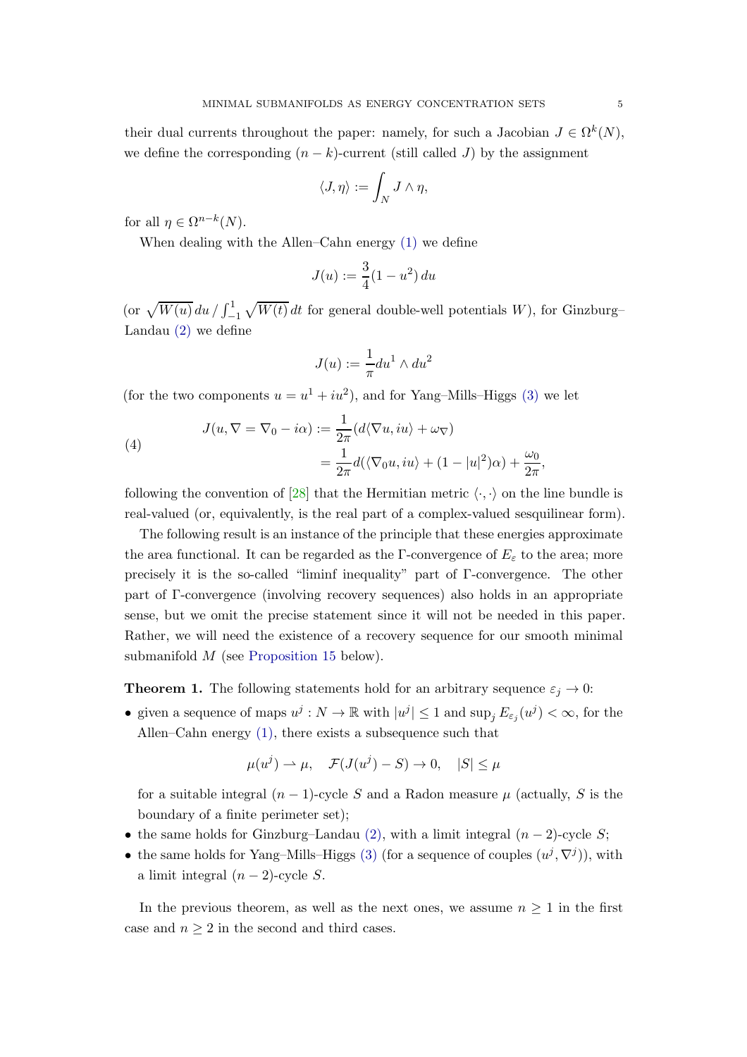their dual currents throughout the paper: namely, for such a Jacobian  $J \in \Omega^k(N)$ , we define the corresponding  $(n - k)$ -current (still called J) by the assignment

$$
\langle J,\eta\rangle:=\int_N J\wedge\eta,
$$

for all  $\eta \in \Omega^{n-k}(N)$ .

When dealing with the Allen–Cahn energy [\(1\)](#page-3-1) we define

$$
J(u) := \frac{3}{4}(1 - u^2) du
$$

(or  $\sqrt{W(u)} du / \int_{-1}^{1} \sqrt{W(t)} dt$  for general double-well potentials W), for Ginzburg– Landau [\(2\)](#page-3-2) we define

$$
J(u) := \frac{1}{\pi} du^1 \wedge du^2
$$

(for the two components  $u = u^1 + iu^2$ ), and for Yang-Mills–Higgs [\(3\)](#page-3-3) we let

<span id="page-4-1"></span>(4)  

$$
J(u, \nabla = \nabla_0 - i\alpha) := \frac{1}{2\pi} (d\langle \nabla u, iu \rangle + \omega_{\nabla})
$$

$$
= \frac{1}{2\pi} d(\langle \nabla_0 u, iu \rangle + (1 - |u|^2)\alpha) + \frac{\omega_0}{2\pi},
$$

following the convention of [\[28\]](#page-44-8) that the Hermitian metric  $\langle \cdot, \cdot \rangle$  on the line bundle is real-valued (or, equivalently, is the real part of a complex-valued sesquilinear form).

The following result is an instance of the principle that these energies approximate the area functional. It can be regarded as the Γ-convergence of  $E<sub>\varepsilon</sub>$  to the area; more precisely it is the so-called "liminf inequality" part of Γ-convergence. The other part of Γ-convergence (involving recovery sequences) also holds in an appropriate sense, but we omit the precise statement since it will not be needed in this paper. Rather, we will need the existence of a recovery sequence for our smooth minimal submanifold M (see [Proposition 15](#page-11-0) below).

<span id="page-4-0"></span>**Theorem 1.** The following statements hold for an arbitrary sequence  $\varepsilon_j \to 0$ :

• given a sequence of maps  $u^j : N \to \mathbb{R}$  with  $|u^j| \leq 1$  and  $\sup_j E_{\varepsilon_j}(u^j) < \infty$ , for the Allen–Cahn energy [\(1\),](#page-3-1) there exists a subsequence such that

$$
\mu(u^j) \to \mu, \quad \mathcal{F}(J(u^j) - S) \to 0, \quad |S| \le \mu
$$

for a suitable integral  $(n-1)$ -cycle S and a Radon measure  $\mu$  (actually, S is the boundary of a finite perimeter set);

- the same holds for Ginzburg–Landau [\(2\),](#page-3-2) with a limit integral  $(n-2)$ -cycle S;
- the same holds for Yang–Mills–Higgs [\(3\)](#page-3-3) (for a sequence of couples  $(u^j, \nabla^j)$ ), with a limit integral  $(n-2)$ -cycle S.

In the previous theorem, as well as the next ones, we assume  $n \geq 1$  in the first case and  $n \geq 2$  in the second and third cases.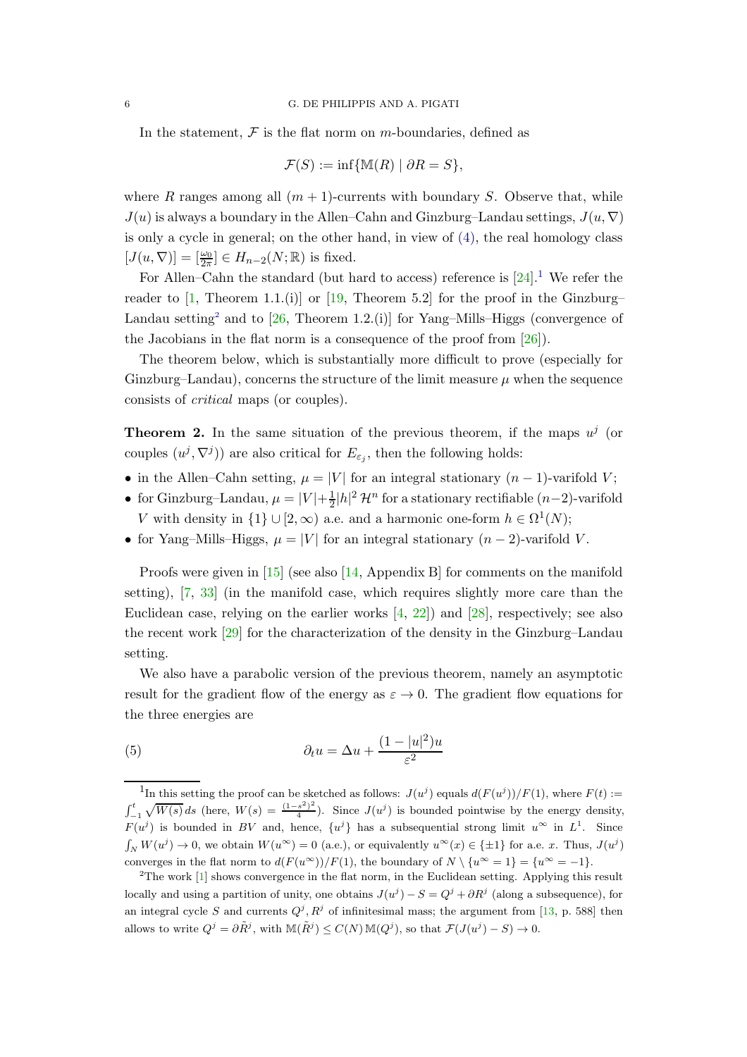In the statement,  $\mathcal F$  is the flat norm on m-boundaries, defined as

$$
\mathcal{F}(S) := \inf \{ \mathbb{M}(R) \mid \partial R = S \},\
$$

where R ranges among all  $(m + 1)$ -currents with boundary S. Observe that, while  $J(u)$  is always a boundary in the Allen–Cahn and Ginzburg–Landau settings,  $J(u, \nabla)$ is only a cycle in general; on the other hand, in view of [\(4\),](#page-4-1) the real homology class  $[J(u, \nabla)] = [\frac{\omega_0}{2\pi}] \in H_{n-2}(N; \mathbb{R})$  is fixed.

For Allen–Cahn the standard (but hard to access) reference is  $[24].<sup>1</sup>$  $[24].<sup>1</sup>$  $[24].<sup>1</sup>$  We refer the reader to [\[1,](#page-43-2) Theorem 1.1.(i)] or [\[19,](#page-44-7) Theorem 5.2] for the proof in the Ginzburg– Landau setting<sup>[2](#page-5-1)</sup> and to  $[26,$  Theorem 1.2.(i)] for Yang–Mills–Higgs (convergence of the Jacobians in the flat norm is a consequence of the proof from [\[26\]](#page-44-9)).

The theorem below, which is substantially more difficult to prove (especially for Ginzburg–Landau), concerns the structure of the limit measure  $\mu$  when the sequence consists of critical maps (or couples).

**Theorem 2.** In the same situation of the previous theorem, if the maps  $u^j$  (or couples  $(u^j, \nabla^j)$  are also critical for  $E_{\varepsilon_j}$ , then the following holds:

- in the Allen–Cahn setting,  $\mu = |V|$  for an integral stationary  $(n-1)$ -varifold V;
- for Ginzburg–Landau,  $\mu = |V| + \frac{1}{2}$  $\frac{1}{2}|h|^2 \mathcal{H}^n$  for a stationary rectifiable  $(n-2)$ -varifold V with density in  $\{1\} \cup [2, \infty)$  a.e. and a harmonic one-form  $h \in \Omega^1(N)$ ;
- for Yang–Mills–Higgs,  $\mu = |V|$  for an integral stationary  $(n-2)$ -varifold V.

Proofs were given in [\[15\]](#page-44-4) (see also [\[14,](#page-44-5) Appendix B] for comments on the manifold setting), [\[7,](#page-43-3) [33\]](#page-45-0) (in the manifold case, which requires slightly more care than the Euclidean case, relying on the earlier works [\[4,](#page-43-1) [22\]](#page-44-6)) and [\[28\]](#page-44-8), respectively; see also the recent work [\[29\]](#page-44-14) for the characterization of the density in the Ginzburg–Landau setting.

We also have a parabolic version of the previous theorem, namely an asymptotic result for the gradient flow of the energy as  $\varepsilon \to 0$ . The gradient flow equations for the three energies are

<span id="page-5-2"></span>(5) 
$$
\partial_t u = \Delta u + \frac{(1 - |u|^2)u}{\varepsilon^2}
$$

<span id="page-5-0"></span><sup>&</sup>lt;sup>1</sup>In this setting the proof can be sketched as follows:  $J(u^j)$  equals  $d(F(u^j))/F(1)$ , where  $F(t) :=$  $\int_{-1}^{t} \sqrt{W(s)} ds$  (here,  $W(s) = \frac{(1-s^2)^2}{4}$  $\frac{s^2}{4}$ ). Since  $J(u^j)$  is bounded pointwise by the energy density,  $F(u^{j})$  is bounded in BV and, hence,  $\{u^{j}\}\$  has a subsequential strong limit  $u^{\infty}$  in  $L^{1}$ . Since  $\int_N W(u^j) \to 0$ , we obtain  $W(u^{\infty}) = 0$  (a.e.), or equivalently  $u^{\infty}(x) \in \{\pm 1\}$  for a.e. x. Thus,  $J(u^j)$ converges in the flat norm to  $d(F(u^{\infty}))/F(1)$ , the boundary of  $N \setminus \{u^{\infty} = 1\} = \{u^{\infty} = -1\}.$ 

<span id="page-5-1"></span><sup>2</sup>The work [\[1\]](#page-43-2) shows convergence in the flat norm, in the Euclidean setting. Applying this result locally and using a partition of unity, one obtains  $J(u^{j}) - S = Q^{j} + \partial R^{j}$  (along a subsequence), for an integral cycle S and currents  $Q^j$ ,  $R^j$  of infinitesimal mass; the argument from [\[13,](#page-44-15) p. 588] then allows to write  $Q^j = \partial \tilde{R}^j$ , with  $\mathbb{M}(\tilde{R}^j) \leq C(N) \mathbb{M}(Q^j)$ , so that  $\mathcal{F}(J(u^j) - S) \to 0$ .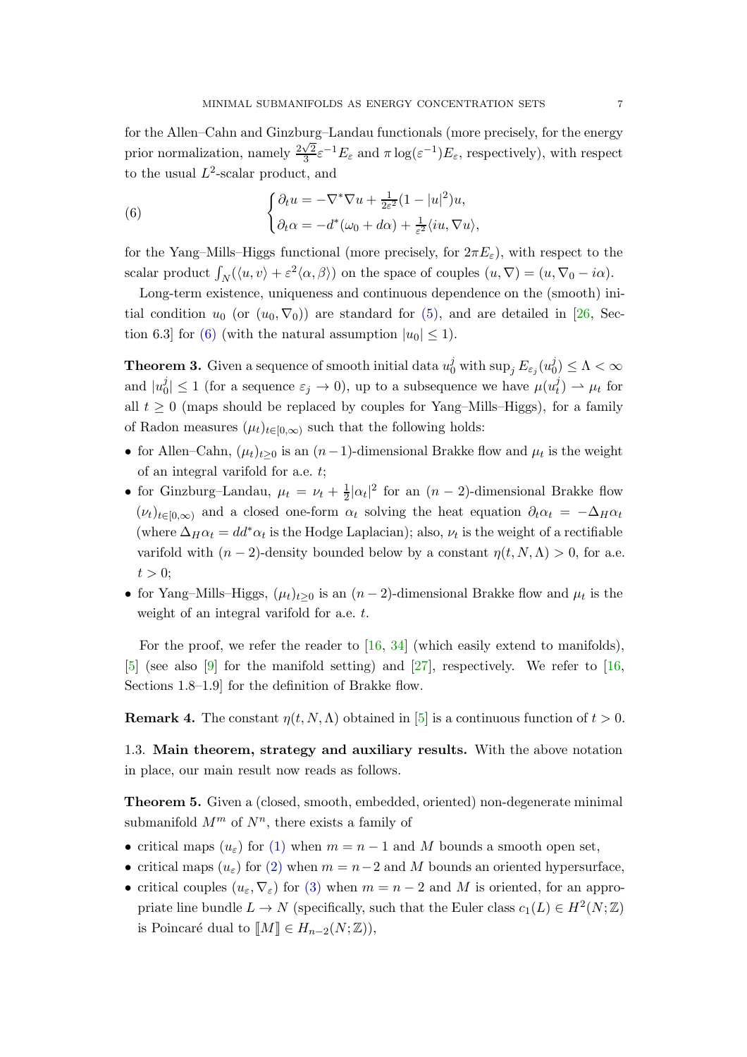for the Allen–Cahn and Ginzburg–Landau functionals (more precisely, for the energy prior normalization, namely  $\frac{2\sqrt{2}}{3}$  $\frac{\sqrt{2}}{3}\varepsilon^{-1}E_{\varepsilon}$  and  $\pi \log(\varepsilon^{-1})E_{\varepsilon}$ , respectively), with respect to the usual  $L^2$ -scalar product, and

<span id="page-6-2"></span>(6) 
$$
\begin{cases} \partial_t u = -\nabla^* \nabla u + \frac{1}{2\varepsilon^2} (1 - |u|^2) u, \\ \partial_t \alpha = -d^* (\omega_0 + d\alpha) + \frac{1}{\varepsilon^2} \langle i u, \nabla u \rangle, \end{cases}
$$

for the Yang–Mills–Higgs functional (more precisely, for  $2\pi E_{\varepsilon}$ ), with respect to the scalar product  $\int_N(\langle u, v \rangle + \varepsilon^2 \langle \alpha, \beta \rangle)$  on the space of couples  $(u, \nabla) = (u, \nabla_0 - i\alpha)$ .

Long-term existence, uniqueness and continuous dependence on the (smooth) initial condition  $u_0$  (or  $(u_0, \nabla_0)$ ) are standard for [\(5\),](#page-5-2) and are detailed in [\[26,](#page-44-9) Sec-tion 6.3] for [\(6\)](#page-6-2) (with the natural assumption  $|u_0| \leq 1$ ).

<span id="page-6-3"></span>**Theorem 3.** Given a sequence of smooth initial data  $u_0^j$  with  $\sup_j E_{\varepsilon_j}(u_0^j)$  $\binom{J}{0} \leq \Lambda < \infty$ and  $|u_0^j$  $|j_0|^j \leq 1$  (for a sequence  $\varepsilon_j \to 0$ ), up to a subsequence we have  $\mu(u_t^j)$  $\mu_t^{(j)} \to \mu_t$  for all  $t \geq 0$  (maps should be replaced by couples for Yang–Mills–Higgs), for a family of Radon measures  $(\mu_t)_{t \in [0,\infty)}$  such that the following holds:

- for Allen–Cahn,  $(\mu_t)_{t\geq 0}$  is an  $(n-1)$ -dimensional Brakke flow and  $\mu_t$  is the weight of an integral varifold for a.e. t;
- for Ginzburg–Landau,  $\mu_t = \nu_t + \frac{1}{2}$  $\frac{1}{2}|\alpha_t|^2$  for an  $(n-2)$ -dimensional Brakke flow  $(\nu_t)_{t\in[0,\infty)}$  and a closed one-form  $\alpha_t$  solving the heat equation  $\partial_t \alpha_t = -\Delta_H \alpha_t$ (where  $\Delta_H \alpha_t = dd^* \alpha_t$  is the Hodge Laplacian); also,  $\nu_t$  is the weight of a rectifiable varifold with  $(n-2)$ -density bounded below by a constant  $\eta(t, N, \Lambda) > 0$ , for a.e.  $t > 0$ :
- for Yang–Mills–Higgs,  $(\mu_t)_{t\geq 0}$  is an  $(n-2)$ -dimensional Brakke flow and  $\mu_t$  is the weight of an integral varifold for a.e. t.

For the proof, we refer the reader to [\[16,](#page-44-10) [34\]](#page-45-2) (which easily extend to manifolds), [\[5\]](#page-43-4) (see also [\[9\]](#page-43-5) for the manifold setting) and [\[27\]](#page-44-11), respectively. We refer to [\[16,](#page-44-10) Sections 1.8–1.9] for the definition of Brakke flow.

<span id="page-6-0"></span>**Remark 4.** The constant  $\eta(t, N, \Lambda)$  obtained in [\[5\]](#page-43-4) is a continuous function of  $t > 0$ .

<span id="page-6-1"></span>1.3. Main theorem, strategy and auxiliary results. With the above notation in place, our main result now reads as follows.

Theorem 5. Given a (closed, smooth, embedded, oriented) non-degenerate minimal submanifold  $M^m$  of  $N^n$ , there exists a family of

- critical maps  $(u_{\varepsilon})$  for [\(1\)](#page-3-1) when  $m = n 1$  and M bounds a smooth open set,
- critical maps  $(u_{\varepsilon})$  for  $(2)$  when  $m = n-2$  and M bounds an oriented hypersurface,
- critical couples  $(u_\varepsilon, \nabla_\varepsilon)$  for [\(3\)](#page-3-3) when  $m = n 2$  and M is oriented, for an appropriate line bundle  $L \to N$  (specifically, such that the Euler class  $c_1(L) \in H^2(N; \mathbb{Z})$ is Poincaré dual to  $\llbracket M \rrbracket \in H_{n-2}(N;\mathbb{Z}),$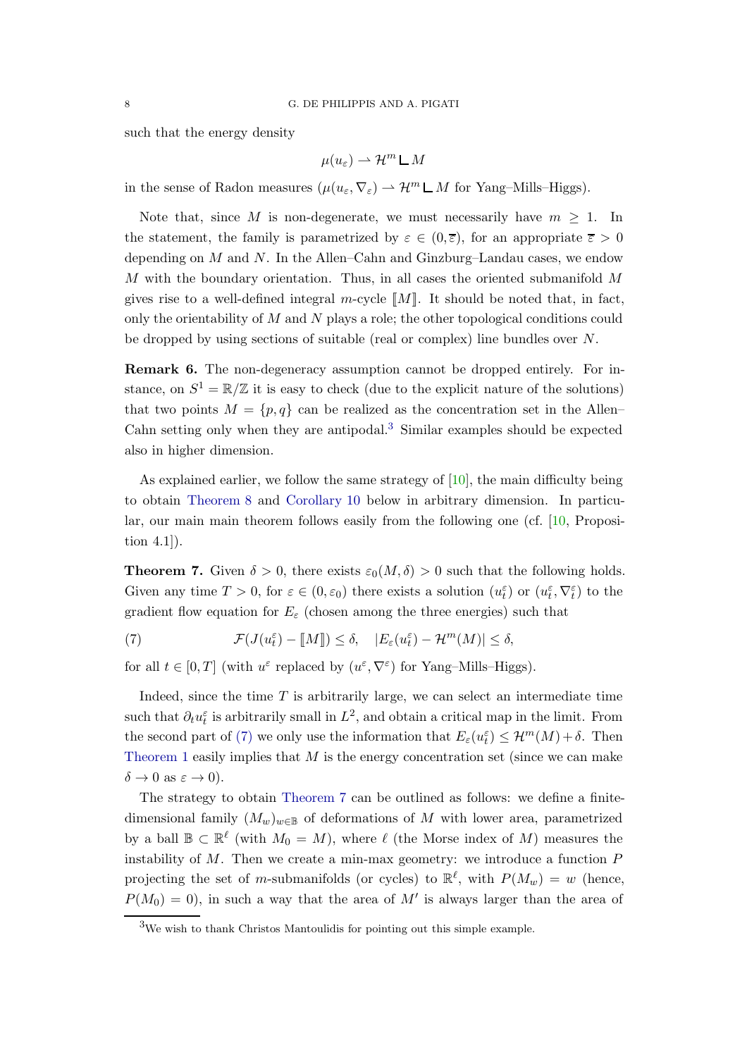such that the energy density

$$
\mu(u_{\varepsilon}) \rightharpoonup \mathcal{H}^m \mathsf{L} \, M
$$

in the sense of Radon measures  $(\mu(u_{\varepsilon}, \nabla_{\varepsilon}) \to \mathcal{H}^m \mathsf{L} M$  for Yang–Mills–Higgs).

Note that, since M is non-degenerate, we must necessarily have  $m \geq 1$ . In the statement, the family is parametrized by  $\varepsilon \in (0,\overline{\varepsilon})$ , for an appropriate  $\overline{\varepsilon} > 0$ depending on  $M$  and  $N$ . In the Allen–Cahn and Ginzburg–Landau cases, we endow M with the boundary orientation. Thus, in all cases the oriented submanifold  $M$ gives rise to a well-defined integral m-cycle  $\llbracket M \rrbracket$ . It should be noted that, in fact, only the orientability of  $M$  and  $N$  plays a role; the other topological conditions could be dropped by using sections of suitable (real or complex) line bundles over N.

Remark 6. The non-degeneracy assumption cannot be dropped entirely. For instance, on  $S^1 = \mathbb{R}/\mathbb{Z}$  it is easy to check (due to the explicit nature of the solutions) that two points  $M = \{p, q\}$  can be realized as the concentration set in the Allen– Cahn setting only when they are antipodal.<sup>[3](#page-7-1)</sup> Similar examples should be expected also in higher dimension.

As explained earlier, we follow the same strategy of  $[10]$ , the main difficulty being to obtain [Theorem 8](#page-8-0) and [Corollary 10](#page-9-0) below in arbitrary dimension. In particular, our main main theorem follows easily from the following one (cf. [\[10,](#page-44-1) Proposition 4.1]).

<span id="page-7-0"></span>**Theorem 7.** Given  $\delta > 0$ , there exists  $\varepsilon_0(M, \delta) > 0$  such that the following holds. Given any time  $T > 0$ , for  $\varepsilon \in (0, \varepsilon_0)$  there exists a solution  $(u_t^{\varepsilon})$  or  $(u_t^{\varepsilon}, \nabla_t^{\varepsilon})$  to the gradient flow equation for  $E_{\varepsilon}$  (chosen among the three energies) such that

<span id="page-7-2"></span>(7) 
$$
\mathcal{F}(J(u_t^{\varepsilon}) - [\![M]\!]) \leq \delta, \quad |E_{\varepsilon}(u_t^{\varepsilon}) - \mathcal{H}^m(M)| \leq \delta,
$$

for all  $t \in [0, T]$  (with  $u^{\varepsilon}$  replaced by  $(u^{\varepsilon}, \nabla^{\varepsilon})$  for Yang-Mills-Higgs).

Indeed, since the time  $T$  is arbitrarily large, we can select an intermediate time such that  $\partial_t u_t^{\varepsilon}$  is arbitrarily small in  $L^2$ , and obtain a critical map in the limit. From the second part of [\(7\)](#page-7-2) we only use the information that  $E_{\varepsilon}(u_{t}^{\varepsilon}) \leq \mathcal{H}^{m}(M) + \delta$ . Then [Theorem 1](#page-4-0) easily implies that  $M$  is the energy concentration set (since we can make  $\delta \to 0$  as  $\varepsilon \to 0$ ).

The strategy to obtain [Theorem 7](#page-7-0) can be outlined as follows: we define a finitedimensional family  $(M_w)_{w\in\mathbb{B}}$  of deformations of M with lower area, parametrized by a ball  $\mathbb{B} \subset \mathbb{R}^{\ell}$  (with  $M_0 = M$ ), where  $\ell$  (the Morse index of M) measures the instability of  $M$ . Then we create a min-max geometry: we introduce a function  $P$ projecting the set of m-submanifolds (or cycles) to  $\mathbb{R}^{\ell}$ , with  $P(M_w) = w$  (hence,  $P(M_0) = 0$ , in such a way that the area of M' is always larger than the area of

<span id="page-7-1"></span><sup>3</sup>We wish to thank Christos Mantoulidis for pointing out this simple example.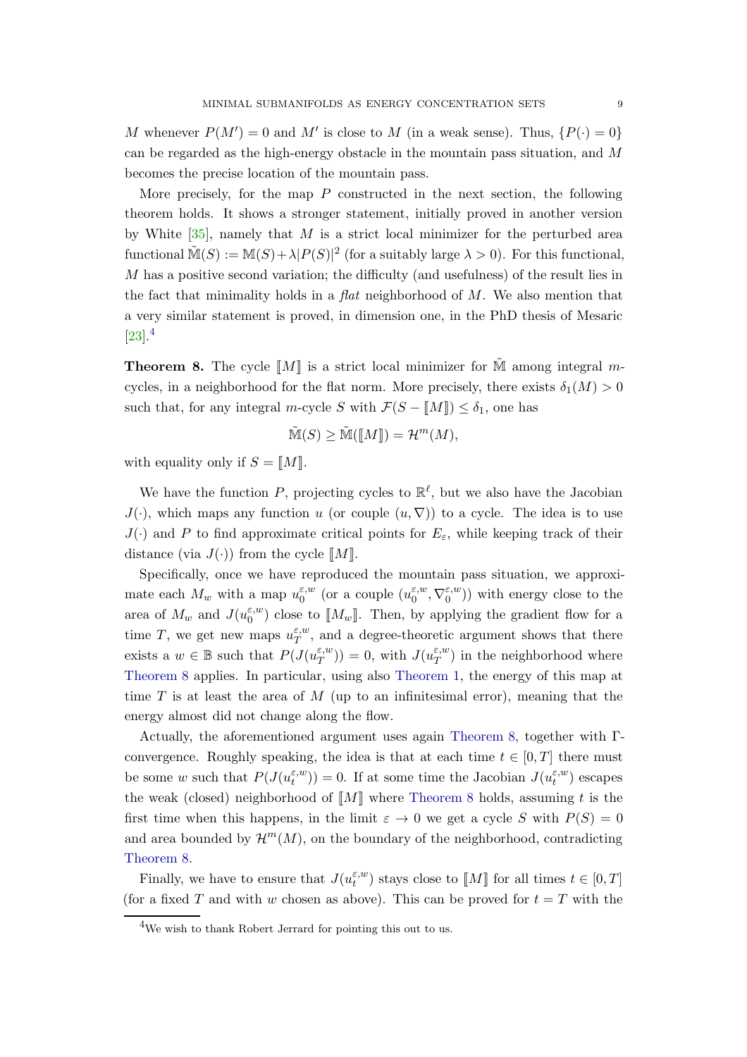M whenever  $P(M') = 0$  and M' is close to M (in a weak sense). Thus,  $\{P(\cdot) = 0\}$ can be regarded as the high-energy obstacle in the mountain pass situation, and  $M$ becomes the precise location of the mountain pass.

More precisely, for the map  $P$  constructed in the next section, the following theorem holds. It shows a stronger statement, initially proved in another version by White  $[35]$ , namely that M is a strict local minimizer for the perturbed area functional  $\tilde{M}(S) := M(S) + \lambda |P(S)|^2$  (for a suitably large  $\lambda > 0$ ). For this functional,  $M$  has a positive second variation; the difficulty (and usefulness) of the result lies in the fact that minimality holds in a *flat* neighborhood of  $M$ . We also mention that a very similar statement is proved, in dimension one, in the PhD thesis of Mesaric  $[23]$ <sup>[4](#page-8-1)</sup>

<span id="page-8-0"></span>**Theorem 8.** The cycle  $\llbracket M \rrbracket$  is a strict local minimizer for  $\tilde{M}$  among integral mcycles, in a neighborhood for the flat norm. More precisely, there exists  $\delta_1(M) > 0$ such that, for any integral m-cycle S with  $\mathcal{F}(S - M\|) \leq \delta_1$ , one has

$$
\tilde{\mathbb{M}}(S) \ge \tilde{\mathbb{M}}(\llbracket M \rrbracket) = \mathcal{H}^m(M),
$$

with equality only if  $S = M\mathbb{I}$ .

We have the function P, projecting cycles to  $\mathbb{R}^{\ell}$ , but we also have the Jacobian  $J(\cdot)$ , which maps any function u (or couple  $(u, \nabla)$ ) to a cycle. The idea is to use  $J(\cdot)$  and P to find approximate critical points for  $E_{\varepsilon}$ , while keeping track of their distance (via  $J(\cdot)$ ) from the cycle  $\llbracket M \rrbracket$ .

Specifically, once we have reproduced the mountain pass situation, we approximate each  $M_w$  with a map  $u_0^{\varepsilon,w}$  $_0^{\varepsilon,w}$  (or a couple  $(u_0^{\varepsilon,w})$  $_{0}^{\varepsilon,w},\nabla_{0}^{\varepsilon,w}$  $\binom{\varepsilon, w}{0}$ ) with energy close to the area of  $M_w$  and  $J(u_0^{\varepsilon,w})$  $\binom{1}{0}$  close to  $\llbracket M_w \rrbracket$ . Then, by applying the gradient flow for a time T, we get new maps  $u_T^{\varepsilon,w}$  $T^{\varepsilon,w}_{T}$ , and a degree-theoretic argument shows that there exists a  $w \in \mathbb{B}$  such that  $P(J(u_T^{\varepsilon,w})$  $(T^{\\\varepsilon,w}_{T})=0$ , with  $J(u_{T}^{\varepsilon,w})$  $(T<sup>E,w</sup>)$  in the neighborhood where [Theorem 8](#page-8-0) applies. In particular, using also [Theorem 1,](#page-4-0) the energy of this map at time  $T$  is at least the area of  $M$  (up to an infinitesimal error), meaning that the energy almost did not change along the flow.

Actually, the aforementioned argument uses again [Theorem 8,](#page-8-0) together with Γconvergence. Roughly speaking, the idea is that at each time  $t \in [0, T]$  there must be some w such that  $P(J(u_t^{\varepsilon,w}))$  $(t_t^{(\varepsilon,w)}) = 0$ . If at some time the Jacobian  $J(u_t^{\varepsilon,w})$  $\binom{e,w}{t}$  escapes the weak (closed) neighborhood of  $\llbracket M \rrbracket$  where [Theorem 8](#page-8-0) holds, assuming t is the first time when this happens, in the limit  $\varepsilon \to 0$  we get a cycle S with  $P(S) = 0$ and area bounded by  $\mathcal{H}^m(M)$ , on the boundary of the neighborhood, contradicting [Theorem 8.](#page-8-0)

Finally, we have to ensure that  $J(u_t^{\varepsilon,w})$  $\mathcal{L}_t^{(w)}$  stays close to  $\llbracket M \rrbracket$  for all times  $t \in [0, T]$ (for a fixed T and with w chosen as above). This can be proved for  $t = T$  with the

<span id="page-8-1"></span><sup>4</sup>We wish to thank Robert Jerrard for pointing this out to us.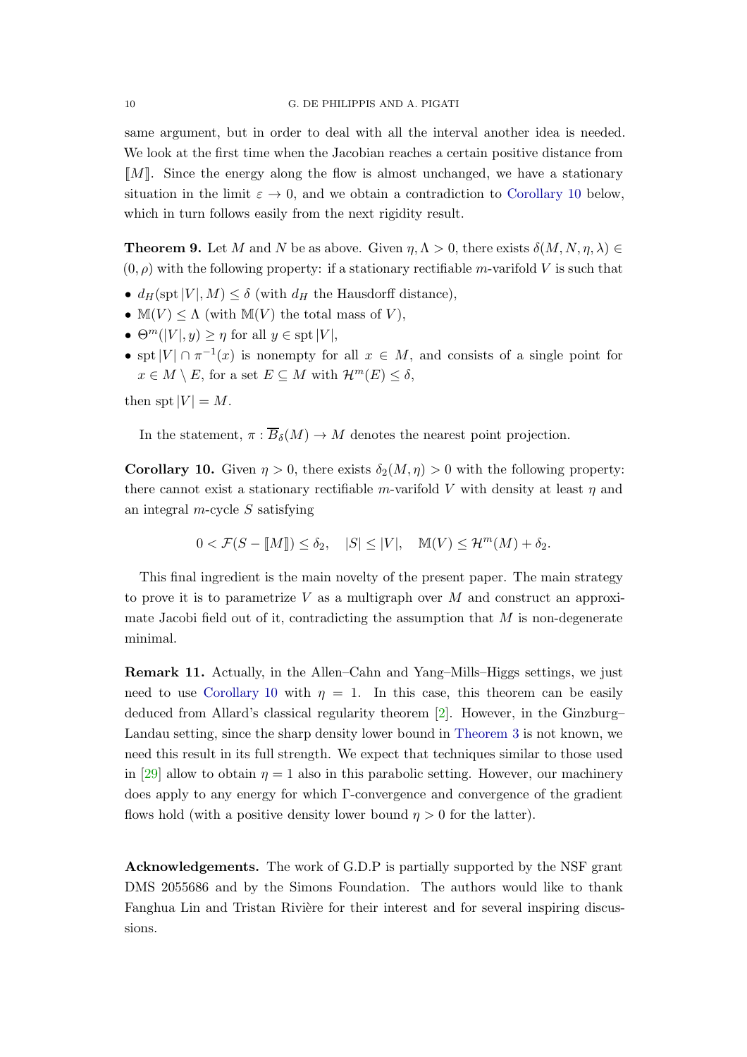same argument, but in order to deal with all the interval another idea is needed. We look at the first time when the Jacobian reaches a certain positive distance from  $\llbracket M \rrbracket$ . Since the energy along the flow is almost unchanged, we have a stationary situation in the limit  $\varepsilon \to 0$ , and we obtain a contradiction to [Corollary 10](#page-9-0) below, which in turn follows easily from the next rigidity result.

<span id="page-9-1"></span>**Theorem 9.** Let M and N be as above. Given  $\eta, \Lambda > 0$ , there exists  $\delta(M, N, \eta, \lambda) \in$  $(0, \rho)$  with the following property: if a stationary rectifiable m-varifold V is such that

- $d_H(\text{spt}|V|, M) \leq \delta$  (with  $d_H$  the Hausdorff distance),
- $\mathbb{M}(V) \leq \Lambda$  (with  $\mathbb{M}(V)$  the total mass of V),
- $\Theta^m(|V|, y) \geq \eta$  for all  $y \in \text{spt}|V|$ ,
- spt  $|V| \cap \pi^{-1}(x)$  is nonempty for all  $x \in M$ , and consists of a single point for  $x \in M \setminus E$ , for a set  $E \subseteq M$  with  $\mathcal{H}^m(E) \leq \delta$ ,

then spt  $|V| = M$ .

<span id="page-9-0"></span>In the statement,  $\pi : \overline{B}_{\delta}(M) \to M$  denotes the nearest point projection.

**Corollary 10.** Given  $\eta > 0$ , there exists  $\delta_2(M, \eta) > 0$  with the following property: there cannot exist a stationary rectifiable m-varifold V with density at least  $\eta$  and an integral  $m$ -cycle  $S$  satisfying

$$
0 < \mathcal{F}(S - \llbracket M \rrbracket) \le \delta_2, \quad |S| \le |V|, \quad \mathbb{M}(V) \le \mathcal{H}^m(M) + \delta_2.
$$

This final ingredient is the main novelty of the present paper. The main strategy to prove it is to parametrize V as a multigraph over M and construct an approximate Jacobi field out of it, contradicting the assumption that  $M$  is non-degenerate minimal.

Remark 11. Actually, in the Allen–Cahn and Yang–Mills–Higgs settings, we just need to use [Corollary 10](#page-9-0) with  $\eta = 1$ . In this case, this theorem can be easily deduced from Allard's classical regularity theorem [\[2\]](#page-43-6). However, in the Ginzburg– Landau setting, since the sharp density lower bound in [Theorem 3](#page-6-3) is not known, we need this result in its full strength. We expect that techniques similar to those used in [\[29\]](#page-44-14) allow to obtain  $\eta = 1$  also in this parabolic setting. However, our machinery does apply to any energy for which Γ-convergence and convergence of the gradient flows hold (with a positive density lower bound  $\eta > 0$  for the latter).

Acknowledgements. The work of G.D.P is partially supported by the NSF grant DMS 2055686 and by the Simons Foundation. The authors would like to thank Fanghua Lin and Tristan Rivière for their interest and for several inspiring discussions.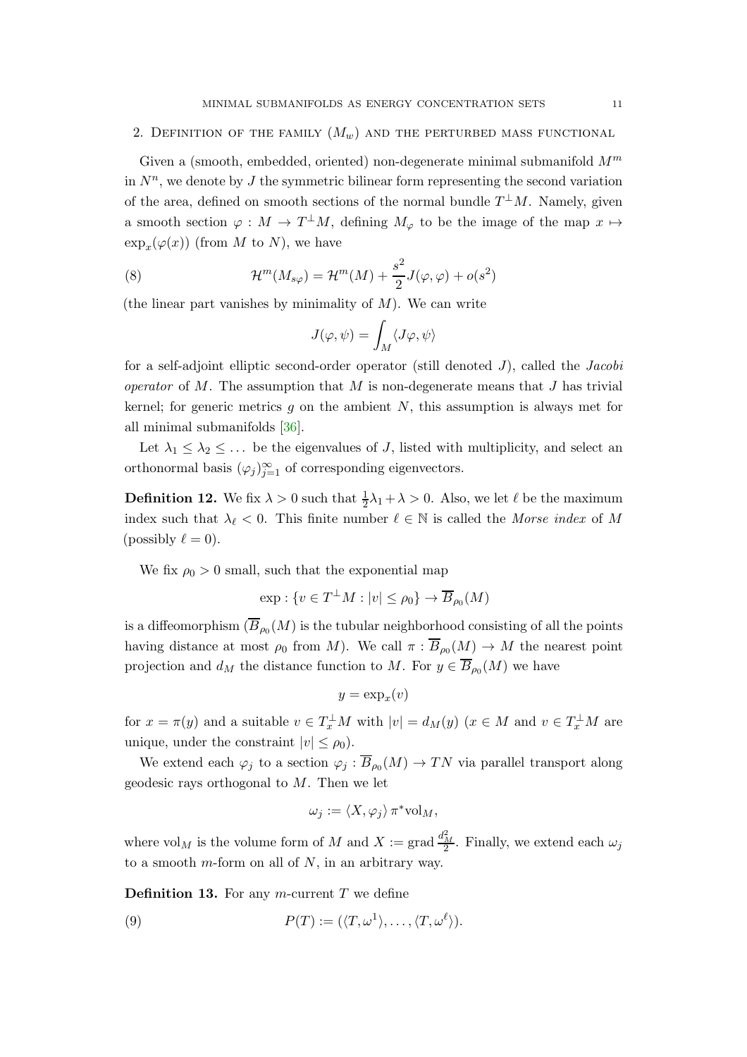## <span id="page-10-0"></span>2. DEFINITION OF THE FAMILY  $(M_w)$  and the perturbed mass functional

Given a (smooth, embedded, oriented) non-degenerate minimal submanifold  $M^m$ in  $N^n$ , we denote by J the symmetric bilinear form representing the second variation of the area, defined on smooth sections of the normal bundle  $T^{\perp}M$ . Namely, given a smooth section  $\varphi : M \to T^{\perp}M$ , defining  $M_{\varphi}$  to be the image of the map  $x \mapsto$  $\exp_x(\varphi(x))$  (from M to N), we have

<span id="page-10-1"></span>(8) 
$$
\mathcal{H}^m(M_{s\varphi}) = \mathcal{H}^m(M) + \frac{s^2}{2}J(\varphi,\varphi) + o(s^2)
$$

(the linear part vanishes by minimality of  $M$ ). We can write

$$
J(\varphi,\psi)=\int_M\langle J\varphi,\psi\rangle
$$

for a self-adjoint elliptic second-order operator (still denoted  $J$ ), called the *Jacobi* operator of M. The assumption that M is non-degenerate means that J has trivial kernel; for generic metrics  $q$  on the ambient  $N$ , this assumption is always met for all minimal submanifolds [\[36\]](#page-45-4).

Let  $\lambda_1 \leq \lambda_2 \leq \ldots$  be the eigenvalues of J, listed with multiplicity, and select an orthonormal basis  $(\varphi_j)_{j=1}^{\infty}$  of corresponding eigenvectors.

**Definition 12.** We fix  $\lambda > 0$  such that  $\frac{1}{2}\lambda_1 + \lambda > 0$ . Also, we let  $\ell$  be the maximum index such that  $\lambda_{\ell} < 0$ . This finite number  $\ell \in \mathbb{N}$  is called the Morse index of M (possibly  $\ell = 0$ ).

We fix  $\rho_0 > 0$  small, such that the exponential map

$$
\exp: \{v \in T^{\perp}M : |v| \le \rho_0\} \to \overline{B}_{\rho_0}(M)
$$

is a diffeomorphism  $(B_{\rho_0}(M)$  is the tubular neighborhood consisting of all the points having distance at most  $\rho_0$  from M). We call  $\pi: B_{\rho_0}(M) \to M$  the nearest point projection and  $d_M$  the distance function to M. For  $y \in B_{\rho_0}(M)$  we have

$$
y = \exp_x(v)
$$

for  $x = \pi(y)$  and a suitable  $v \in T_x^{\perp}M$  with  $|v| = d_M(y)$   $(x \in M$  and  $v \in T_x^{\perp}M$  are unique, under the constraint  $|v| \leq \rho_0$ .

We extend each  $\varphi_j$  to a section  $\varphi_j : B_{\rho_0}(M) \to TN$  via parallel transport along geodesic rays orthogonal to  $M$ . Then we let

$$
\omega_j := \langle X, \varphi_j \rangle \, \pi^* \mathrm{vol}_M,
$$

where  $\mathrm{vol}_M$  is the volume form of M and  $X := \text{grad }\frac{d_M^2}{2}$ . Finally, we extend each  $\omega_j$ to a smooth  $m$ -form on all of  $N$ , in an arbitrary way.

**Definition 13.** For any m-current  $T$  we define

<span id="page-10-2"></span>(9) 
$$
P(T) := (\langle T, \omega^1 \rangle, \dots, \langle T, \omega^\ell \rangle).
$$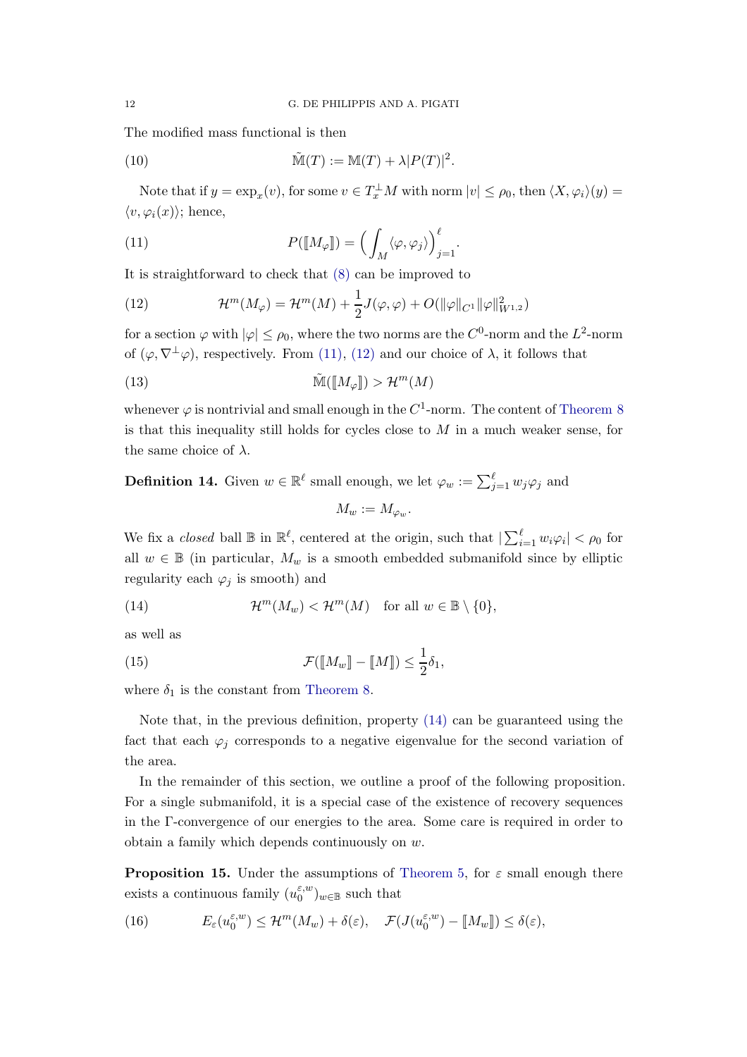The modified mass functional is then

(10) 
$$
\widetilde{\mathbb{M}}(T) := \mathbb{M}(T) + \lambda |P(T)|^2.
$$

Note that if  $y = \exp_x(v)$ , for some  $v \in T_x^{\perp}M$  with norm  $|v| \le \rho_0$ , then  $\langle X, \varphi_i \rangle(y) =$  $\langle v, \varphi_i(x)\rangle$ ; hence,

<span id="page-11-1"></span>(11) 
$$
P([\![M_{\varphi}]\!]) = \left(\int_M \langle \varphi, \varphi_j \rangle\right)_{j=1}^{\ell}.
$$

It is straightforward to check that [\(8\)](#page-10-1) can be improved to

<span id="page-11-2"></span>(12) 
$$
\mathcal{H}^m(M_{\varphi}) = \mathcal{H}^m(M) + \frac{1}{2}J(\varphi,\varphi) + O(||\varphi||_{C^1} ||\varphi||_{W^{1,2}}^2)
$$

for a section  $\varphi$  with  $|\varphi| \leq \rho_0$ , where the two norms are the  $C^0$ -norm and the  $L^2$ -norm of  $(\varphi, \nabla^{\perp} \varphi)$ , respectively. From [\(11\),](#page-11-1) [\(12\)](#page-11-2) and our choice of  $\lambda$ , it follows that

<span id="page-11-6"></span>(13) 
$$
\widetilde{\mathbb{M}}(\llbracket M_{\varphi} \rrbracket) > \mathcal{H}^m(M)
$$

whenever  $\varphi$  is nontrivial and small enough in the  $C^1$ -norm. The content of [Theorem 8](#page-8-0) is that this inequality still holds for cycles close to  $M$  in a much weaker sense, for the same choice of  $\lambda$ .

# **Definition 14.** Given  $w \in \mathbb{R}^{\ell}$  small enough, we let  $\varphi_w := \sum_{j=1}^{\ell} w_j \varphi_j$  and  $M_w := M_{\omega_w}$ .

We fix a *closed* ball  $\mathbb{B}$  in  $\mathbb{R}^{\ell}$ , centered at the origin, such that  $|\sum_{i=1}^{\ell} w_i \varphi_i| < \rho_0$  for all  $w \in \mathbb{B}$  (in particular,  $M_w$  is a smooth embedded submanifold since by elliptic regularity each  $\varphi_j$  is smooth) and

<span id="page-11-3"></span>(14) 
$$
\mathcal{H}^m(M_w) < \mathcal{H}^m(M) \quad \text{for all } w \in \mathbb{B} \setminus \{0\},
$$

as well as

<span id="page-11-5"></span>(15) 
$$
\mathcal{F}(\llbracket M_w \rrbracket - \llbracket M \rrbracket) \leq \frac{1}{2} \delta_1,
$$

where  $\delta_1$  is the constant from [Theorem 8.](#page-8-0)

Note that, in the previous definition, property [\(14\)](#page-11-3) can be guaranteed using the fact that each  $\varphi_j$  corresponds to a negative eigenvalue for the second variation of the area.

In the remainder of this section, we outline a proof of the following proposition. For a single submanifold, it is a special case of the existence of recovery sequences in the Γ-convergence of our energies to the area. Some care is required in order to obtain a family which depends continuously on w.

<span id="page-11-0"></span>**Proposition 15.** Under the assumptions of [Theorem 5,](#page-6-1) for  $\varepsilon$  small enough there exists a continuous family  $(u_0^{\varepsilon,w})$  $_{0}^{\varepsilon,w}$ <sub>0</sub> we such that

<span id="page-11-4"></span>(16) 
$$
E_{\varepsilon}(u_0^{\varepsilon,w}) \leq \mathcal{H}^m(M_w) + \delta(\varepsilon), \quad \mathcal{F}(J(u_0^{\varepsilon,w}) - [M_w]) \leq \delta(\varepsilon),
$$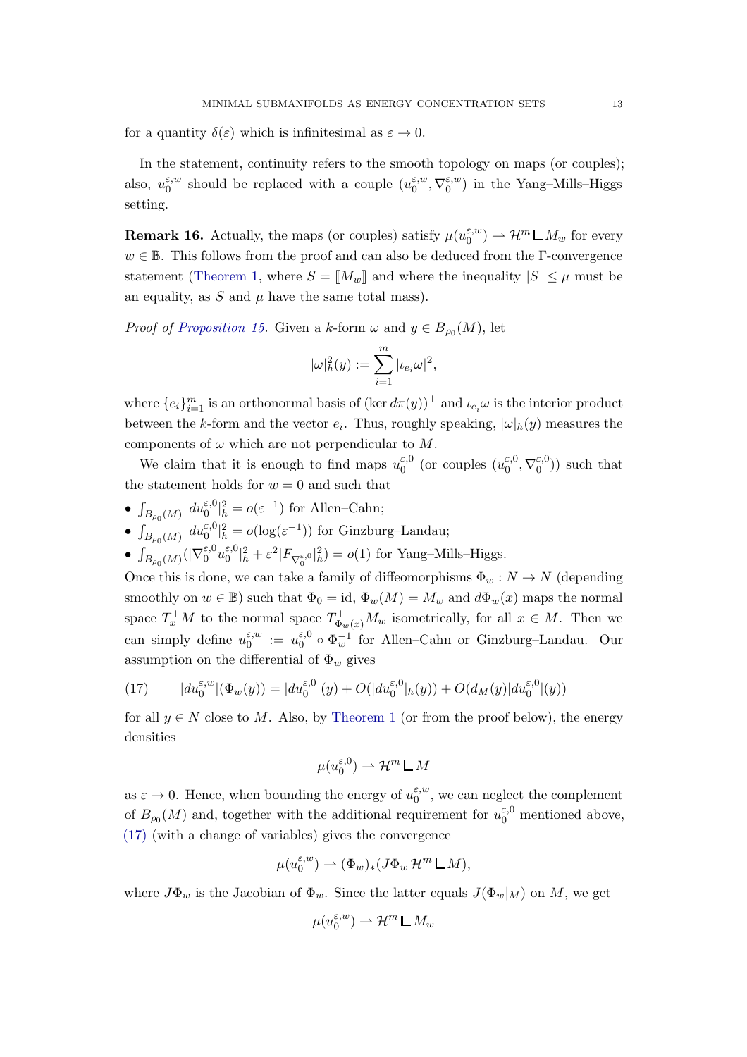for a quantity  $\delta(\varepsilon)$  which is infinitesimal as  $\varepsilon \to 0$ .

In the statement, continuity refers to the smooth topology on maps (or couples); also,  $u_0^{\varepsilon,w}$  $\int_0^{\varepsilon,w}$  should be replaced with a couple  $(u_0^{\varepsilon,w})$  $_{0}^{\varepsilon,w},\nabla_{0}^{\varepsilon,w}$  $_{0}^{\varepsilon,w}$ ) in the Yang-Mills-Higgs setting.

<span id="page-12-1"></span>**Remark 16.** Actually, the maps (or couples) satisfy  $\mu(u_0^{\varepsilon,w})$  $\binom{\varepsilon, w}{0} \rightharpoonup \mathcal{H}^m \mathsf{L} M_w$  for every  $w \in \mathbb{B}$ . This follows from the proof and can also be deduced from the Γ-convergence statement [\(Theorem 1,](#page-4-0) where  $S = M_w \mathbb{R}$  and where the inequality  $|S| \leq \mu$  must be an equality, as  $S$  and  $\mu$  have the same total mass).

*Proof of [Proposition 15.](#page-11-0)* Given a k-form  $\omega$  and  $y \in B_{\rho_0}(M)$ , let

$$
|\omega|_h^2(y):=\sum_{i=1}^m |\iota_{e_i}\omega|^2,
$$

where  $\{e_i\}_{i=1}^m$  is an orthonormal basis of  $(\ker d\pi(y))^{\perp}$  and  $\iota_{e_i}\omega$  is the interior product between the k-form and the vector  $e_i$ . Thus, roughly speaking,  $|\omega|_h(y)$  measures the components of  $\omega$  which are not perpendicular to M.

We claim that it is enough to find maps  $u_0^{\varepsilon,0}$  $_{0}^{\varepsilon,0}$  (or couples  $(u_{0}^{\varepsilon,0})$  $_{0}^{\varepsilon,0},\nabla_{0}^{\varepsilon,0}$  $\binom{1}{0}$  such that the statement holds for  $w = 0$  and such that

- $\int_{B_{\rho_0}(M)} |du_0^{\varepsilon,0}|_h^2 = o(\varepsilon^{-1})$  for Allen–Cahn;
- $\int_{B_{\rho_0}(M)} |du_0^{\varepsilon,0}|_h^2 = o(\log(\varepsilon^{-1}))$  for Ginzburg–Landau;

 $\bullet$   $\int_{B_{\rho_0}(M)}(|\nabla_0^{\varepsilon,0}u_0^{\varepsilon,0}$  $\varepsilon,0 \vert_h^2 + \varepsilon^2 \vert F_{\nabla_0^{\varepsilon,0}} \vert_h^2) = o(1)$  for Yang-Mills–Higgs.

Once this is done, we can take a family of diffeomorphisms  $\Phi_w : N \to N$  (depending smoothly on  $w \in \mathbb{B}$ ) such that  $\Phi_0 = id$ ,  $\Phi_w(M) = M_w$  and  $d\Phi_w(x)$  maps the normal space  $T_x^{\perp}M$  to the normal space  $T_{\Phi_w(x)}^{\perp}M_w$  isometrically, for all  $x \in M$ . Then we can simply define  $u_0^{\varepsilon,w}$  $\begin{array}{c} \varepsilon, w \ 0 \end{array} := u_0^{\varepsilon, 0}$  $\epsilon_0^{0} \circ \Phi_w^{-1}$  for Allen–Cahn or Ginzburg–Landau. Our assumption on the differential of  $\Phi_w$  gives

<span id="page-12-0"></span>(17) 
$$
|du_0^{\varepsilon,w}|(\Phi_w(y))| = |du_0^{\varepsilon,0}|(y) + O(|du_0^{\varepsilon,0}|_h(y)) + O(d_M(y)|du_0^{\varepsilon,0}|(y))
$$

for all  $y \in N$  close to M. Also, by [Theorem 1](#page-4-0) (or from the proof below), the energy densities

$$
\mu(u_0^{\varepsilon,0}) \rightharpoonup \mathcal{H}^m \sqcup M
$$

as  $\varepsilon \to 0$ . Hence, when bounding the energy of  $u_0^{\varepsilon,w}$  $_{0}^{\epsilon,w}$ , we can neglect the complement of  $B_{\rho_0}(M)$  and, together with the additional requirement for  $u_0^{\varepsilon,0}$  mentioned above, [\(17\)](#page-12-0) (with a change of variables) gives the convergence

$$
\mu(u_0^{\varepsilon,w}) \rightharpoonup (\Phi_w)_*(J\Phi_w \mathcal{H}^m \mathsf{L} M),
$$

where  $J\Phi_w$  is the Jacobian of  $\Phi_w$ . Since the latter equals  $J(\Phi_w|_M)$  on M, we get

$$
\mu(u_0^{\varepsilon,w}) \rightharpoonup \mathcal{H}^m \mathop{\mathsf{L}}\nolimits M_w
$$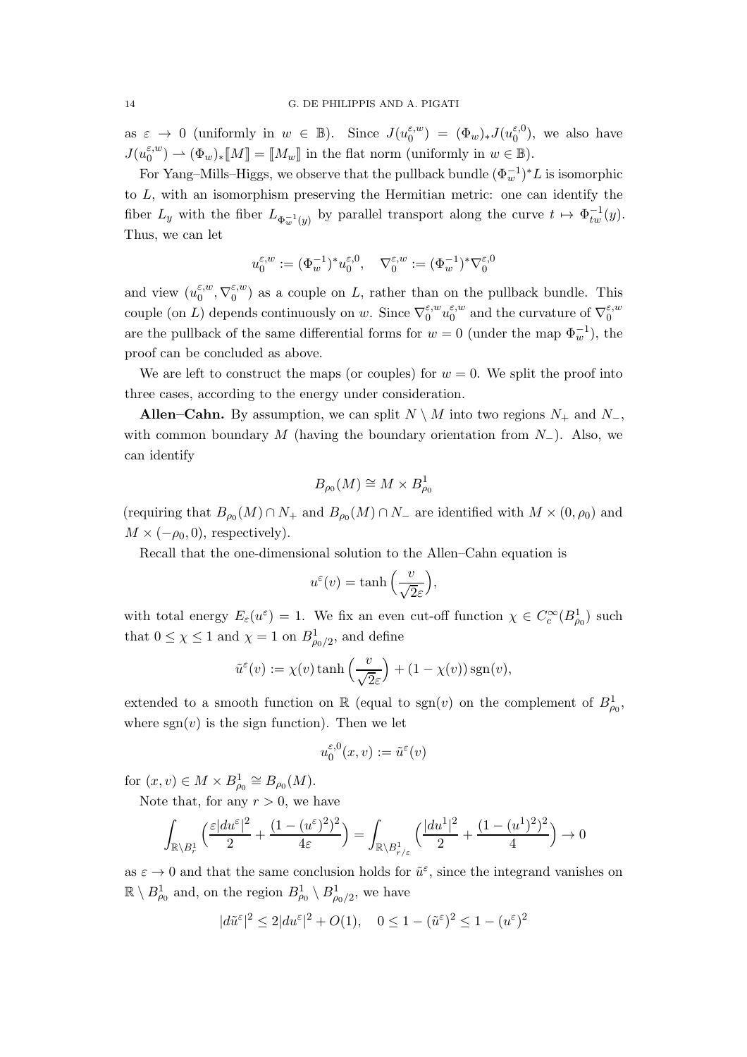as  $\varepsilon \to 0$  (uniformly in  $w \in \mathbb{B}$ ). Since  $J(u_0^{\varepsilon,w})$  $\begin{array}{lcl} \epsilon, w \ 0 \end{array} \big) \; = \; (\Phi_w)_* J (u_0^{\varepsilon,0})$  $_0^{\epsilon,0}$ , we also have  $J(u_0^{\varepsilon,w})$  $\mathcal{L}_0^{(\varepsilon,w)} \rightharpoonup (\Phi_w)_* \llbracket M \rrbracket = \llbracket M_w \rrbracket$  in the flat norm (uniformly in  $w \in \mathbb{B}$ ).

For Yang–Mills–Higgs, we observe that the pullback bundle  $(\Phi_w^{-1})^* L$  is isomorphic to L, with an isomorphism preserving the Hermitian metric: one can identify the fiber  $L_y$  with the fiber  $L_{\Phi_w^{-1}(y)}$  by parallel transport along the curve  $t \mapsto \Phi_{tw}^{-1}(y)$ . Thus, we can let

$$
u_0^{\varepsilon,w}:=(\Phi_w^{-1})^*u_0^{\varepsilon,0},\quad \nabla_0^{\varepsilon,w}:=(\Phi_w^{-1})^*\nabla_0^{\varepsilon,0}
$$

and view  $(u_0^{\varepsilon,w})$  $_{0}^{\varepsilon,w},\nabla_{0}^{\varepsilon,w}$  $\binom{\varepsilon, w}{0}$  as a couple on L, rather than on the pullback bundle. This couple (on L) depends continuously on w. Since  $\nabla_0^{\varepsilon,w}$  $\zeta_{0}^{w}u_{0}^{\varepsilon,w}$  $_{0}^{\varepsilon,w}$  and the curvature of  $\nabla_{0}^{\varepsilon,w}$ 0 are the pullback of the same differential forms for  $w = 0$  (under the map  $\Phi_w^{-1}$ ), the proof can be concluded as above.

We are left to construct the maps (or couples) for  $w = 0$ . We split the proof into three cases, according to the energy under consideration.

Allen–Cahn. By assumption, we can split  $N \setminus M$  into two regions  $N_+$  and  $N_-$ , with common boundary M (having the boundary orientation from  $N_$ ). Also, we can identify

$$
B_{\rho_0}(M) \cong M \times B^1_{\rho_0}
$$

(requiring that  $B_{\rho_0}(M) \cap N_+$  and  $B_{\rho_0}(M) \cap N_-$  are identified with  $M \times (0, \rho_0)$  and  $M \times (-\rho_0, 0)$ , respectively).

Recall that the one-dimensional solution to the Allen–Cahn equation is

$$
u^{\varepsilon}(v) = \tanh\left(\frac{v}{\sqrt{2}\varepsilon}\right),\,
$$

with total energy  $E_{\varepsilon}(u^{\varepsilon}) = 1$ . We fix an even cut-off function  $\chi \in C_c^{\infty}(B_{\rho_0}^1)$  such that  $0 \leq \chi \leq 1$  and  $\chi = 1$  on  $B^1_{\rho_0/2}$ , and define

$$
\tilde{u}^{\varepsilon}(v) := \chi(v) \tanh\left(\frac{v}{\sqrt{2}\varepsilon}\right) + (1 - \chi(v)) \operatorname{sgn}(v),
$$

extended to a smooth function on  $\mathbb R$  (equal to  $sgn(v)$  on the complement of  $B_{\rho_0}^1$ , where  $sgn(v)$  is the sign function). Then we let

$$
u_0^{\varepsilon,0}(x,v) := \tilde{u}^{\varepsilon}(v)
$$

for  $(x, v) \in M \times B^1_{\rho_0} \cong B_{\rho_0}(M)$ .

Note that, for any  $r > 0$ , we have

$$
\int_{\mathbb{R}\backslash B^1_r} \Big(\frac{\varepsilon |du^{\varepsilon}|^2}{2} + \frac{(1-(u^{\varepsilon})^2)^2}{4\varepsilon}\Big) = \int_{\mathbb{R}\backslash B^1_{r/\varepsilon}} \Big(\frac{|du^1|^2}{2} + \frac{(1-(u^1)^2)^2}{4}\Big) \rightarrow 0
$$

as  $\varepsilon \to 0$  and that the same conclusion holds for  $\tilde{u}^{\varepsilon}$ , since the integrand vanishes on  $\mathbb{R} \setminus B^1_{\rho_0}$  and, on the region  $B^1_{\rho_0} \setminus B^1_{\rho_0/2}$ , we have

$$
|d\tilde{u}^{\varepsilon}|^2 \le 2|du^{\varepsilon}|^2 + O(1), \quad 0 \le 1 - (\tilde{u}^{\varepsilon})^2 \le 1 - (u^{\varepsilon})^2
$$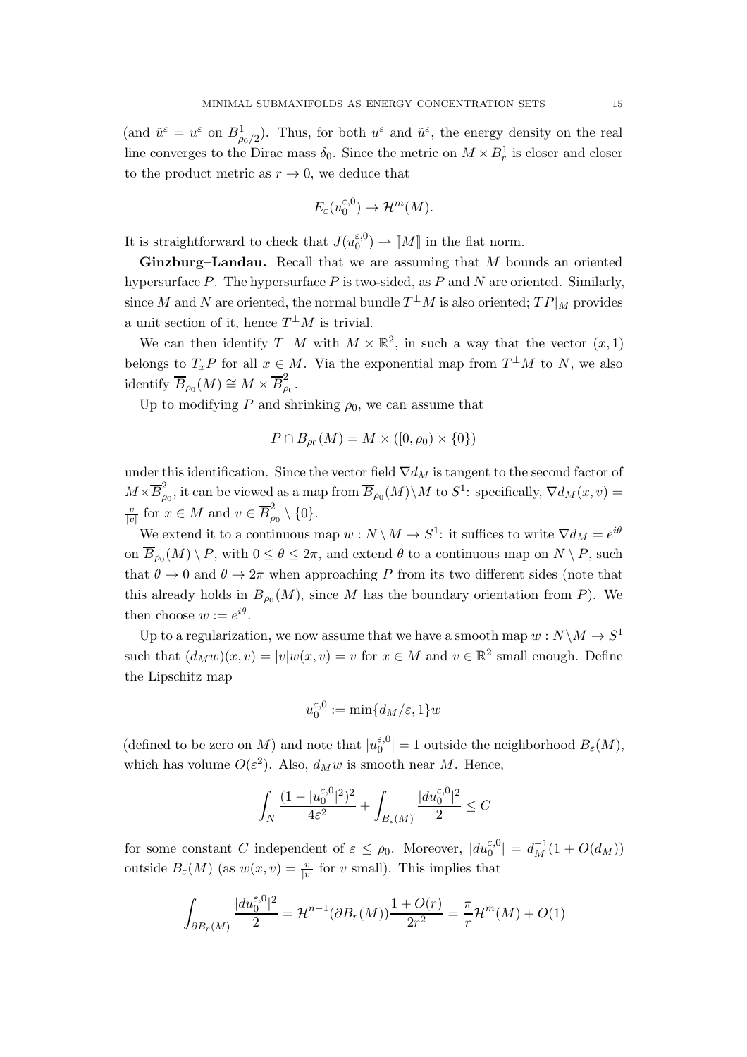(and  $\tilde{u}^{\varepsilon} = u^{\varepsilon}$  on  $B_{\rho_0/2}^1$ ). Thus, for both  $u^{\varepsilon}$  and  $\tilde{u}^{\varepsilon}$ , the energy density on the real line converges to the Dirac mass  $\delta_0$ . Since the metric on  $M \times B_r^1$  is closer and closer to the product metric as  $r \to 0$ , we deduce that

$$
E_{\varepsilon}(u_0^{\varepsilon,0}) \to \mathcal{H}^m(M).
$$

It is straightforward to check that  $J(u_0^{\varepsilon,0})$  $\binom{\varepsilon,0}{0}$   $\rightarrow$  [*M*] in the flat norm.

Ginzburg–Landau. Recall that we are assuming that M bounds an oriented hypersurface P. The hypersurface P is two-sided, as P and N are oriented. Similarly, since M and N are oriented, the normal bundle  $T^{\perp}M$  is also oriented;  $TP|_M$  provides a unit section of it, hence  $T^{\perp}M$  is trivial.

We can then identify  $T^{\perp}M$  with  $M \times \mathbb{R}^2$ , in such a way that the vector  $(x, 1)$ belongs to  $T_x P$  for all  $x \in M$ . Via the exponential map from  $T^{\perp}M$  to N, we also identify  $\overline{B}_{\rho_0}(M) \cong M \times \overline{B}_{\rho}^2$  $_{\rho_0}^{\omega}.$ 

Up to modifying P and shrinking  $\rho_0$ , we can assume that

$$
P \cap B_{\rho_0}(M) = M \times ([0, \rho_0) \times \{0\})
$$

under this identification. Since the vector field  $\nabla d_M$  is tangent to the second factor of  $M\times\overline{B}_{\rho}^2$  $\overline{B}_{\rho_0}(M)\setminus M$  to  $S^1$ : specifically,  $\nabla d_M(x,v) =$  $\overline{v}$  $\frac{v}{|v|}$  for  $x \in M$  and  $v \in \overline{B}_{\rho}^2$  $_{\rho_0}^2\setminus\{0\}.$ 

We extend it to a continuous map  $w: N \setminus M \to S^1$ : it suffices to write  $\nabla d_M = e^{i\theta}$ on  $B_{\rho_0}(M) \setminus P$ , with  $0 \le \theta \le 2\pi$ , and extend  $\theta$  to a continuous map on  $N \setminus P$ , such that  $\theta \to 0$  and  $\theta \to 2\pi$  when approaching P from its two different sides (note that this already holds in  $B_{\rho_0}(M)$ , since M has the boundary orientation from P). We then choose  $w := e^{i\theta}$ .

Up to a regularization, we now assume that we have a smooth map  $w: N \backslash M \to S^1$ such that  $(d_M w)(x, v) = |v| w(x, v) = v$  for  $x \in M$  and  $v \in \mathbb{R}^2$  small enough. Define the Lipschitz map

$$
u_0^{\varepsilon,0} := \min\{d_M/\varepsilon, 1\}w
$$

(defined to be zero on  $M)$  and note that  $|u_0^{\varepsilon,0}\>$  $|E_0^{(0)}| = 1$  outside the neighborhood  $B_{\varepsilon}(M)$ , which has volume  $O(\varepsilon^2)$ . Also,  $d_M w$  is smooth near M. Hence,

$$
\int_N \frac{(1-|u_0^{\varepsilon,0}|^2)^2}{4\varepsilon^2} + \int_{B_\varepsilon(M)} \frac{|du_0^{\varepsilon,0}|^2}{2} \le C
$$

for some constant C independent of  $\varepsilon \leq \rho_0$ . Moreover,  $|du_0^{\varepsilon,0}| = d_M^{-1}(1 + O(d_M))$ outside  $B_{\varepsilon}(M)$  (as  $w(x, v) = \frac{v}{|v|}$  for v small). This implies that

$$
\int_{\partial B_r(M)} \frac{|du_0^{\varepsilon,0}|^2}{2} = \mathcal{H}^{n-1}(\partial B_r(M)) \frac{1+O(r)}{2r^2} = \frac{\pi}{r} \mathcal{H}^m(M) + O(1)
$$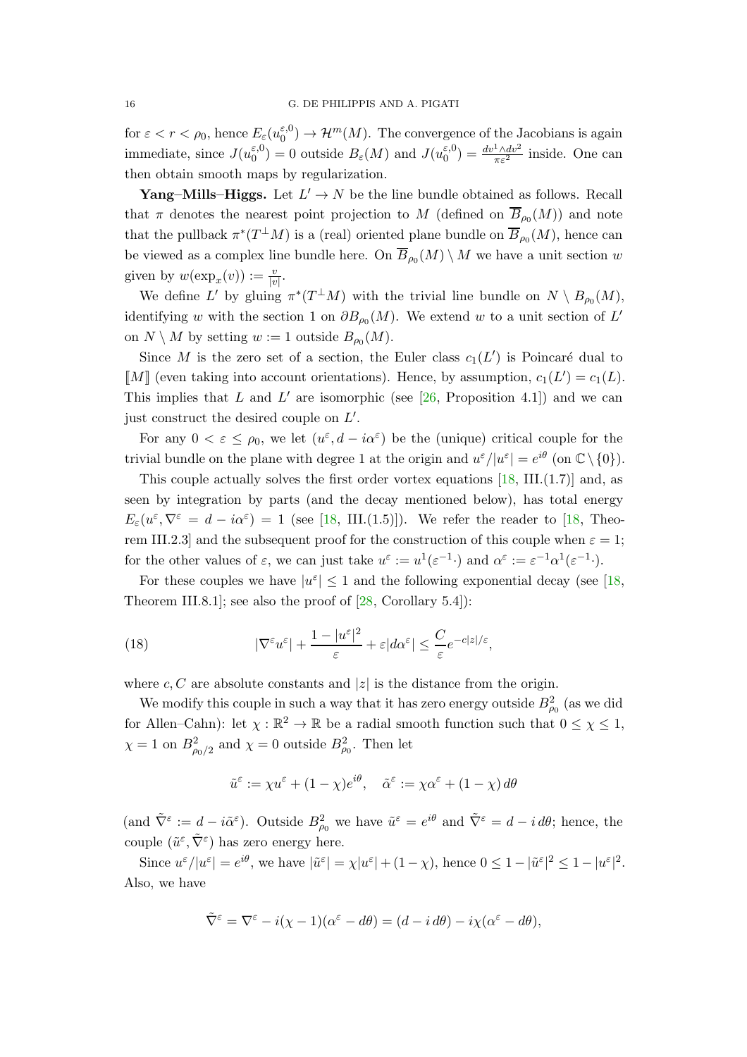for  $\varepsilon < r < \rho_0$ , hence  $E_{\varepsilon} (u_0^{\varepsilon,0})$  $\mathcal{E}_0^{(0)} \to \mathcal{H}^m(M)$ . The convergence of the Jacobians is again immediate, since  $J(u_0^{\varepsilon,0})$  $\mathcal{L}_0^{\varepsilon,0}$  = 0 outside  $B_{\varepsilon}(M)$  and  $J(u_0^{\varepsilon,0})$  $\binom{\varepsilon,0}{0} = \frac{dv^1 \wedge dv^2}{\pi \varepsilon^2}$  inside. One can then obtain smooth maps by regularization.

**Yang–Mills–Higgs.** Let  $L' \to N$  be the line bundle obtained as follows. Recall that  $\pi$  denotes the nearest point projection to M (defined on  $B_{\rho_0}(M)$ ) and note that the pullback  $\pi^*(T^{\perp}M)$  is a (real) oriented plane bundle on  $B_{\rho_0}(M)$ , hence can be viewed as a complex line bundle here. On  $B_{\rho_0}(M) \setminus M$  we have a unit section w given by  $w(\exp_x(v)) := \frac{v}{|v|}$ .

We define L' by gluing  $\pi^*(T^{\perp}M)$  with the trivial line bundle on  $N \setminus B_{\rho_0}(M)$ , identifying w with the section 1 on  $\partial B_{\rho_0}(M)$ . We extend w to a unit section of L' on  $N \setminus M$  by setting  $w := 1$  outside  $B_{\rho_0}(M)$ .

Since M is the zero set of a section, the Euler class  $c_1(L')$  is Poincaré dual to [M] (even taking into account orientations). Hence, by assumption,  $c_1(L') = c_1(L)$ . This implies that L and L' are isomorphic (see  $[26,$  Proposition 4.1) and we can just construct the desired couple on  $L'$ .

For any  $0 < \varepsilon \le \rho_0$ , we let  $(u^{\varepsilon}, d - i\alpha^{\varepsilon})$  be the (unique) critical couple for the trivial bundle on the plane with degree 1 at the origin and  $u^{\varepsilon}/|u^{\varepsilon}| = e^{i\theta}$  (on  $\mathbb{C}\setminus\{0\}$ ).

This couple actually solves the first order vortex equations  $[18, III.(1.7)]$  $[18, III.(1.7)]$  and, as seen by integration by parts (and the decay mentioned below), has total energy  $E_{\varepsilon}(u^{\varepsilon}, \nabla^{\varepsilon} = d - i\alpha^{\varepsilon}) = 1$  (see [\[18,](#page-44-17) III.(1.5)]). We refer the reader to [18, Theorem III.2.3] and the subsequent proof for the construction of this couple when  $\varepsilon = 1$ ; for the other values of  $\varepsilon$ , we can just take  $u^{\varepsilon} := u^1(\varepsilon^{-1} \cdot)$  and  $\alpha^{\varepsilon} := \varepsilon^{-1} \alpha^1(\varepsilon^{-1} \cdot)$ .

For these couples we have  $|u^{\varepsilon}| \leq 1$  and the following exponential decay (see [\[18,](#page-44-17) Theorem III.8.1]; see also the proof of  $[28, Corollary 5.4]$ :

<span id="page-15-0"></span>(18) 
$$
|\nabla^{\varepsilon} u^{\varepsilon}| + \frac{1 - |u^{\varepsilon}|^2}{\varepsilon} + \varepsilon |d\alpha^{\varepsilon}| \leq \frac{C}{\varepsilon} e^{-c|z|/\varepsilon},
$$

where c, C are absolute constants and |z| is the distance from the origin.

We modify this couple in such a way that it has zero energy outside  $B_{\rho_0}^2$  (as we did for Allen–Cahn): let  $\chi : \mathbb{R}^2 \to \mathbb{R}$  be a radial smooth function such that  $0 \leq \chi \leq 1$ ,  $\chi = 1$  on  $B_{\rho_0/2}^2$  and  $\chi = 0$  outside  $B_{\rho_0}^2$ . Then let

$$
\tilde{u}^{\varepsilon} := \chi u^{\varepsilon} + (1 - \chi)e^{i\theta}, \quad \tilde{\alpha}^{\varepsilon} := \chi \alpha^{\varepsilon} + (1 - \chi) d\theta
$$

(and  $\tilde{\nabla}^{\varepsilon} := d - i \tilde{\alpha}^{\varepsilon}$ ). Outside  $B_{\rho_0}^2$  we have  $\tilde{u}^{\varepsilon} = e^{i\theta}$  and  $\tilde{\nabla}^{\varepsilon} = d - i d\theta$ ; hence, the couple  $(\tilde{u}^{\varepsilon}, \tilde{\nabla}^{\varepsilon})$  has zero energy here.

Since  $u^{\varepsilon}/|u^{\varepsilon}| = e^{i\theta}$ , we have  $|\tilde{u}^{\varepsilon}| = \chi |u^{\varepsilon}| + (1 - \chi)$ , hence  $0 \le 1 - |\tilde{u}^{\varepsilon}|^2 \le 1 - |u^{\varepsilon}|^2$ . Also, we have

$$
\tilde{\nabla}^{\varepsilon} = \nabla^{\varepsilon} - i(\chi - 1)(\alpha^{\varepsilon} - d\theta) = (d - i d\theta) - i\chi(\alpha^{\varepsilon} - d\theta),
$$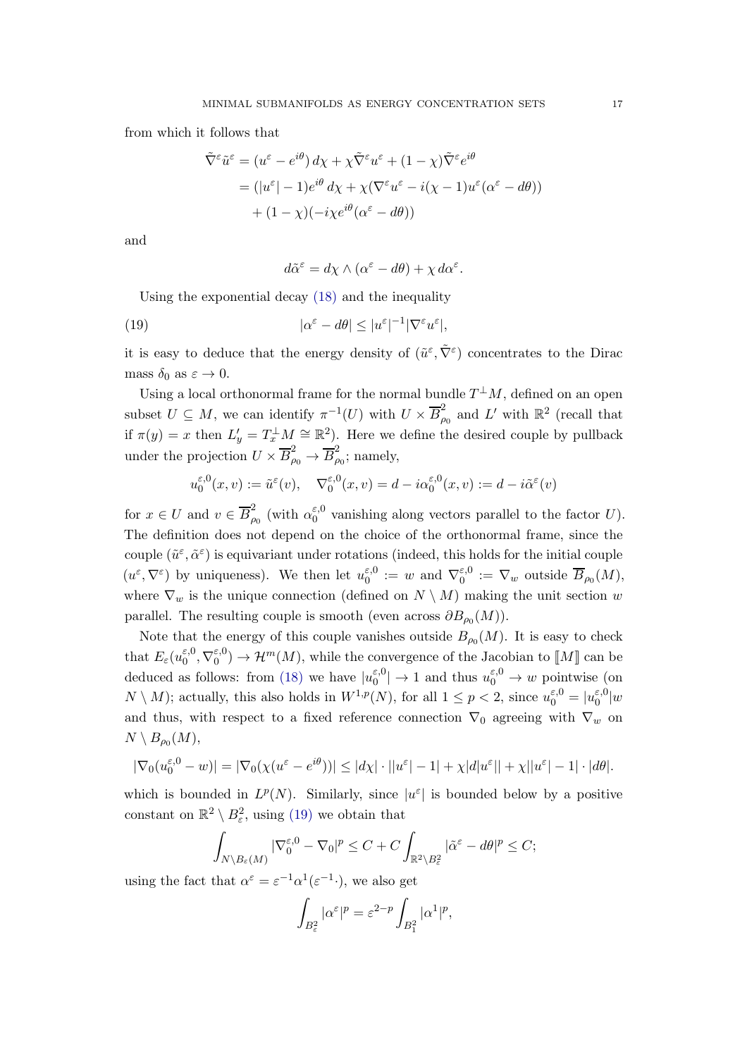from which it follows that

$$
\tilde{\nabla}^{\varepsilon} \tilde{u}^{\varepsilon} = (u^{\varepsilon} - e^{i\theta}) d\chi + \chi \tilde{\nabla}^{\varepsilon} u^{\varepsilon} + (1 - \chi) \tilde{\nabla}^{\varepsilon} e^{i\theta}
$$
  
= 
$$
(|u^{\varepsilon}| - 1) e^{i\theta} d\chi + \chi (\nabla^{\varepsilon} u^{\varepsilon} - i(\chi - 1) u^{\varepsilon} (\alpha^{\varepsilon} - d\theta))
$$

$$
+ (1 - \chi) (-i\chi e^{i\theta} (\alpha^{\varepsilon} - d\theta))
$$

and

$$
d\tilde{\alpha}^{\varepsilon} = d\chi \wedge (\alpha^{\varepsilon} - d\theta) + \chi d\alpha^{\varepsilon}.
$$

Using the exponential decay [\(18\)](#page-15-0) and the inequality

<span id="page-16-0"></span>(19) 
$$
|\alpha^{\varepsilon} - d\theta| \le |u^{\varepsilon}|^{-1} |\nabla^{\varepsilon} u^{\varepsilon}|,
$$

it is easy to deduce that the energy density of  $(\tilde{u}^{\varepsilon}, \tilde{\nabla}^{\varepsilon})$  concentrates to the Dirac mass  $\delta_0$  as  $\varepsilon \to 0$ .

Using a local orthonormal frame for the normal bundle  $T^{\perp}M$ , defined on an open subset  $U \subseteq M$ , we can identify  $\pi^{-1}(U)$  with  $U \times \overline{B}_{\rho}^2$  $_{\rho_0}^2$  and L' with  $\mathbb{R}^2$  (recall that if  $\pi(y) = x$  then  $L'_y = T_x^{\perp} M \cong \mathbb{R}^2$ . Here we define the desired couple by pullback under the projection  $U \times \overline{B}_{\rho_0}^2 \rightarrow \overline{B}_{\rho}^2$  $\tilde{\rho}_0$ ; namely,

$$
u_0^{\varepsilon,0}(x,v) := \tilde{u}^{\varepsilon}(v), \quad \nabla_0^{\varepsilon,0}(x,v) = d - i\alpha_0^{\varepsilon,0}(x,v) := d - i\tilde{\alpha}^{\varepsilon}(v)
$$

for  $x \in U$  and  $v \in \overline{B}_{\rho}^2$  $^2_{\rho_0}$  (with  $\alpha_0^{\varepsilon,0}$  $_{0}^{\epsilon,0}$  vanishing along vectors parallel to the factor U). The definition does not depend on the choice of the orthonormal frame, since the couple  $(\tilde{u}^{\varepsilon}, \tilde{\alpha}^{\varepsilon})$  is equivariant under rotations (indeed, this holds for the initial couple  $(u^{\varepsilon}, \nabla^{\varepsilon})$  by uniqueness). We then let  $u_0^{\varepsilon, 0}$  $\zeta_0^{\varepsilon,0} := w$  and  $\nabla_0^{\varepsilon,0}$  $\mathcal{E}_0^{\varepsilon,0} := \nabla_w$  outside  $B_{\rho_0}(M)$ , where  $\nabla_w$  is the unique connection (defined on  $N \setminus M$ ) making the unit section w parallel. The resulting couple is smooth (even across  $\partial B_{\rho_0}(M)$ ).

Note that the energy of this couple vanishes outside  $B_{\rho_0}(M)$ . It is easy to check that  $E_\varepsilon(u_0^{\varepsilon,0})$  $_{0}^{\varepsilon,0},\nabla_{0}^{\varepsilon,0}$  $\mathcal{E}_0^{(0)} \to \mathcal{H}^m(M)$ , while the convergence of the Jacobian to  $\llbracket M \rrbracket$  can be deduced as follows: from [\(18\)](#page-15-0) we have  $|u_0^{\varepsilon,0}|$  $|v_0^{\varepsilon,0}| \to 1$  and thus  $u_0^{\varepsilon,0} \to w$  pointwise (on  $N \setminus M$ ); actually, this also holds in  $W^{1,p}(N)$ , for all  $1 \le p < 2$ , since  $u_0^{\varepsilon,0} = |u_0^{\varepsilon,0}|$  $\int_0^{\varepsilon,0} |w|$ and thus, with respect to a fixed reference connection  $\nabla_0$  agreeing with  $\nabla_w$  on  $N \setminus B_{\rho_0}(M)$ ,

$$
|\nabla_0(u_0^{\varepsilon,0} - w)| = |\nabla_0(\chi(u^{\varepsilon} - e^{i\theta}))| \le |d\chi| \cdot ||u^{\varepsilon}| - 1| + \chi|d|u^{\varepsilon}|| + \chi||u^{\varepsilon}| - 1| \cdot |d\theta|.
$$

which is bounded in  $L^p(N)$ . Similarly, since  $|u^{\varepsilon}|$  is bounded below by a positive constant on  $\mathbb{R}^2 \setminus B_\varepsilon^2$ , using [\(19\)](#page-16-0) we obtain that

$$
\int_{N\setminus B_{\varepsilon}(M)} |\nabla_0^{\varepsilon,0} - \nabla_0|^p \le C + C \int_{\mathbb{R}^2 \setminus B_{\varepsilon}^2} |\tilde{\alpha}^{\varepsilon} - d\theta|^p \le C;
$$

using the fact that  $\alpha^{\varepsilon} = \varepsilon^{-1} \alpha^1 (\varepsilon^{-1})$ , we also get

$$
\int_{B_{\varepsilon}^2} |\alpha^{\varepsilon}|^p = \varepsilon^{2-p} \int_{B_1^2} |\alpha^1|^p,
$$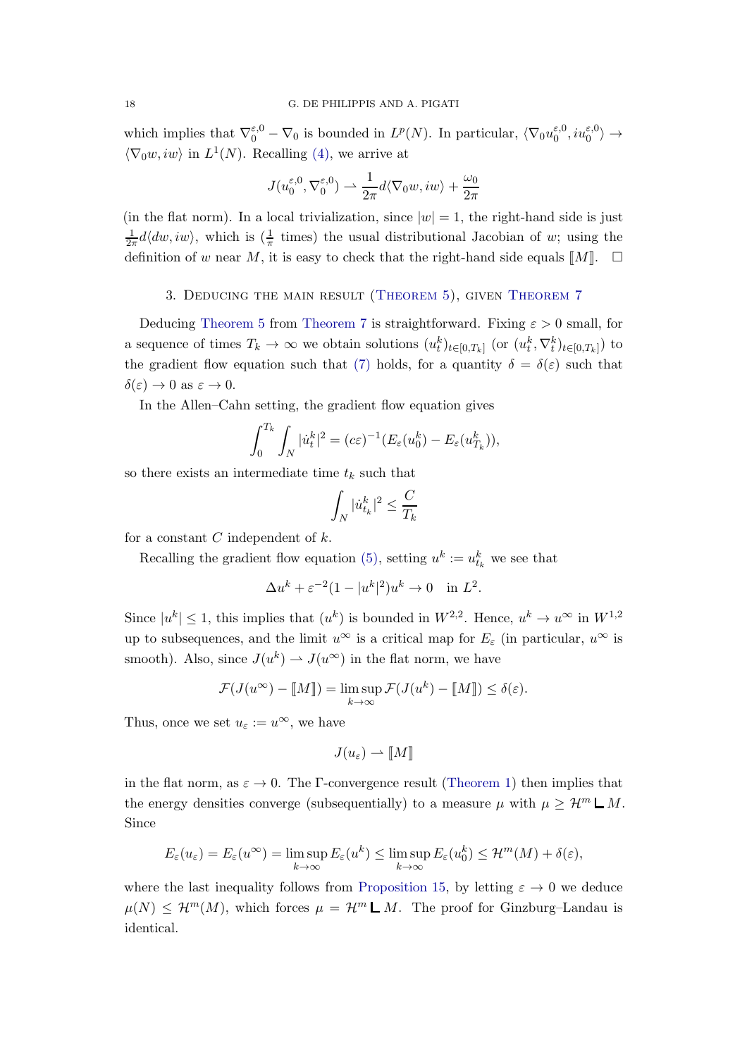which implies that  $\nabla_0^{\varepsilon,0} - \nabla_0$  is bounded in  $L^p(N)$ . In particular,  $\langle \nabla_0 u_0^{\varepsilon,0} \rangle$  $\zeta_0^{\varepsilon,0},i u_0^{\varepsilon,0}\rangle \rightarrow$  $\langle \nabla_0 w, iw \rangle$  in  $L^1(N)$ . Recalling [\(4\),](#page-4-1) we arrive at

$$
J(u_0^{\varepsilon,0}, \nabla_0^{\varepsilon,0}) \rightharpoonup \frac{1}{2\pi} d\langle \nabla_0 w, iw \rangle + \frac{\omega_0}{2\pi}
$$

(in the flat norm). In a local trivialization, since  $|w|=1$ , the right-hand side is just 1  $\frac{1}{2\pi}d\langle dw,iw\rangle$ , which is  $\left(\frac{1}{\pi}\right)$  times) the usual distributional Jacobian of w; using the definition of w near M, it is easy to check that the right-hand side equals  $\llbracket M \rrbracket$ .  $\Box$ 

## <span id="page-17-0"></span>3. Deducing the main result [\(Theorem 5\)](#page-6-1), given [Theorem 7](#page-7-0)

Deducing [Theorem 5](#page-6-1) from [Theorem 7](#page-7-0) is straightforward. Fixing  $\varepsilon > 0$  small, for a sequence of times  $T_k \to \infty$  we obtain solutions  $(u_t^k)_{t \in [0,T_k]}$  (or  $(u_t^k, \nabla_t^k)_{t \in [0,T_k]}$ ) to the gradient flow equation such that [\(7\)](#page-7-2) holds, for a quantity  $\delta = \delta(\varepsilon)$  such that  $\delta(\varepsilon) \to 0$  as  $\varepsilon \to 0$ .

In the Allen–Cahn setting, the gradient flow equation gives

$$
\int_0^{T_k} \int_N |\dot{u}_t^k|^2 = (c\varepsilon)^{-1} (E_\varepsilon(u_0^k) - E_\varepsilon(u_{T_k}^k)),
$$

so there exists an intermediate time  $t_k$  such that

$$
\int_N |\dot{u}_{t_k}^k|^2 \leq \frac{C}{T_k}
$$

for a constant  $C$  independent of  $k$ .

Recalling the gradient flow equation [\(5\),](#page-5-2) setting  $u^k := u_{t_k}^k$  we see that

$$
\Delta u^k + \varepsilon^{-2} (1 - |u^k|^2) u^k \to 0 \quad \text{in } L^2.
$$

Since  $|u^k| \leq 1$ , this implies that  $(u^k)$  is bounded in  $W^{2,2}$ . Hence,  $u^k \to u^{\infty}$  in  $W^{1,2}$ up to subsequences, and the limit  $u^{\infty}$  is a critical map for  $E_{\varepsilon}$  (in particular,  $u^{\infty}$  is smooth). Also, since  $J(u^k) \to J(u^{\infty})$  in the flat norm, we have

$$
\mathcal{F}(J(u^{\infty}) - [\![M]\!]) = \limsup_{k \to \infty} \mathcal{F}(J(u^k) - [\![M]\!]) \le \delta(\varepsilon).
$$

Thus, once we set  $u_{\varepsilon} := u^{\infty}$ , we have

$$
J(u_{\varepsilon}) \rightharpoonup \llbracket M \rrbracket
$$

in the flat norm, as  $\varepsilon \to 0$ . The Γ-convergence result [\(Theorem 1\)](#page-4-0) then implies that the energy densities converge (subsequentially) to a measure  $\mu$  with  $\mu \geq \mathcal{H}^m \mathsf{L} M$ . Since

$$
E_{\varepsilon}(u_{\varepsilon}) = E_{\varepsilon}(u^{\infty}) = \limsup_{k \to \infty} E_{\varepsilon}(u^k) \le \limsup_{k \to \infty} E_{\varepsilon}(u_0^k) \le \mathcal{H}^m(M) + \delta(\varepsilon),
$$

where the last inequality follows from [Proposition 15,](#page-11-0) by letting  $\varepsilon \to 0$  we deduce  $\mu(N) \leq \mathcal{H}^m(M)$ , which forces  $\mu = \mathcal{H}^m \mathcal{L} M$ . The proof for Ginzburg–Landau is identical.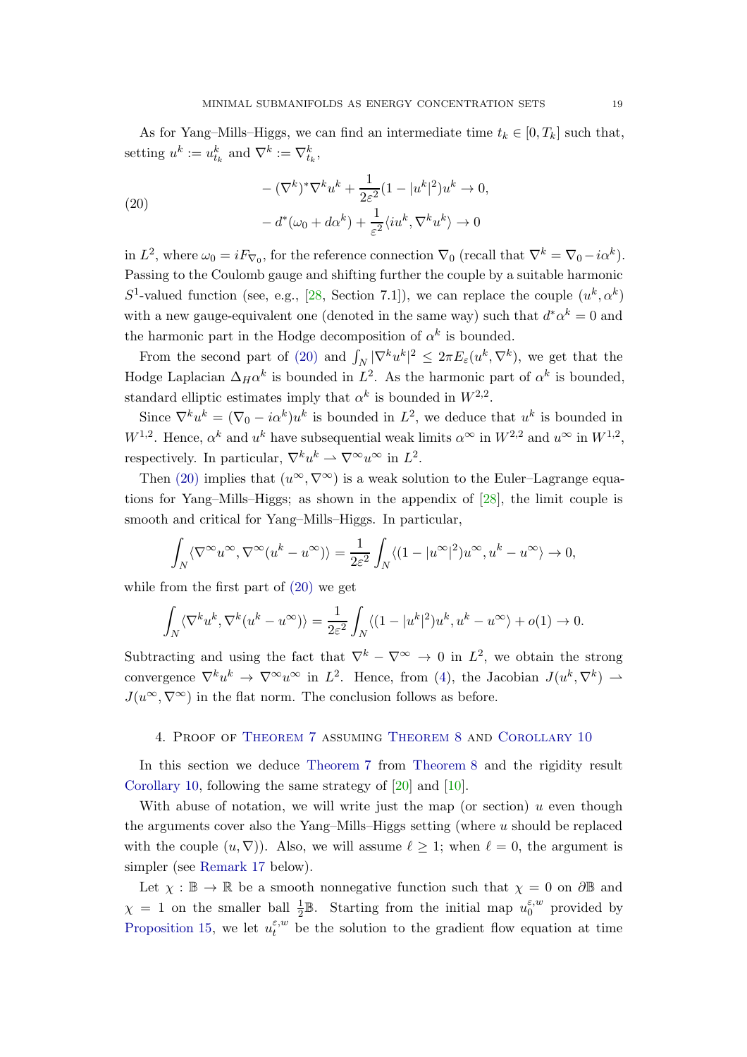As for Yang–Mills–Higgs, we can find an intermediate time  $t_k \in [0, T_k]$  such that, setting  $u^k := u_{t_k}^k$  and  $\nabla^k := \nabla_{t_k}^k$ ,

<span id="page-18-1"></span>(20)  
\n
$$
-(\nabla^k)^*\nabla^k u^k + \frac{1}{2\varepsilon^2}(1 - |u^k|^2)u^k \to 0,
$$
\n
$$
-d^*(\omega_0 + d\alpha^k) + \frac{1}{\varepsilon^2}\langle iu^k, \nabla^k u^k \rangle \to 0
$$

in  $L^2$ , where  $\omega_0 = i F_{\nabla_0}$ , for the reference connection  $\nabla_0$  (recall that  $\nabla^k = \nabla_0 - i \alpha^k$ ). Passing to the Coulomb gauge and shifting further the couple by a suitable harmonic S<sup>1</sup>-valued function (see, e.g., [\[28,](#page-44-8) Section 7.1]), we can replace the couple  $(u^k, \alpha^k)$ with a new gauge-equivalent one (denoted in the same way) such that  $d^* \alpha^k = 0$  and the harmonic part in the Hodge decomposition of  $\alpha^k$  is bounded.

From the second part of [\(20\)](#page-18-1) and  $\int_N |\nabla^k u^k|^2 \leq 2\pi E_\varepsilon(u^k, \nabla^k)$ , we get that the Hodge Laplacian  $\Delta_H \alpha^k$  is bounded in  $L^2$ . As the harmonic part of  $\alpha^k$  is bounded, standard elliptic estimates imply that  $\alpha^k$  is bounded in  $W^{2,2}$ .

Since  $\nabla^k u^k = (\nabla_0 - i\alpha^k)u^k$  is bounded in  $L^2$ , we deduce that  $u^k$  is bounded in  $W^{1,2}$ . Hence,  $\alpha^k$  and  $u^k$  have subsequential weak limits  $\alpha^{\infty}$  in  $W^{2,2}$  and  $u^{\infty}$  in  $W^{1,2}$ , respectively. In particular,  $\nabla^k u^k \rightharpoonup \nabla^\infty u^\infty$  in  $L^2$ .

Then [\(20\)](#page-18-1) implies that  $(u^{\infty}, \nabla^{\infty})$  is a weak solution to the Euler–Lagrange equations for Yang–Mills–Higgs; as shown in the appendix of [\[28\]](#page-44-8), the limit couple is smooth and critical for Yang–Mills–Higgs. In particular,

$$
\int_N \langle \nabla^\infty u^\infty, \nabla^\infty (u^k - u^\infty) \rangle = \frac{1}{2\varepsilon^2} \int_N \langle (1 - |u^\infty|^2) u^\infty, u^k - u^\infty \rangle \to 0,
$$

while from the first part of [\(20\)](#page-18-1) we get

$$
\int_N \langle \nabla^k u^k, \nabla^k (u^k - u^{\infty}) \rangle = \frac{1}{2\varepsilon^2} \int_N \langle (1 - |u^k|^2) u^k, u^k - u^{\infty} \rangle + o(1) \to 0.
$$

Subtracting and using the fact that  $\nabla^k - \nabla^{\infty} \to 0$  in  $L^2$ , we obtain the strong convergence  $\nabla^k u^k \to \nabla^\infty u^\infty$  in  $L^2$ . Hence, from [\(4\)](#page-4-1), the Jacobian  $J(u^k, \nabla^k) \to$  $J(u^{\infty}, \nabla^{\infty})$  in the flat norm. The conclusion follows as before.

## <span id="page-18-0"></span>4. Proof of [Theorem 7](#page-7-0) assuming [Theorem 8](#page-8-0) and [Corollary 10](#page-9-0)

In this section we deduce [Theorem 7](#page-7-0) from [Theorem 8](#page-8-0) and the rigidity result [Corollary 10,](#page-9-0) following the same strategy of [\[20\]](#page-44-0) and [\[10\]](#page-44-1).

With abuse of notation, we will write just the map (or section)  $u$  even though the arguments cover also the Yang–Mills–Higgs setting (where  $u$  should be replaced with the couple  $(u, \nabla)$ . Also, we will assume  $\ell \geq 1$ ; when  $\ell = 0$ , the argument is simpler (see [Remark 17](#page-20-0) below).

Let  $\chi : \mathbb{B} \to \mathbb{R}$  be a smooth nonnegative function such that  $\chi = 0$  on  $\partial \mathbb{B}$  and  $\chi = 1$  on the smaller ball  $\frac{1}{2} \mathbb{B}$ . Starting from the initial map  $u_0^{\varepsilon,w}$  $_0^{\varepsilon,w}$  provided by [Proposition 15,](#page-11-0) we let  $u_t^{\varepsilon,w}$  be the solution to the gradient flow equation at time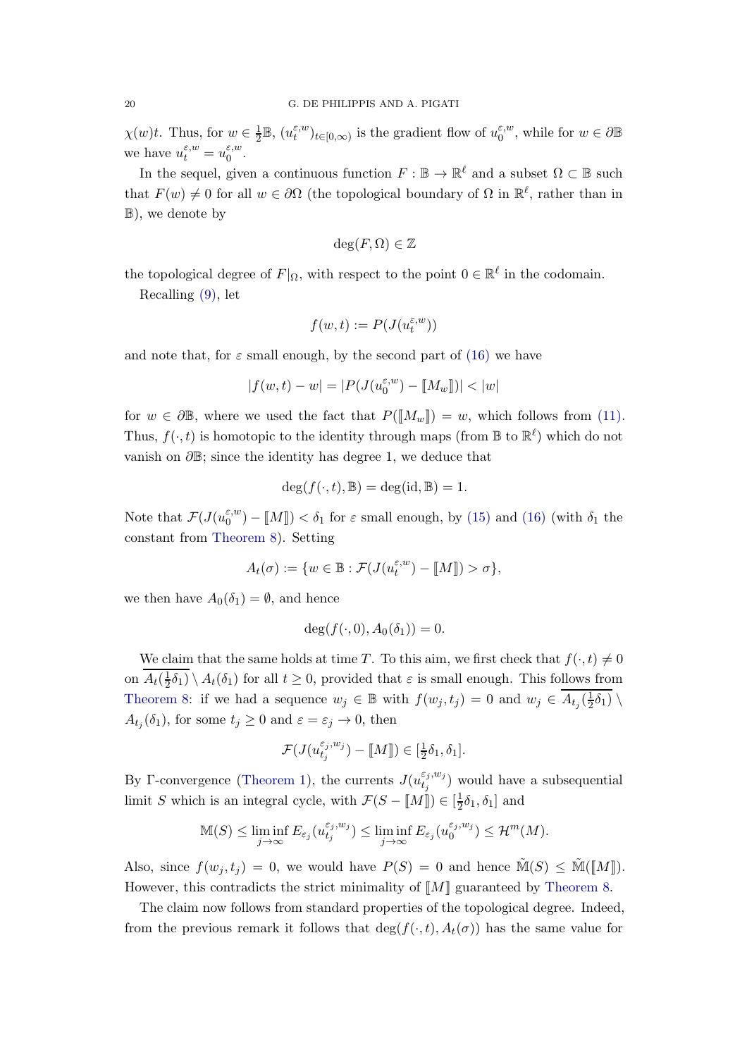$\chi(w)t$ . Thus, for  $w \in \frac{1}{2}$  $\frac{1}{2}\mathbb{B},\,(u_t^{\varepsilon,w})$  $(t_t^{\varepsilon,w})_{t\in[0,\infty)}$  is the gradient flow of  $u_0^{\varepsilon,w}$  $e^{i\omega}_{0}$ , while for  $w \in \partial \mathbb{B}$ we have  $u_t^{\varepsilon,w} = u_0^{\varepsilon,w}$  $\overset{\varepsilon,w}{0}$ .

In the sequel, given a continuous function  $F : \mathbb{B} \to \mathbb{R}^{\ell}$  and a subset  $\Omega \subset \mathbb{B}$  such that  $F(w) \neq 0$  for all  $w \in \partial \Omega$  (the topological boundary of  $\Omega$  in  $\mathbb{R}^{\ell}$ , rather than in B), we denote by

$$
\deg(F, \Omega) \in \mathbb{Z}
$$

the topological degree of  $F|_{\Omega}$ , with respect to the point  $0 \in \mathbb{R}^{\ell}$  in the codomain.

Recalling [\(9\),](#page-10-2) let

$$
f(w,t):=P(J(u_t^{\varepsilon,w}))
$$

and note that, for  $\varepsilon$  small enough, by the second part of [\(16\)](#page-11-4) we have

$$
|f(w,t)-w|=|P(J(u_0^{\varepsilon,w})-[\![M_w]\!])|<|w|
$$

for  $w \in \partial \mathbb{B}$ , where we used the fact that  $P(\llbracket M_w \rrbracket) = w$ , which follows from [\(11\).](#page-11-1) Thus,  $f(\cdot, t)$  is homotopic to the identity through maps (from  $\mathbb{B}$  to  $\mathbb{R}^{\ell}$ ) which do not vanish on  $\partial \mathbb{B}$ ; since the identity has degree 1, we deduce that

$$
\deg(f(\cdot,t),\mathbb{B})=\deg(\mathrm{id},\mathbb{B})=1.
$$

Note that  $\mathcal{F}(J(u_0^{\varepsilon,w})$  $\binom{\varepsilon, w}{0}$  –  $\llbracket M \rrbracket$ ) <  $\delta_1$  for  $\varepsilon$  small enough, by [\(15\)](#page-11-5) and [\(16\)](#page-11-4) (with  $\delta_1$  the constant from [Theorem 8\)](#page-8-0). Setting

$$
A_t(\sigma):=\{w\in \mathbb{B}: \mathcal{F}(J(u_t^{\varepsilon,w})-[\![M]\!])>\sigma\},
$$

we then have  $A_0(\delta_1) = \emptyset$ , and hence

$$
\deg(f(\cdot,0),A_0(\delta_1))=0.
$$

We claim that the same holds at time T. To this aim, we first check that  $f(\cdot, t) \neq 0$ on  $A_t(\frac{1}{2})$  $\frac{1}{2}\delta_1$   $\setminus$   $A_t(\delta_1)$  for all  $t \geq 0$ , provided that  $\varepsilon$  is small enough. This follows from [Theorem 8:](#page-8-0) if we had a sequence  $w_j \in \mathbb{B}$  with  $f(w_j, t_j) = 0$  and  $w_j \in A_{t_j}(\frac{1}{2})$  $\frac{1}{2}\delta_1$   $\backslash$  $A_{t_j}(\delta_1)$ , for some  $t_j \geq 0$  and  $\varepsilon = \varepsilon_j \to 0$ , then

$$
\mathcal{F}(J(u_{t_j}^{\varepsilon_j, w_j}) - [\![M]\!]) \in [\frac{1}{2}\delta_1, \delta_1].
$$

By Γ-convergence [\(Theorem 1\)](#page-4-0), the currents  $J(u_t^{\varepsilon_j,w_j})$  $(t_j^{e_j, w_j})$  would have a subsequential limit S which is an integral cycle, with  $\mathcal{F}(S - M\mathbb{I}) \in [\frac{1}{2}]$  $\frac{1}{2}\delta_1, \delta_1]$  and

$$
\mathbb{M}(S) \le \liminf_{j \to \infty} E_{\varepsilon_j}(u_{t_j}^{\varepsilon_j, w_j}) \le \liminf_{j \to \infty} E_{\varepsilon_j}(u_0^{\varepsilon_j, w_j}) \le \mathcal{H}^m(M).
$$

Also, since  $f(w_i, t_i) = 0$ , we would have  $P(S) = 0$  and hence  $\tilde{M}(S) \leq \tilde{M}(\llbracket M \rrbracket)$ . However, this contradicts the strict minimality of  $\llbracket M \rrbracket$  guaranteed by [Theorem 8.](#page-8-0)

The claim now follows from standard properties of the topological degree. Indeed, from the previous remark it follows that  $\deg(f(\cdot,t), A_t(\sigma))$  has the same value for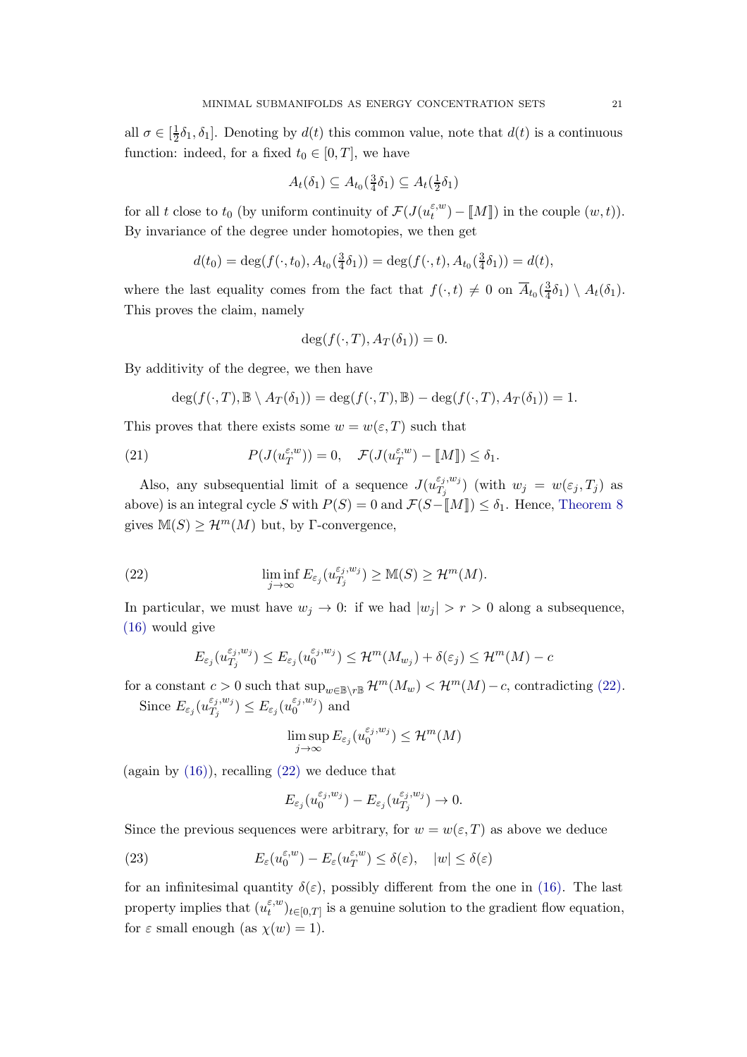all  $\sigma \in [\frac{1}{2}]$  $\frac{1}{2}\delta_1, \delta_1$ . Denoting by  $d(t)$  this common value, note that  $d(t)$  is a continuous function: indeed, for a fixed  $t_0 \in [0, T]$ , we have

$$
A_t(\delta_1) \subseteq A_{t_0}(\tfrac{3}{4}\delta_1) \subseteq A_t(\tfrac{1}{2}\delta_1)
$$

for all t close to  $t_0$  (by uniform continuity of  $\mathcal{F}(J(u_t^{\varepsilon,w}))$  $\mathcal{L}_t^{(w)}$  –  $\llbracket M \rrbracket$ ) in the couple  $(w, t)$ ). By invariance of the degree under homotopies, we then get

$$
d(t_0) = \deg(f(\cdot, t_0), A_{t_0}(\frac{3}{4}\delta_1)) = \deg(f(\cdot, t), A_{t_0}(\frac{3}{4}\delta_1)) = d(t),
$$

where the last equality comes from the fact that  $f(\cdot, t) \neq 0$  on  $\overline{A}_{t_0}(\frac{3}{4})$  $\frac{3}{4}\delta_1$   $\setminus$   $A_t(\delta_1)$ . This proves the claim, namely

$$
\deg(f(\cdot,T),A_T(\delta_1))=0.
$$

By additivity of the degree, we then have

$$
\deg(f(\cdot,T),\mathbb{B}\setminus A_T(\delta_1))=\deg(f(\cdot,T),\mathbb{B})-\deg(f(\cdot,T),A_T(\delta_1))=1.
$$

This proves that there exists some  $w = w(\varepsilon, T)$  such that

(21) 
$$
P(J(u_T^{\varepsilon,w}))=0, \quad \mathcal{F}(J(u_T^{\varepsilon,w})-[[M]])\leq \delta_1.
$$

Also, any subsequential limit of a sequence  $J(u_{T_i}^{\varepsilon_j,w_j})$  $\binom{\varepsilon_j,w_j}{T_j}$  (with  $w_j = w(\varepsilon_j,T_j)$  as above) is an integral cycle S with  $P(S) = 0$  and  $\mathcal{F}(S-\llbracket M \rrbracket) \leq \delta_1$ . Hence, [Theorem 8](#page-8-0) gives  $M(S) \geq \mathcal{H}^m(M)$  but, by Γ-convergence,

<span id="page-20-1"></span>(22) 
$$
\liminf_{j \to \infty} E_{\varepsilon_j}(u_{T_j}^{\varepsilon_j, w_j}) \geq \mathbb{M}(S) \geq \mathcal{H}^m(M).
$$

In particular, we must have  $w_j \to 0$ : if we had  $|w_j| > r > 0$  along a subsequence, [\(16\)](#page-11-4) would give

$$
E_{\varepsilon_j}(u_{T_j}^{\varepsilon_j, w_j}) \le E_{\varepsilon_j}(u_0^{\varepsilon_j, w_j}) \le \mathcal{H}^m(M_{w_j}) + \delta(\varepsilon_j) \le \mathcal{H}^m(M) - c
$$

for a constant  $c > 0$  such that  $\sup_{w \in \mathbb{B} \setminus r\mathbb{B}} \mathcal{H}^m(M_w) < \mathcal{H}^m(M) - c$ , contradicting [\(22\).](#page-20-1) Since  $E_{\varepsilon_j}(u^{\varepsilon_j,w_j}_{T_j})$  $\binom{\varepsilon_j,w_j}{T_j} \leq E_{\varepsilon_j}(u_0^{\varepsilon_j,w_j})$  $_0^{\epsilon_j,w_j})$  and

$$
\limsup_{j\to\infty}E_{\varepsilon_j}(u_0^{\varepsilon_j,w_j})\leq\mathcal{H}^m(M)
$$

(again by  $(16)$ ), recalling  $(22)$  we deduce that

$$
E_{\varepsilon_j}(u_0^{\varepsilon_j,w_j})-E_{\varepsilon_j}(u_{T_j}^{\varepsilon_j,w_j})\to 0.
$$

Since the previous sequences were arbitrary, for  $w = w(\varepsilon, T)$  as above we deduce

<span id="page-20-2"></span>(23) 
$$
E_{\varepsilon}(u_0^{\varepsilon,w}) - E_{\varepsilon}(u_T^{\varepsilon,w}) \leq \delta(\varepsilon), \quad |w| \leq \delta(\varepsilon)
$$

<span id="page-20-0"></span>for an infinitesimal quantity  $\delta(\varepsilon)$ , possibly different from the one in [\(16\).](#page-11-4) The last property implies that  $(u_t^{\varepsilon,w})$  $(t_t^{v,w})_{t\in[0,T]}$  is a genuine solution to the gradient flow equation, for  $\varepsilon$  small enough (as  $\chi(w) = 1$ ).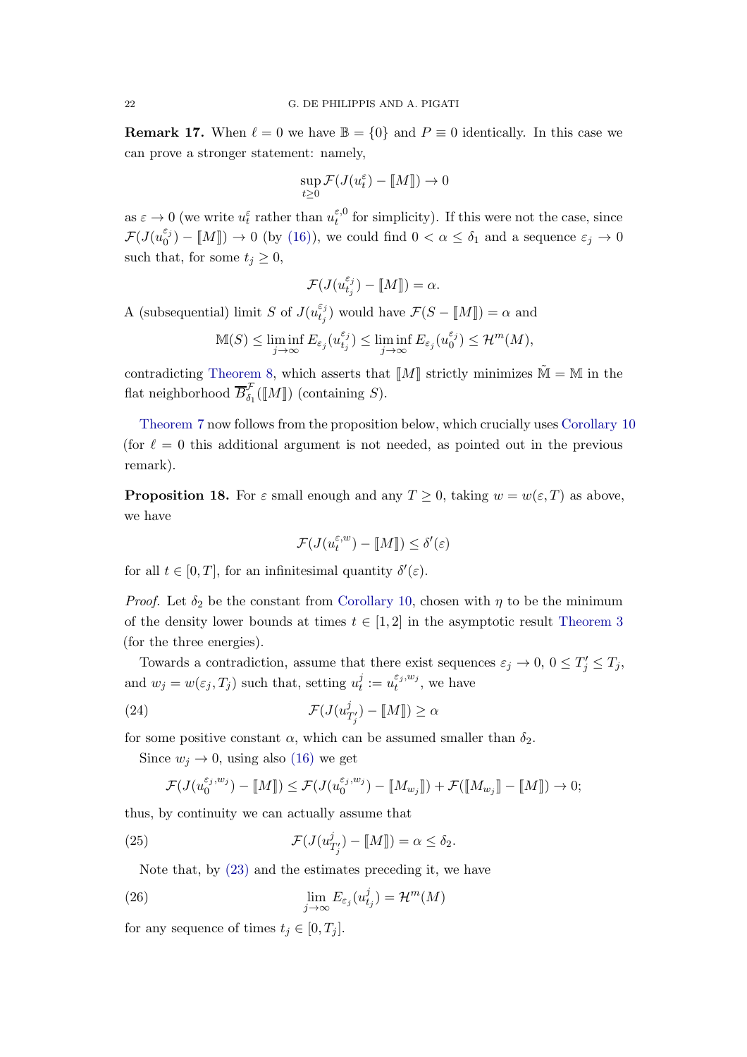**Remark 17.** When  $\ell = 0$  we have  $\mathbb{B} = \{0\}$  and  $P \equiv 0$  identically. In this case we can prove a stronger statement: namely,

$$
\sup_{t\geq 0} \mathcal{F}(J(u_t^{\varepsilon}) - [\![M]\!]) \to 0
$$

as  $\varepsilon \to 0$  (we write  $u_t^{\varepsilon}$  rather than  $u_t^{\varepsilon,0}$  $t_t^{\varepsilon,0}$  for simplicity). If this were not the case, since  $\mathcal{F}(J(u_0^{\varepsilon_j}))$  $\binom{\varepsilon_0}{0}$  –  $\llbracket M \rrbracket$   $\to$  0 (by [\(16\)\)](#page-11-4), we could find  $0 < \alpha \leq \delta_1$  and a sequence  $\varepsilon_j \to 0$ such that, for some  $t_j \geq 0$ ,

$$
\mathcal{F}(J(u_{t_j}^{\varepsilon_j}) - [\![M]\!]) = \alpha.
$$

A (subsequential) limit S of  $J(u_{t_i}^{\varepsilon_j})$  $_{t_j}^{\epsilon_j}$ ) would have  $\mathcal{F}(S - \llbracket M \rrbracket) = \alpha$  and

$$
\mathbb{M}(S) \leq \liminf_{j \to \infty} E_{\varepsilon_j}(u_{t_j}^{\varepsilon_j}) \leq \liminf_{j \to \infty} E_{\varepsilon_j}(u_0^{\varepsilon_j}) \leq \mathcal{H}^m(M),
$$

contradicting [Theorem 8,](#page-8-0) which asserts that  $\llbracket M \rrbracket$  strictly minimizes  $\tilde{\mathbb{M}} = \mathbb{M}$  in the flat neighborhood  $\overline{B}_{\delta_1}^{\mathcal{F}}(\llbracket M \rrbracket)$  (containing S).

[Theorem 7](#page-7-0) now follows from the proposition below, which crucially uses [Corollary 10](#page-9-0) (for  $\ell = 0$  this additional argument is not needed, as pointed out in the previous remark).

**Proposition 18.** For  $\varepsilon$  small enough and any  $T \geq 0$ , taking  $w = w(\varepsilon, T)$  as above, we have

$$
\mathcal{F}(J(u_t^{\varepsilon,w}) - [\![M]\!]) \le \delta'(\varepsilon)
$$

for all  $t \in [0, T]$ , for an infinitesimal quantity  $\delta'(\varepsilon)$ .

*Proof.* Let  $\delta_2$  be the constant from [Corollary 10,](#page-9-0) chosen with  $\eta$  to be the minimum of the density lower bounds at times  $t \in [1,2]$  in the asymptotic result [Theorem 3](#page-6-3) (for the three energies).

Towards a contradiction, assume that there exist sequences  $\varepsilon_j \to 0$ ,  $0 \le T'_j \le T_j$ , and  $w_j = w(\varepsilon_j, T_j)$  such that, setting  $u_t^j$  $t_i^j := u_t^{\varepsilon_j, w_j}$  $t^{ij,w_j}$ , we have

(24) 
$$
\mathcal{F}(J(u_{T'_j}^j) - [\![M]\!]) \ge \alpha
$$

for some positive constant  $\alpha$ , which can be assumed smaller than  $\delta_2$ .

Since  $w_j \rightarrow 0$ , using also [\(16\)](#page-11-4) we get

$$
\mathcal{F}(J(u_0^{\varepsilon_j,w_j}) - [\![M]\!]) \leq \mathcal{F}(J(u_0^{\varepsilon_j,w_j}) - [\![M_{w_j}]\!]) + \mathcal{F}([\![M_{w_j}]\!] - [\![M]\!]) \to 0;
$$

thus, by continuity we can actually assume that

<span id="page-21-0"></span>(25) 
$$
\mathcal{F}(J(u_{T'_j}^j) - [\![M]\!]) = \alpha \leq \delta_2.
$$

Note that, by [\(23\)](#page-20-2) and the estimates preceding it, we have

(26) 
$$
\lim_{j \to \infty} E_{\varepsilon_j}(u_{t_j}^j) = \mathcal{H}^m(M)
$$

for any sequence of times  $t_i \in [0, T_i]$ .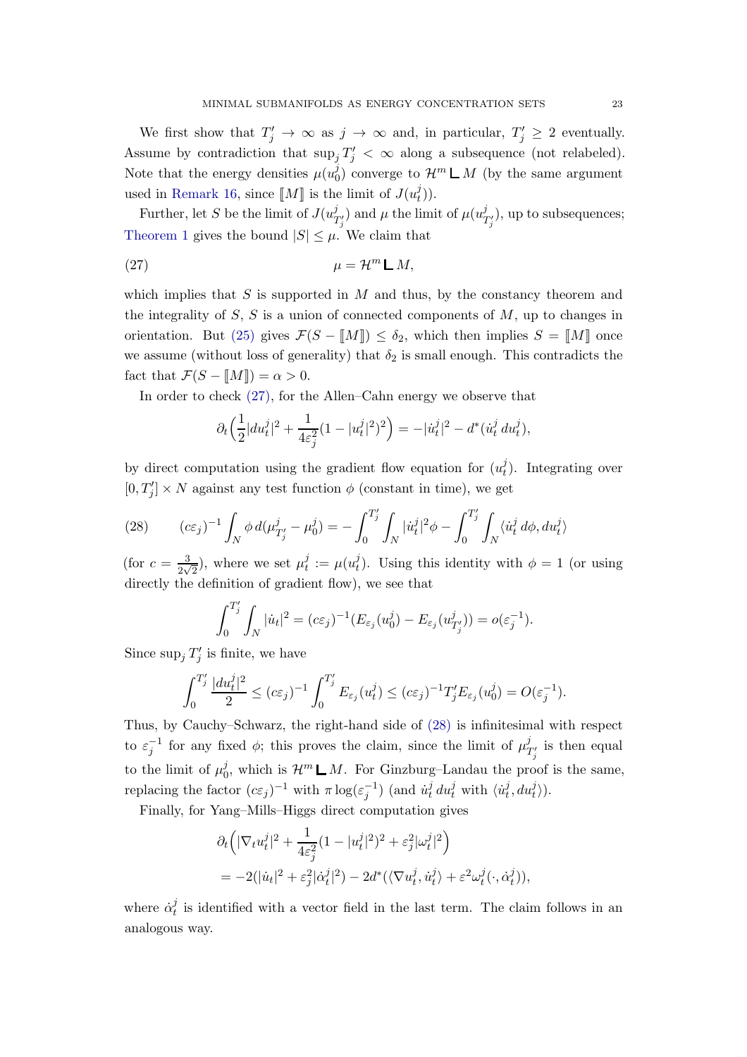We first show that  $T'_j \to \infty$  as  $j \to \infty$  and, in particular,  $T'_j \geq 2$  eventually. Assume by contradiction that  $\sup_j T'_j < \infty$  along a subsequence (not relabeled). Note that the energy densities  $\mu(u_0^j)$  $\mathcal{O}_0^j$  converge to  $\mathcal{H}^m \mathsf{L} M$  (by the same argument used in [Remark 16,](#page-12-1) since  $\llbracket M \rrbracket$  is the limit of  $J(u_t^j)$  $_{t}^{j}$ )).

Further, let S be the limit of  $J(u)$  $\mathcal{L}^{j}_{T'_{j}}$  and  $\mu$  the limit of  $\mu(u_1^j)$  $T'_{j}$ , up to subsequences; [Theorem 1](#page-4-0) gives the bound  $|S| \leq \mu$ . We claim that

<span id="page-22-0"></span>
$$
\mu = \mathcal{H}^m \mathsf{L} M,
$$

which implies that  $S$  is supported in  $M$  and thus, by the constancy theorem and the integrality of  $S$ ,  $S$  is a union of connected components of  $M$ , up to changes in orientation. But [\(25\)](#page-21-0) gives  $\mathcal{F}(S - M_{\mathbb{I}}) \le \delta_2$ , which then implies  $S = M_{\mathbb{I}}$  once we assume (without loss of generality) that  $\delta_2$  is small enough. This contradicts the fact that  $\mathcal{F}(S - M\|) = \alpha > 0$ .

In order to check [\(27\),](#page-22-0) for the Allen–Cahn energy we observe that

$$
\partial_t \left( \frac{1}{2} |du_t^j|^2 + \frac{1}{4\varepsilon_j^2} (1 - |u_t^j|^2)^2 \right) = -|\dot{u}_t^j|^2 - d^*(\dot{u}_t^j du_t^j),
$$

by direct computation using the gradient flow equation for  $(u_t^j)$  $_{t}^{j}$ ). Integrating over  $[0, T'_j] \times N$  against any test function  $\phi$  (constant in time), we get

<span id="page-22-1"></span>(28) 
$$
(c\varepsilon_j)^{-1} \int_N \phi \, d(\mu_{T'_j}^j - \mu_0^j) = - \int_0^{T'_j} \int_N |\dot{u}_t^j|^2 \phi - \int_0^{T'_j} \int_N \langle \dot{u}_t^j \, d\phi, du_t^j \rangle
$$

(for  $c = \frac{3}{3}$  $\frac{3}{2\sqrt{2}}$ ), where we set  $\mu_t^j$  $t^j_t := \mu(u_t^j)$  $t<sub>t</sub><sup>j</sup>$ ). Using this identity with  $\phi = 1$  (or using directly the definition of gradient flow), we see that

$$
\int_0^{T'_j} \int_N |\dot{u}_t|^2 = (c\varepsilon_j)^{-1} (E_{\varepsilon_j}(u_0^j) - E_{\varepsilon_j}(u_{T'_j}^j)) = o(\varepsilon_j^{-1}).
$$

Since  $\sup_j T'_j$  is finite, we have

$$
\int_0^{T'_j} \frac{|du_t^j|^2}{2} \le (c\varepsilon_j)^{-1} \int_0^{T'_j} E_{\varepsilon_j}(u_t^j) \le (c\varepsilon_j)^{-1} T'_j E_{\varepsilon_j}(u_0^j) = O(\varepsilon_j^{-1}).
$$

Thus, by Cauchy–Schwarz, the right-hand side of [\(28\)](#page-22-1) is infinitesimal with respect to  $\varepsilon_j^{-1}$  for any fixed  $\phi$ ; this proves the claim, since the limit of  $\mu_1^j$  $T'_j$  is then equal to the limit of  $\mu_0^j$ <sup>0</sup><sub>0</sub>, which is  $\mathcal{H}^m \mathsf{L} M$ . For Ginzburg–Landau the proof is the same, replacing the factor  $(c\varepsilon_j)^{-1}$  with  $\pi \log(\varepsilon_j^{-1})$  (and  $\dot{u}_t^j$  $\frac{j}{t} du_t^j$  with  $\langle \dot{u}_t^j \rangle$  $\langle i, du_t^j \rangle$ ).

Finally, for Yang–Mills–Higgs direct computation gives

$$
\partial_t \left( |\nabla_t u_t^j|^2 + \frac{1}{4\varepsilon_j^2} (1 - |u_t^j|^2)^2 + \varepsilon_j^2 |\omega_t^j|^2 \right)
$$
  
= 
$$
-2(|\dot{u}_t|^2 + \varepsilon_j^2 |\dot{\alpha}_t^j|^2) - 2d^*(\langle \nabla u_t^j, \dot{u}_t^j \rangle + \varepsilon^2 \omega_t^j(\cdot, \dot{\alpha}_t^j)),
$$

where  $\dot{\alpha}_t^j$  $_t^j$  is identified with a vector field in the last term. The claim follows in an analogous way.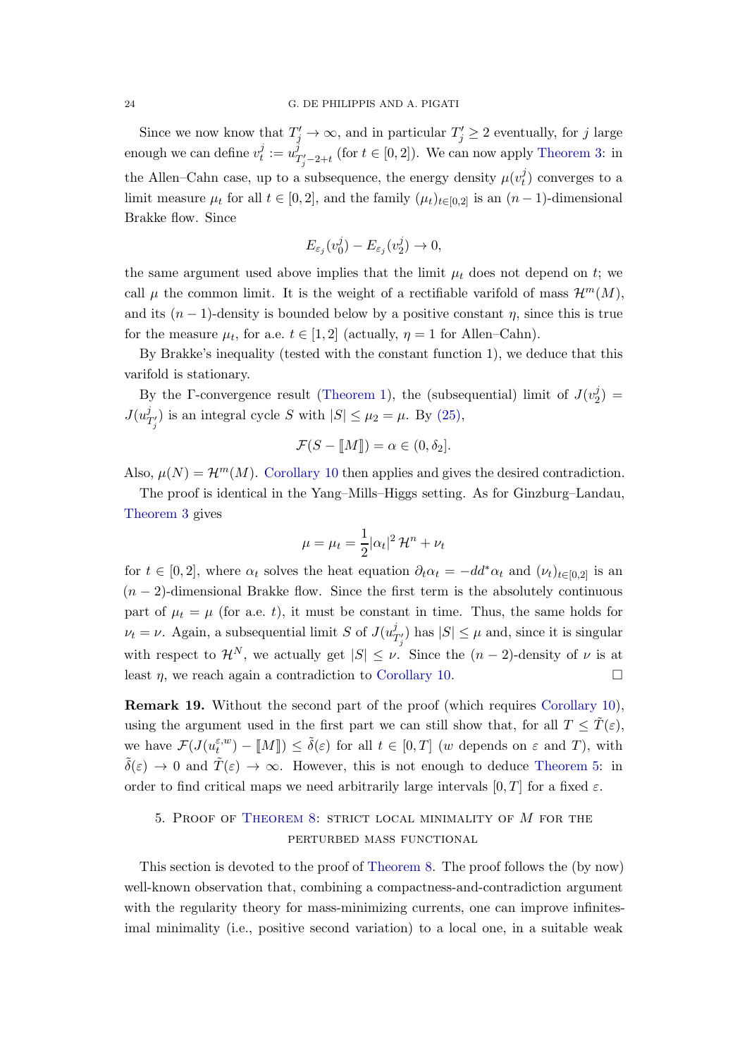Since we now know that  $T'_j \to \infty$ , and in particular  $T'_j \geq 2$  eventually, for j large enough we can define  $v_t^j$  $i_t^j := u_1^j$  $T'_{j'-2+t}$  (for  $t \in [0,2]$ ). We can now apply [Theorem 3:](#page-6-3) in the Allen–Cahn case, up to a subsequence, the energy density  $\mu(v_t^j)$  $t$ ) converges to a limit measure  $\mu_t$  for all  $t \in [0,2]$ , and the family  $(\mu_t)_{t \in [0,2]}$  is an  $(n-1)$ -dimensional Brakke flow. Since

$$
E_{\varepsilon_j}(v_0^j) - E_{\varepsilon_j}(v_2^j) \to 0,
$$

the same argument used above implies that the limit  $\mu_t$  does not depend on t; we call  $\mu$  the common limit. It is the weight of a rectifiable varifold of mass  $\mathcal{H}^m(M)$ , and its  $(n - 1)$ -density is bounded below by a positive constant  $\eta$ , since this is true for the measure  $\mu_t$ , for a.e.  $t \in [1,2]$  (actually,  $\eta = 1$  for Allen–Cahn).

By Brakke's inequality (tested with the constant function 1), we deduce that this varifold is stationary.

By the Γ-convergence result [\(Theorem 1\)](#page-4-0), the (subsequential) limit of  $J(v_2^j)$  $_{2}^{j}) =$  $J(u^j_{\eta})$  $\mathcal{J}'_{T'_j}$  is an integral cycle S with  $|S| \leq \mu_2 = \mu$ . By [\(25\),](#page-21-0)

$$
\mathcal{F}(S - \llbracket M \rrbracket) = \alpha \in (0, \delta_2].
$$

Also,  $\mu(N) = \mathcal{H}^m(M)$ . [Corollary 10](#page-9-0) then applies and gives the desired contradiction.

The proof is identical in the Yang–Mills–Higgs setting. As for Ginzburg–Landau, [Theorem 3](#page-6-3) gives

$$
\mu = \mu_t = \frac{1}{2} |\alpha_t|^2 \mathcal{H}^n + \nu_t
$$

for  $t \in [0,2]$ , where  $\alpha_t$  solves the heat equation  $\partial_t \alpha_t = -dd^* \alpha_t$  and  $(\nu_t)_{t \in [0,2]}$  is an  $(n-2)$ -dimensional Brakke flow. Since the first term is the absolutely continuous part of  $\mu_t = \mu$  (for a.e. t), it must be constant in time. Thus, the same holds for  $\nu_t = \nu$ . Again, a subsequential limit S of  $J(u)$ <sup>j</sup>  $\binom{J}{T'_j}$  has  $|S| \leq \mu$  and, since it is singular with respect to  $\mathcal{H}^N$ , we actually get  $|S| \leq \nu$ . Since the  $(n-2)$ -density of  $\nu$  is at least  $\eta$ , we reach again a contradiction to [Corollary 10.](#page-9-0)

Remark 19. Without the second part of the proof (which requires [Corollary 10\)](#page-9-0), using the argument used in the first part we can still show that, for all  $T \leq \tilde{T}(\varepsilon)$ , we have  $\mathcal{F}(J(u_t^{\varepsilon,w})$  $\tilde{t}_t^{(k)}$  –  $[M]$ )  $\leq \tilde{\delta}(\varepsilon)$  for all  $t \in [0,T]$  (w depends on  $\varepsilon$  and  $T$ ), with  $\tilde{\delta}(\varepsilon) \to 0$  and  $\tilde{T}(\varepsilon) \to \infty$ . However, this is not enough to deduce [Theorem 5:](#page-6-1) in order to find critical maps we need arbitrarily large intervals  $[0, T]$  for a fixed  $\varepsilon$ .

# <span id="page-23-0"></span>5. Proof of [Theorem 8:](#page-8-0) strict local minimality of M for the perturbed mass functional

This section is devoted to the proof of [Theorem 8.](#page-8-0) The proof follows the (by now) well-known observation that, combining a compactness-and-contradiction argument with the regularity theory for mass-minimizing currents, one can improve infinitesimal minimality (i.e., positive second variation) to a local one, in a suitable weak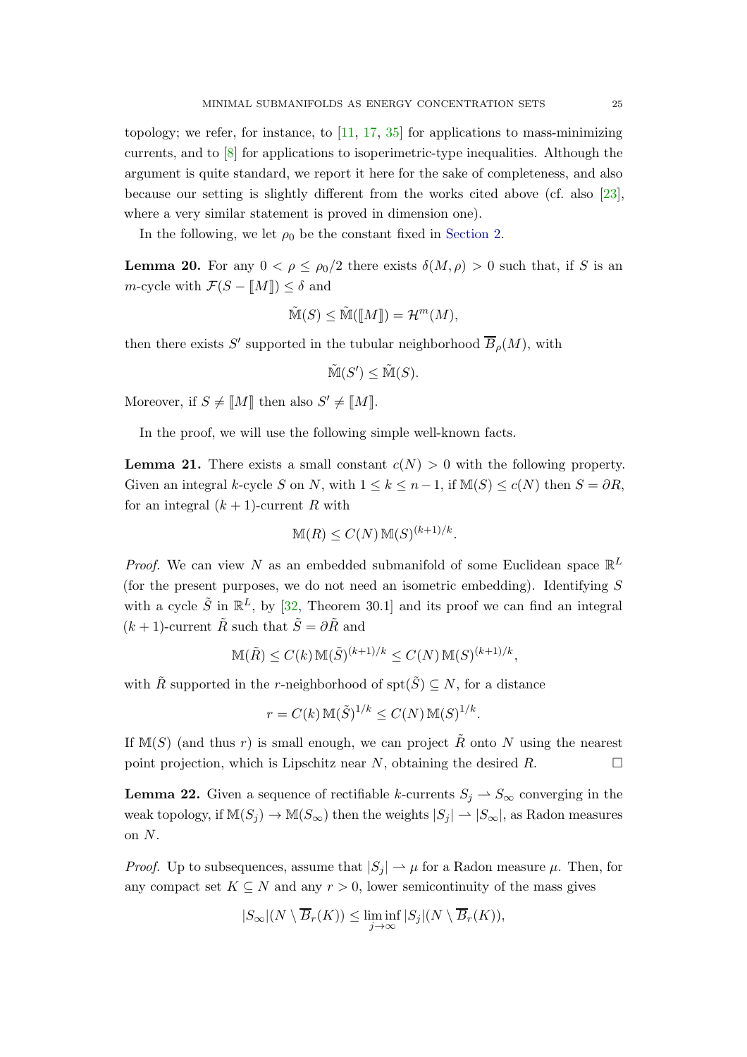topology; we refer, for instance, to  $[11, 17, 35]$  $[11, 17, 35]$  $[11, 17, 35]$  $[11, 17, 35]$  for applications to mass-minimizing currents, and to [\[8\]](#page-43-7) for applications to isoperimetric-type inequalities. Although the argument is quite standard, we report it here for the sake of completeness, and also because our setting is slightly different from the works cited above (cf. also [\[23\]](#page-44-16), where a very similar statement is proved in dimension one).

<span id="page-24-0"></span>In the following, we let  $\rho_0$  be the constant fixed in [Section 2.](#page-10-0)

**Lemma 20.** For any  $0 < \rho \le \rho_0/2$  there exists  $\delta(M, \rho) > 0$  such that, if S is an m-cycle with  $\mathcal{F}(S - M\mathbb{I}) \leq \delta$  and

$$
\tilde{\mathbb{M}}(S) \le \tilde{\mathbb{M}}(\llbracket M \rrbracket) = \mathcal{H}^m(M),
$$

then there exists S' supported in the tubular neighborhood  $B_{\rho}(M)$ , with

$$
\tilde{\mathbb{M}}(S') \leq \tilde{\mathbb{M}}(S).
$$

Moreover, if  $S \neq [M]$  then also  $S' \neq [M]$ .

<span id="page-24-1"></span>In the proof, we will use the following simple well-known facts.

**Lemma 21.** There exists a small constant  $c(N) > 0$  with the following property. Given an integral k-cycle S on N, with  $1 \leq k \leq n-1$ , if  $M(S) \leq c(N)$  then  $S = \partial R$ , for an integral  $(k + 1)$ -current R with

$$
\mathbb{M}(R) \le C(N) \mathbb{M}(S)^{(k+1)/k}.
$$

*Proof.* We can view N as an embedded submanifold of some Euclidean space  $\mathbb{R}^L$ (for the present purposes, we do not need an isometric embedding). Identifying  $S$ with a cycle  $\tilde{S}$  in  $\mathbb{R}^L$ , by [\[32,](#page-45-1) Theorem 30.1] and its proof we can find an integral  $(k+1)$ -current  $\tilde{R}$  such that  $\tilde{S} = \partial \tilde{R}$  and

$$
\mathbb{M}(\tilde{R}) \le C(k) \mathbb{M}(\tilde{S})^{(k+1)/k} \le C(N) \mathbb{M}(S)^{(k+1)/k},
$$

with  $\tilde{R}$  supported in the r-neighborhood of  $\operatorname{spt}(\tilde{S}) \subseteq N$ , for a distance

$$
r = C(k) \mathbb{M}(\tilde{S})^{1/k} \le C(N) \mathbb{M}(S)^{1/k}.
$$

If M(S) (and thus r) is small enough, we can project  $\tilde{R}$  onto N using the nearest point projection, which is Lipschitz near N, obtaining the desired R.

<span id="page-24-2"></span>**Lemma 22.** Given a sequence of rectifiable k-currents  $S_i \rightharpoonup S_\infty$  converging in the weak topology, if  $\mathbb{M}(S_j) \to \mathbb{M}(S_{\infty})$  then the weights  $|S_j| \to |S_{\infty}|$ , as Radon measures on N.

*Proof.* Up to subsequences, assume that  $|S_i| \to \mu$  for a Radon measure  $\mu$ . Then, for any compact set  $K \subseteq N$  and any  $r > 0$ , lower semicontinuity of the mass gives

$$
|S_{\infty}|(N \setminus \overline{B}_r(K)) \leq \liminf_{j \to \infty} |S_j|(N \setminus \overline{B}_r(K)),
$$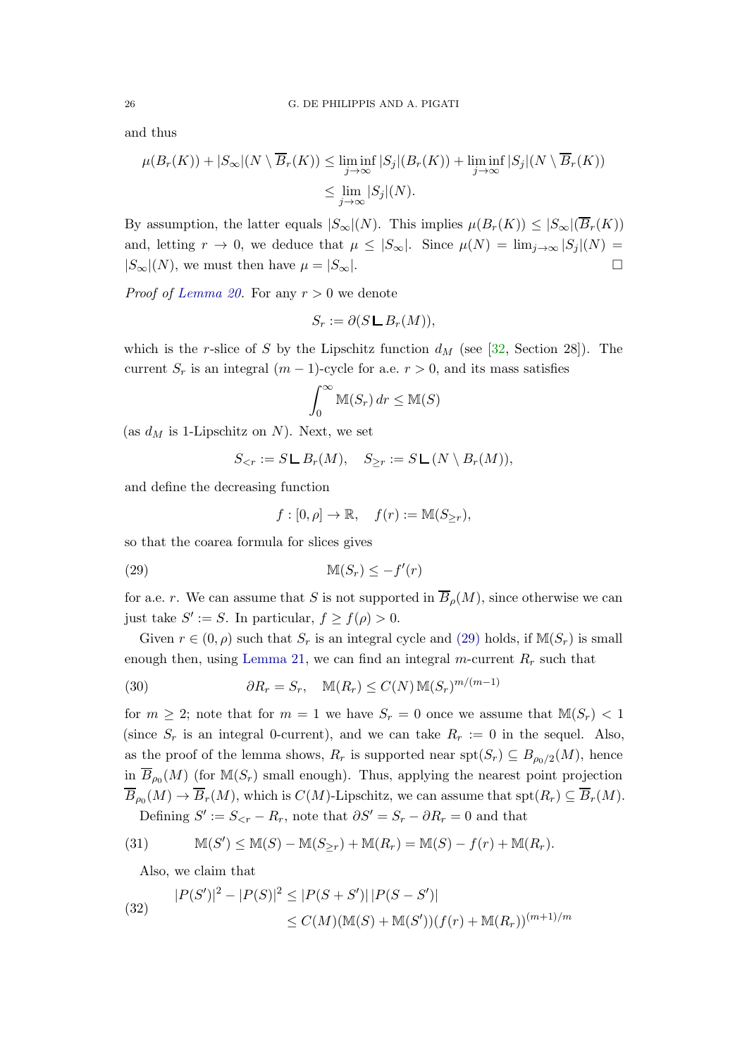and thus

$$
\mu(B_r(K)) + |S_{\infty}|(N \setminus \overline{B}_r(K)) \le \liminf_{j \to \infty} |S_j|(B_r(K)) + \liminf_{j \to \infty} |S_j|(N \setminus \overline{B}_r(K))
$$
  

$$
\le \lim_{j \to \infty} |S_j|(N).
$$

By assumption, the latter equals  $|S_\infty|(N)$ . This implies  $\mu(B_r(K)) \leq |S_\infty|(\overline{B}_r(K))$ and, letting  $r \to 0$ , we deduce that  $\mu \leq |S_{\infty}|$ . Since  $\mu(N) = \lim_{j \to \infty} |S_j|(N) =$  $|S_{\infty}|(N)$ , we must then have  $\mu = |S_{\infty}|$ .

*Proof of [Lemma 20.](#page-24-0)* For any  $r > 0$  we denote

$$
S_r := \partial (S \mathop{\mathsf{L}} B_r(M)),
$$

which is the r-slice of S by the Lipschitz function  $d_M$  (see [\[32,](#page-45-1) Section 28]). The current  $S_r$  is an integral  $(m-1)$ -cycle for a.e.  $r > 0$ , and its mass satisfies

$$
\int_0^\infty \mathbb{M}(S_r) \, dr \leq \mathbb{M}(S)
$$

(as  $d_M$  is 1-Lipschitz on N). Next, we set

$$
S_{\leq r} := S \mathsf{L}\, B_r(M), \quad S_{\geq r} := S \mathsf{L}\, (N \setminus B_r(M)),
$$

and define the decreasing function

$$
f:[0,\rho]\to\mathbb{R},\quad f(r):=\mathbb{M}(S_{\geq r}),
$$

so that the coarea formula for slices gives

<span id="page-25-0"></span><sup>M</sup>(Sr) ≤ −<sup>f</sup> ′ (29) (r)

for a.e. r. We can assume that S is not supported in  $\overline{B}_o(M)$ , since otherwise we can just take  $S' := S$ . In particular,  $f \ge f(\rho) > 0$ .

Given  $r \in (0, \rho)$  such that  $S_r$  is an integral cycle and [\(29\)](#page-25-0) holds, if  $\mathbb{M}(S_r)$  is small enough then, using [Lemma 21,](#page-24-1) we can find an integral m-current  $R_r$  such that

<span id="page-25-1"></span>(30) 
$$
\partial R_r = S_r, \quad \mathbb{M}(R_r) \le C(N) \mathbb{M}(S_r)^{m/(m-1)}
$$

for  $m \geq 2$ ; note that for  $m = 1$  we have  $S_r = 0$  once we assume that  $\mathbb{M}(S_r) < 1$ (since  $S_r$  is an integral 0-current), and we can take  $R_r := 0$  in the sequel. Also, as the proof of the lemma shows,  $R_r$  is supported near  $\text{spt}(S_r) \subseteq B_{\rho_0/2}(M)$ , hence in  $\overline{B}_{\rho_0}(M)$  (for  $\mathbb{M}(S_r)$  small enough). Thus, applying the nearest point projection  $B_{\rho_0}(M) \to B_r(M)$ , which is  $C(M)$ -Lipschitz, we can assume that  $\text{spt}(R_r) \subseteq B_r(M)$ . Defining  $S' := S_{\leq r} - R_r$ , note that  $\partial S' = S_r - \partial R_r = 0$  and that

<span id="page-25-2"></span>(31) 
$$
\mathbb{M}(S') \leq \mathbb{M}(S) - \mathbb{M}(S_{\geq r}) + \mathbb{M}(R_r) = \mathbb{M}(S) - f(r) + \mathbb{M}(R_r).
$$

Also, we claim that

<span id="page-25-3"></span>(32) 
$$
|P(S')|^2 - |P(S)|^2 \le |P(S + S')| |P(S - S')|
$$

$$
\le C(M)(\mathbb{M}(S) + \mathbb{M}(S'))(f(r) + \mathbb{M}(R_r))^{(m+1)/m}
$$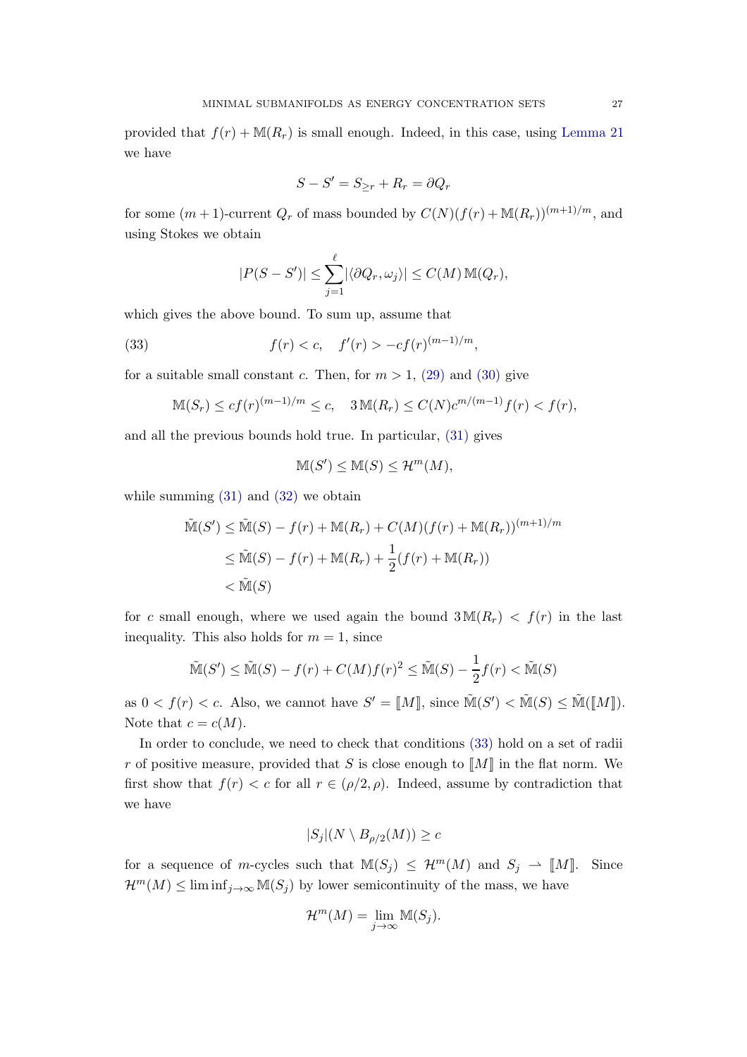provided that  $f(r) + M(R_r)$  is small enough. Indeed, in this case, using [Lemma 21](#page-24-1) we have

$$
S - S' = S_{\geq r} + R_r = \partial Q_r
$$

for some  $(m+1)$ -current  $Q_r$  of mass bounded by  $C(N)(f(r) + M(R_r))^{(m+1)/m}$ , and using Stokes we obtain

$$
|P(S - S')| \leq \sum_{j=1}^{\ell} |\langle \partial Q_r, \omega_j \rangle| \leq C(M) \, \mathbb{M}(Q_r),
$$

which gives the above bound. To sum up, assume that

<span id="page-26-0"></span>(33) 
$$
f(r) < c, \quad f'(r) > -cf(r)^{(m-1)/m},
$$

for a suitable small constant c. Then, for  $m > 1$ , [\(29\)](#page-25-0) and [\(30\)](#page-25-1) give

$$
\mathbb{M}(S_r) \le cf(r)^{(m-1)/m} \le c, \quad 3\mathbb{M}(R_r) \le C(N)c^{m/(m-1)}f(r) < f(r),
$$

and all the previous bounds hold true. In particular, [\(31\)](#page-25-2) gives

$$
\mathbb{M}(S') \le \mathbb{M}(S) \le \mathcal{H}^m(M),
$$

while summing  $(31)$  and  $(32)$  we obtain

$$
\widetilde{\mathbb{M}}(S') \leq \widetilde{\mathbb{M}}(S) - f(r) + \mathbb{M}(R_r) + C(M)(f(r) + \mathbb{M}(R_r))^{(m+1)/m}
$$
\n
$$
\leq \widetilde{\mathbb{M}}(S) - f(r) + \mathbb{M}(R_r) + \frac{1}{2}(f(r) + \mathbb{M}(R_r))
$$
\n
$$
< \widetilde{\mathbb{M}}(S)
$$

for c small enough, where we used again the bound  $3M(R_r) < f(r)$  in the last inequality. This also holds for  $m = 1$ , since

$$
\tilde{\mathbb{M}}(S') \le \tilde{\mathbb{M}}(S) - f(r) + C(M)f(r)^2 \le \tilde{\mathbb{M}}(S) - \frac{1}{2}f(r) < \tilde{\mathbb{M}}(S)
$$

as  $0 < f(r) < c$ . Also, we cannot have  $S' = [[M]],$  since  $\tilde{M}(S') < \tilde{M}(S) \le \tilde{M}([\![M]\!]).$ Note that  $c = c(M)$ .

In order to conclude, we need to check that conditions [\(33\)](#page-26-0) hold on a set of radii r of positive measure, provided that S is close enough to  $\llbracket M \rrbracket$  in the flat norm. We first show that  $f(r) < c$  for all  $r \in (\rho/2, \rho)$ . Indeed, assume by contradiction that we have

$$
|S_j|(N \setminus B_{\rho/2}(M)) \ge c
$$

for a sequence of m-cycles such that  $\mathbb{M}(S_i) \leq \mathcal{H}^m(M)$  and  $S_j \rightharpoonup [M]$ . Since  $\mathcal{H}^m(M) \leq \liminf_{j \to \infty} \mathbb{M}(S_j)$  by lower semicontinuity of the mass, we have

$$
\mathcal{H}^m(M) = \lim_{j \to \infty} \mathbb{M}(S_j).
$$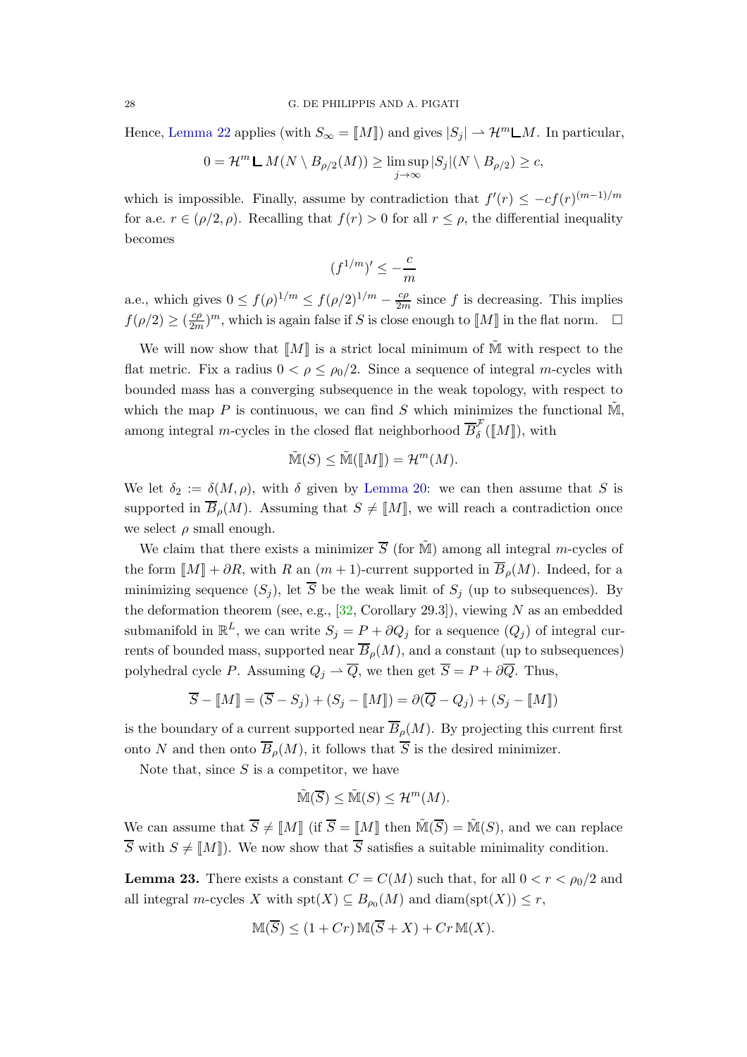Hence, [Lemma 22](#page-24-2) applies (with  $S_{\infty} = [M]$ ) and gives  $|S_i| \to \mathcal{H}^m \mathsf{L} M$ . In particular,

$$
0 = \mathcal{H}^m \mathsf{L} M(N \setminus B_{\rho/2}(M)) \ge \limsup_{j \to \infty} |S_j| (N \setminus B_{\rho/2}) \ge c,
$$

which is impossible. Finally, assume by contradiction that  $f'(r) \leq -cf(r)^{(m-1)/m}$ for a.e.  $r \in (\rho/2, \rho)$ . Recalling that  $f(r) > 0$  for all  $r \leq \rho$ , the differential inequality becomes

$$
(f^{1/m})' \le -\frac{c}{m}
$$

a.e., which gives  $0 \le f(\rho)^{1/m} \le f(\rho/2)^{1/m} - \frac{c\rho}{2m}$  since f is decreasing. This implies  $f(\rho/2) \geq (\frac{c\rho}{2m})^m$ , which is again false if S is close enough to  $\llbracket M \rrbracket$  in the flat norm.  $\Box$ 

We will now show that  $\llbracket M \rrbracket$  is a strict local minimum of M with respect to the flat metric. Fix a radius  $0 < \rho \le \rho_0/2$ . Since a sequence of integral m-cycles with bounded mass has a converging subsequence in the weak topology, with respect to which the map  $P$  is continuous, we can find  $S$  which minimizes the functional  $\tilde{M}$ . among integral *m*-cycles in the closed flat neighborhood  $\overline{B}_{\delta}^{\mathcal{F}}(\llbracket M \rrbracket)$ , with

$$
\tilde{\mathbb{M}}(S) \le \tilde{\mathbb{M}}(\llbracket M \rrbracket) = \mathcal{H}^m(M).
$$

We let  $\delta_2 := \delta(M, \rho)$ , with  $\delta$  given by [Lemma 20:](#page-24-0) we can then assume that S is supported in  $\overline{B}_{\rho}(M)$ . Assuming that  $S \neq \llbracket M \rrbracket$ , we will reach a contradiction once we select  $\rho$  small enough.

We claim that there exists a minimizer  $\overline{S}$  (for  $\tilde{M}$ ) among all integral *m*-cycles of the form  $\llbracket M \rrbracket + \partial R$ , with R an  $(m+1)$ -current supported in  $\overline{B}_\rho(M)$ . Indeed, for a minimizing sequence  $(S_i)$ , let  $\overline{S}$  be the weak limit of  $S_j$  (up to subsequences). By the deformation theorem (see, e.g.,  $[32,$  Corollary 29.3]), viewing N as an embedded submanifold in  $\mathbb{R}^L$ , we can write  $S_j = P + \partial Q_j$  for a sequence  $(Q_j)$  of integral currents of bounded mass, supported near  $\overline{B}_{\rho}(M)$ , and a constant (up to subsequences) polyhedral cycle P. Assuming  $Q_j \rightharpoonup \overline{Q}$ , we then get  $\overline{S} = P + \partial \overline{Q}$ . Thus,

$$
\overline{S} - [M] = (\overline{S} - S_j) + (S_j - [M]) = \partial(\overline{Q} - Q_j) + (S_j - [M])
$$

is the boundary of a current supported near  $\overline{B}_{\rho}(M)$ . By projecting this current first onto N and then onto  $\overline{B}_o(M)$ , it follows that  $\overline{S}$  is the desired minimizer.

Note that, since  $S$  is a competitor, we have

$$
\tilde{\mathbb{M}}(\overline{S}) \leq \tilde{\mathbb{M}}(S) \leq \mathcal{H}^m(M).
$$

We can assume that  $\overline{S} \neq \llbracket M \rrbracket$  (if  $\overline{S} = \llbracket M \rrbracket$  then  $\widetilde{\mathbb{M}}(\overline{S}) = \widetilde{\mathbb{M}}(S)$ , and we can replace  $\overline{S}$  with  $S \neq \llbracket M \rrbracket$ . We now show that  $\overline{S}$  satisfies a suitable minimality condition.

**Lemma 23.** There exists a constant  $C = C(M)$  such that, for all  $0 < r < \rho_0/2$  and all integral *m*-cycles X with  $\text{spt}(X) \subseteq B_{\rho_0}(M)$  and  $\text{diam}(\text{spt}(X)) \leq r$ ,

$$
\mathbb{M}(\overline{S}) \le (1 + Cr) \mathbb{M}(\overline{S} + X) + Cr \mathbb{M}(X).
$$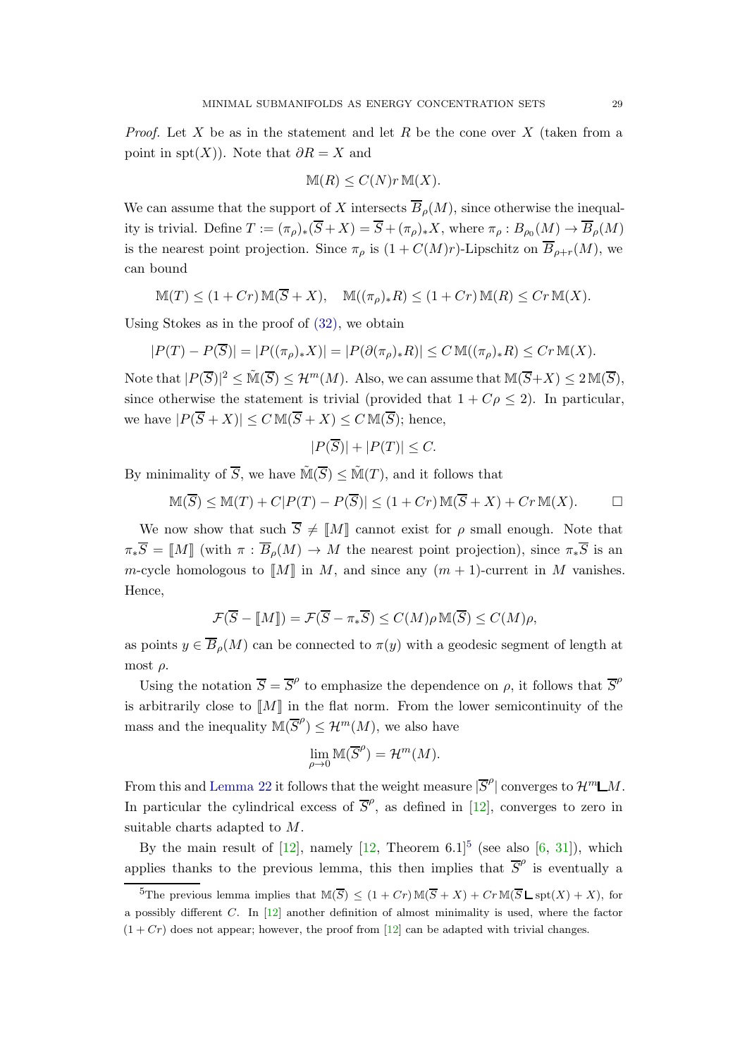*Proof.* Let X be as in the statement and let R be the cone over X (taken from a point in spt $(X)$ ). Note that  $\partial R = X$  and

$$
\mathbb{M}(R) \le C(N)r \mathbb{M}(X).
$$

We can assume that the support of X intersects  $\overline{B}_{\rho}(M)$ , since otherwise the inequality is trivial. Define  $T := (\pi_{\rho})_*(S+X) = S + (\pi_{\rho})_*X$ , where  $\pi_{\rho} : B_{\rho_0}(M) \to B_{\rho}(M)$ is the nearest point projection. Since  $\pi_{\rho}$  is  $(1 + C(M)r)$ -Lipschitz on  $\overline{B}_{\rho+r}(M)$ , we can bound

$$
\mathbb{M}(T) \le (1 + Cr) \mathbb{M}(\overline{S} + X), \quad \mathbb{M}((\pi_{\rho})_{*}R) \le (1 + Cr) \mathbb{M}(R) \le Cr \mathbb{M}(X).
$$

Using Stokes as in the proof of [\(32\),](#page-25-3) we obtain

$$
|P(T) - P(\overline{S})| = |P((\pi_{\rho})_* X)| = |P(\partial(\pi_{\rho})_* R)| \le C \mathbb{M}((\pi_{\rho})_* R) \le C r \mathbb{M}(X).
$$

Note that  $|P(\overline{S})|^2 \leq \tilde{M}(\overline{S}) \leq \mathcal{H}^m(M)$ . Also, we can assume that  $\mathbb{M}(\overline{S}+X) \leq 2\mathbb{M}(\overline{S})$ , since otherwise the statement is trivial (provided that  $1 + C\rho \leq 2$ ). In particular, we have  $|P(\overline{S}+X)| \leq C \mathbb{M}(\overline{S}+X) \leq C \mathbb{M}(\overline{S});$  hence,

$$
|P(\overline{S})| + |P(T)| \le C.
$$

By minimality of  $\overline{S}$ , we have  $\tilde{\mathbb{M}}(\overline{S}) \leq \tilde{\mathbb{M}}(T)$ , and it follows that

$$
\mathbb{M}(\overline{S}) \leq \mathbb{M}(T) + C|P(T) - P(\overline{S})| \leq (1 + Cr)\mathbb{M}(\overline{S} + X) + Cr\mathbb{M}(X). \qquad \Box
$$

We now show that such  $\overline{S} \neq \llbracket M \rrbracket$  cannot exist for  $\rho$  small enough. Note that  $\pi_*\overline{S} = \llbracket M \rrbracket$  (with  $\pi : \overline{B}_o(M) \to M$  the nearest point projection), since  $\pi_*\overline{S}$  is an m-cycle homologous to  $\llbracket M \rrbracket$  in M, and since any  $(m + 1)$ -current in M vanishes. Hence,

$$
\mathcal{F}(\overline{S} - [\![M]\!]) = \mathcal{F}(\overline{S} - \pi_*\overline{S}) \le C(M)\rho \mathbb{M}(\overline{S}) \le C(M)\rho,
$$

as points  $y \in \overline{B}_o(M)$  can be connected to  $\pi(y)$  with a geodesic segment of length at most  $\rho$ .

Using the notation  $\overline{S} = \overline{S}^{\rho}$  to emphasize the dependence on  $\rho$ , it follows that  $\overline{S}^{\rho}$ is arbitrarily close to  $\llbracket M \rrbracket$  in the flat norm. From the lower semicontinuity of the mass and the inequality  $\mathbb{M}(\overline{S}^{\rho}) \leq \mathcal{H}^{m}(M)$ , we also have

$$
\lim_{\rho \to 0} \mathbb{M}(\overline{S}^{\rho}) = \mathcal{H}^m(M).
$$

From this and [Lemma 22](#page-24-2) it follows that the weight measure  $|\overline{S}^{\rho}|$  converges to  $\mathcal{H}^m \Box M$ . In particular the cylindrical excess of  $\overline{S}^{\rho}$ , as defined in [\[12\]](#page-44-20), converges to zero in suitable charts adapted to M.

By the main result of  $[12]$ , namely  $[12]$ , Theorem 6.1<sup>[5](#page-28-0)</sup> (see also  $[6, 31]$  $[6, 31]$ ), which applies thanks to the previous lemma, this then implies that  $\overline{S}^{\rho}$  is eventually a

<span id="page-28-0"></span><sup>&</sup>lt;sup>5</sup>The previous lemma implies that  $\mathbb{M}(\overline{S}) \leq (1 + Cr)\mathbb{M}(\overline{S} + X) + Cr\mathbb{M}(\overline{S} \sqcup \text{spt}(X) + X)$ , for a possibly different  $C$ . In  $[12]$  another definition of almost minimality is used, where the factor  $(1 + Cr)$  does not appear; however, the proof from [\[12\]](#page-44-20) can be adapted with trivial changes.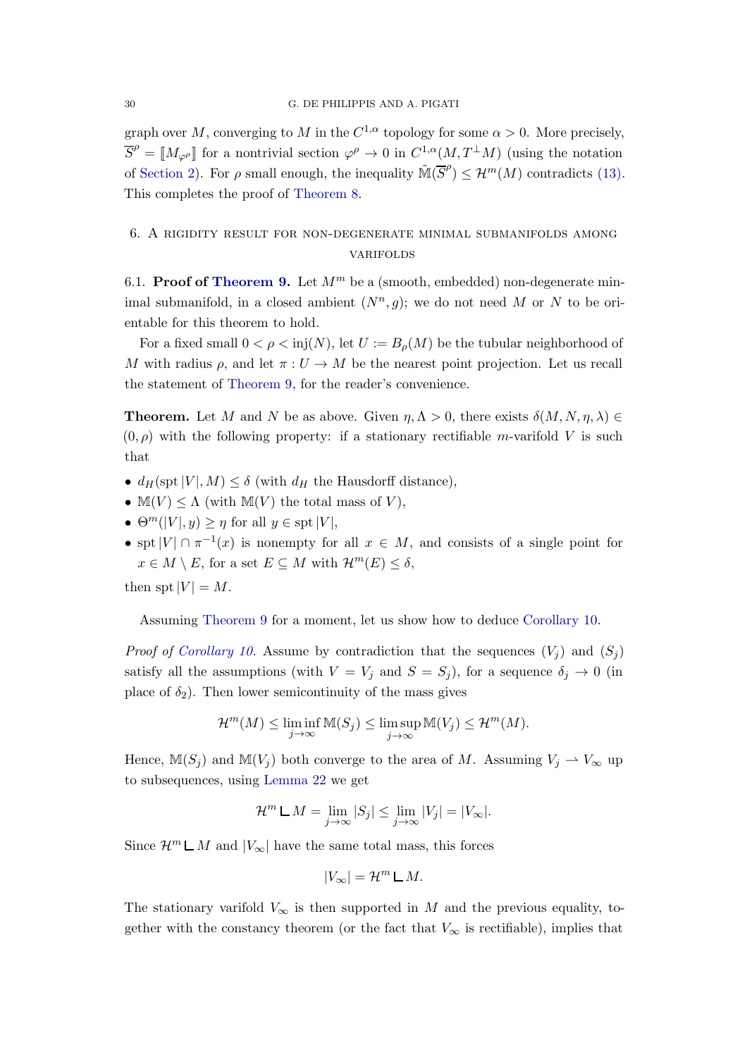graph over M, converging to M in the  $C^{1,\alpha}$  topology for some  $\alpha > 0$ . More precisely,  $\overline{S}^{\rho} = M_{\varphi^{\rho}}$  for a nontrivial section  $\varphi^{\rho} \to 0$  in  $C^{1,\alpha}(M, T^{\perp}M)$  (using the notation of [Section 2\)](#page-10-0). For  $\rho$  small enough, the inequality  $\tilde{M}(\overline{S}^{\rho}) \leq \mathcal{H}^{m}(M)$  contradicts [\(13\).](#page-11-6) This completes the proof of [Theorem 8.](#page-8-0)

# <span id="page-29-1"></span><span id="page-29-0"></span>6. A rigidity result for non-degenerate minimal submanifolds among **VARIFOLDS**

6.1. Proof of [Theorem 9.](#page-9-1) Let  $M^m$  be a (smooth, embedded) non-degenerate minimal submanifold, in a closed ambient  $(N^n, g)$ ; we do not need M or N to be orientable for this theorem to hold.

For a fixed small  $0 < \rho < \text{inj}(N)$ , let  $U := B_{\rho}(M)$  be the tubular neighborhood of M with radius  $\rho$ , and let  $\pi: U \to M$  be the nearest point projection. Let us recall the statement of [Theorem 9,](#page-9-1) for the reader's convenience.

**Theorem.** Let M and N be as above. Given  $\eta, \Lambda > 0$ , there exists  $\delta(M, N, \eta, \lambda) \in$  $(0, \rho)$  with the following property: if a stationary rectifiable m-varifold V is such that

- $d_H(\text{spt}|V|, M) \leq \delta$  (with  $d_H$  the Hausdorff distance),
- $\mathbb{M}(V) \leq \Lambda$  (with  $\mathbb{M}(V)$  the total mass of V),
- $\Theta^m(|V|, y) \geq \eta$  for all  $y \in \text{spt}|V|$ ,
- spt  $|V| \cap \pi^{-1}(x)$  is nonempty for all  $x \in M$ , and consists of a single point for  $x \in M \setminus E$ , for a set  $E \subseteq M$  with  $\mathcal{H}^m(E) \leq \delta$ ,

then spt  $|V| = M$ .

Assuming [Theorem 9](#page-9-1) for a moment, let us show how to deduce [Corollary 10.](#page-9-0)

*Proof of [Corollary 10.](#page-9-0)* Assume by contradiction that the sequences  $(V_i)$  and  $(S_i)$ satisfy all the assumptions (with  $V = V_j$  and  $S = S_j$ ), for a sequence  $\delta_j \to 0$  (in place of  $\delta_2$ ). Then lower semicontinuity of the mass gives

$$
\mathcal{H}^m(M) \leq \liminf_{j \to \infty} \mathbb{M}(S_j) \leq \limsup_{j \to \infty} \mathbb{M}(V_j) \leq \mathcal{H}^m(M).
$$

Hence,  $\mathbb{M}(S_i)$  and  $\mathbb{M}(V_j)$  both converge to the area of M. Assuming  $V_j \rightharpoonup V_\infty$  up to subsequences, using [Lemma 22](#page-24-2) we get

$$
\mathcal{H}^m \mathsf{L} M = \lim_{j \to \infty} |S_j| \le \lim_{j \to \infty} |V_j| = |V_{\infty}|.
$$

Since  $\mathcal{H}^m \mathsf{L} M$  and  $|V_\infty|$  have the same total mass, this forces

$$
|V_{\infty}| = \mathcal{H}^m \mathop{\mathsf{L}} M.
$$

The stationary varifold  $V_{\infty}$  is then supported in M and the previous equality, together with the constancy theorem (or the fact that  $V_{\infty}$  is rectifiable), implies that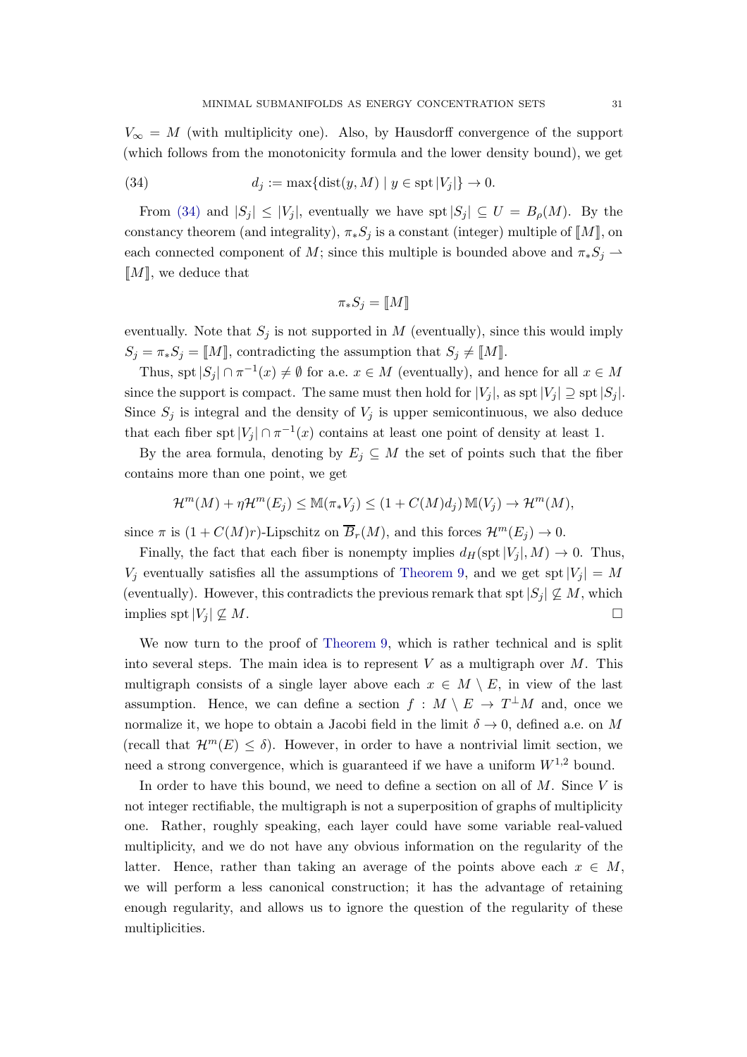$V_{\infty} = M$  (with multiplicity one). Also, by Hausdorff convergence of the support (which follows from the monotonicity formula and the lower density bound), we get

<span id="page-30-0"></span>(34) 
$$
d_j := \max\{\text{dist}(y, M) \mid y \in \text{spt } |V_j|\} \to 0.
$$

From [\(34\)](#page-30-0) and  $|S_i| \leq |V_i|$ , eventually we have spt  $|S_i| \subseteq U = B_\rho(M)$ . By the constancy theorem (and integrality),  $\pi_* S_j$  is a constant (integer) multiple of  $\llbracket M \rrbracket$ , on each connected component of M; since this multiple is bounded above and  $\pi_* S_j \rightharpoonup$  $\llbracket M \rrbracket$ , we deduce that

$$
\pi_*S_j=[\![M]\!]
$$

eventually. Note that  $S_j$  is not supported in M (eventually), since this would imply  $S_j = \pi_* S_j = \llbracket M \rrbracket$ , contradicting the assumption that  $S_j \neq \llbracket M \rrbracket$ .

Thus, spt  $|S_j| \cap \pi^{-1}(x) \neq \emptyset$  for a.e.  $x \in M$  (eventually), and hence for all  $x \in M$ since the support is compact. The same must then hold for  $|V_j|$ , as spt $|V_j| \supseteq$  spt $|S_j|$ . Since  $S_i$  is integral and the density of  $V_i$  is upper semicontinuous, we also deduce that each fiber spt  $|V_j| \cap \pi^{-1}(x)$  contains at least one point of density at least 1.

By the area formula, denoting by  $E_j \subseteq M$  the set of points such that the fiber contains more than one point, we get

$$
\mathcal{H}^m(M) + \eta \mathcal{H}^m(E_j) \leq \mathbb{M}(\pi_* V_j) \leq (1 + C(M)d_j) \mathbb{M}(V_j) \to \mathcal{H}^m(M),
$$

since  $\pi$  is  $(1 + C(M)r)$ -Lipschitz on  $\overline{B}_r(M)$ , and this forces  $\mathcal{H}^m(E_i) \to 0$ .

Finally, the fact that each fiber is nonempty implies  $d_H(\text{spt}|V_i|, M) \to 0$ . Thus,  $V_i$  eventually satisfies all the assumptions of [Theorem 9,](#page-9-1) and we get spt  $|V_i| = M$ (eventually). However, this contradicts the previous remark that spt  $|S_j| \nsubseteq M$ , which implies spt $|V_j| \nsubseteq M$ .

We now turn to the proof of [Theorem 9,](#page-9-1) which is rather technical and is split into several steps. The main idea is to represent  $V$  as a multigraph over  $M$ . This multigraph consists of a single layer above each  $x \in M \setminus E$ , in view of the last assumption. Hence, we can define a section  $f : M \setminus E \to T^{\perp}M$  and, once we normalize it, we hope to obtain a Jacobi field in the limit  $\delta \to 0$ , defined a.e. on M (recall that  $\mathcal{H}^m(E) \leq \delta$ ). However, in order to have a nontrivial limit section, we need a strong convergence, which is guaranteed if we have a uniform  $W^{1,2}$  bound.

In order to have this bound, we need to define a section on all of  $M$ . Since  $V$  is not integer rectifiable, the multigraph is not a superposition of graphs of multiplicity one. Rather, roughly speaking, each layer could have some variable real-valued multiplicity, and we do not have any obvious information on the regularity of the latter. Hence, rather than taking an average of the points above each  $x \in M$ , we will perform a less canonical construction; it has the advantage of retaining enough regularity, and allows us to ignore the question of the regularity of these multiplicities.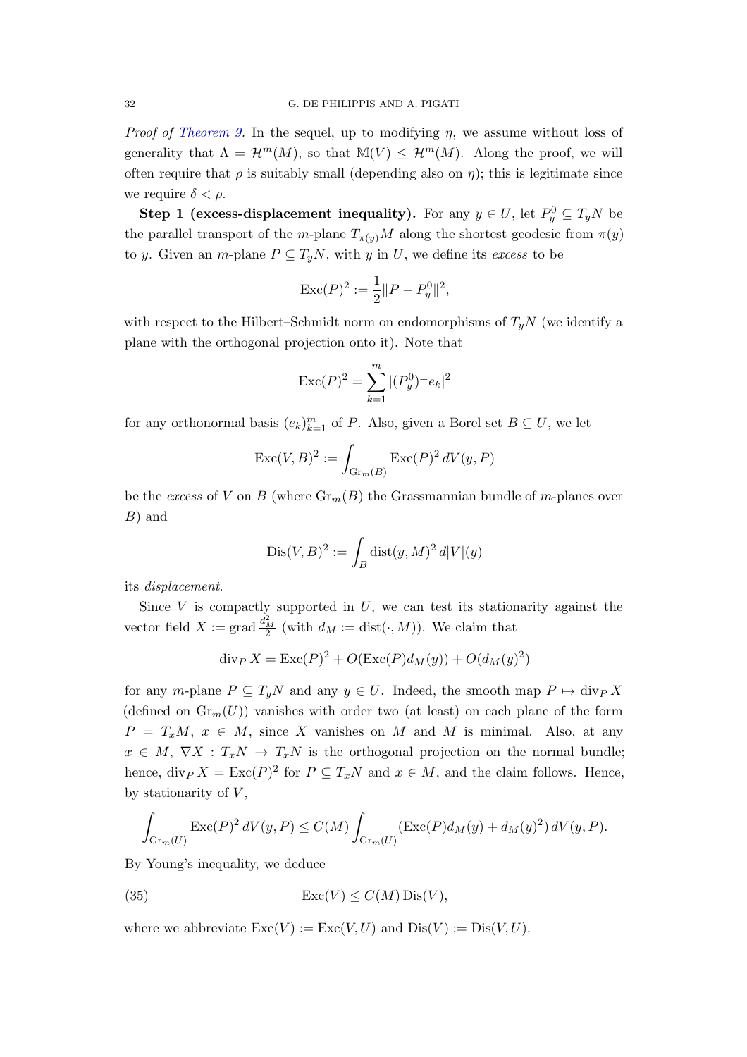*Proof of [Theorem 9.](#page-9-1)* In the sequel, up to modifying  $\eta$ , we assume without loss of generality that  $\Lambda = \mathcal{H}^m(M)$ , so that  $\mathbb{M}(V) \leq \mathcal{H}^m(M)$ . Along the proof, we will often require that  $\rho$  is suitably small (depending also on  $\eta$ ); this is legitimate since we require  $\delta < \rho$ .

**Step 1 (excess-displacement inequality).** For any  $y \in U$ , let  $P_y^0 \subseteq T_yN$  be the parallel transport of the m-plane  $T_{\pi(y)}M$  along the shortest geodesic from  $\pi(y)$ to y. Given an m-plane  $P \subseteq T_uN$ , with y in U, we define its excess to be

$$
\operatorname{Exc}(P)^2 := \frac{1}{2} ||P - P_y^0||^2,
$$

with respect to the Hilbert–Schmidt norm on endomorphisms of  $T_uN$  (we identify a plane with the orthogonal projection onto it). Note that

$$
\operatorname{Exc}(P)^2 = \sum_{k=1}^m |(P_y^0)^{\perp} e_k|^2
$$

for any orthonormal basis  $(e_k)_{k=1}^m$  of P. Also, given a Borel set  $B \subseteq U$ , we let

$$
\operatorname{Exc}(V,B)^2 := \int_{\operatorname{Gr}_m(B)} \operatorname{Exc}(P)^2 dV(y,P)
$$

be the excess of V on B (where  $\text{Gr}_m(B)$  the Grassmannian bundle of m-planes over B) and

$$
Dis(V, B)^2 := \int_B \operatorname{dist}(y, M)^2 d|V|(y)
$$

its displacement.

Since  $V$  is compactly supported in  $U$ , we can test its stationarity against the vector field  $X := \text{grad} \frac{d_M^2}{2}$  (with  $d_M := \text{dist}(\cdot, M)$ ). We claim that

$$
\operatorname{div}_P X = \operatorname{Exc}(P)^2 + O(\operatorname{Exc}(P)d_M(y)) + O(d_M(y)^2)
$$

for any m-plane  $P \subseteq T_yN$  and any  $y \in U$ . Indeed, the smooth map  $P \mapsto \text{div}_P X$ (defined on  $\text{Gr}_m(U)$ ) vanishes with order two (at least) on each plane of the form  $P = T_x M$ ,  $x \in M$ , since X vanishes on M and M is minimal. Also, at any  $x \in M$ ,  $\nabla X : T_xN \to T_xN$  is the orthogonal projection on the normal bundle; hence,  $\text{div}_P X = \text{Exc}(P)^2$  for  $P \subseteq T_xN$  and  $x \in M$ , and the claim follows. Hence, by stationarity of  $V$ ,

$$
\int_{\mathrm{Gr}_{m}(U)} \mathrm{Exc}(P)^2 dV(y,P) \le C(M) \int_{\mathrm{Gr}_{m}(U)} (\mathrm{Exc}(P) d_{M}(y) + d_{M}(y)^2) dV(y,P).
$$

By Young's inequality, we deduce

<span id="page-31-0"></span>(35) 
$$
\operatorname{Exc}(V) \le C(M)\operatorname{Dis}(V),
$$

where we abbreviate  $\text{Exc}(V) := \text{Exc}(V, U)$  and  $\text{Dis}(V) := \text{Dis}(V, U)$ .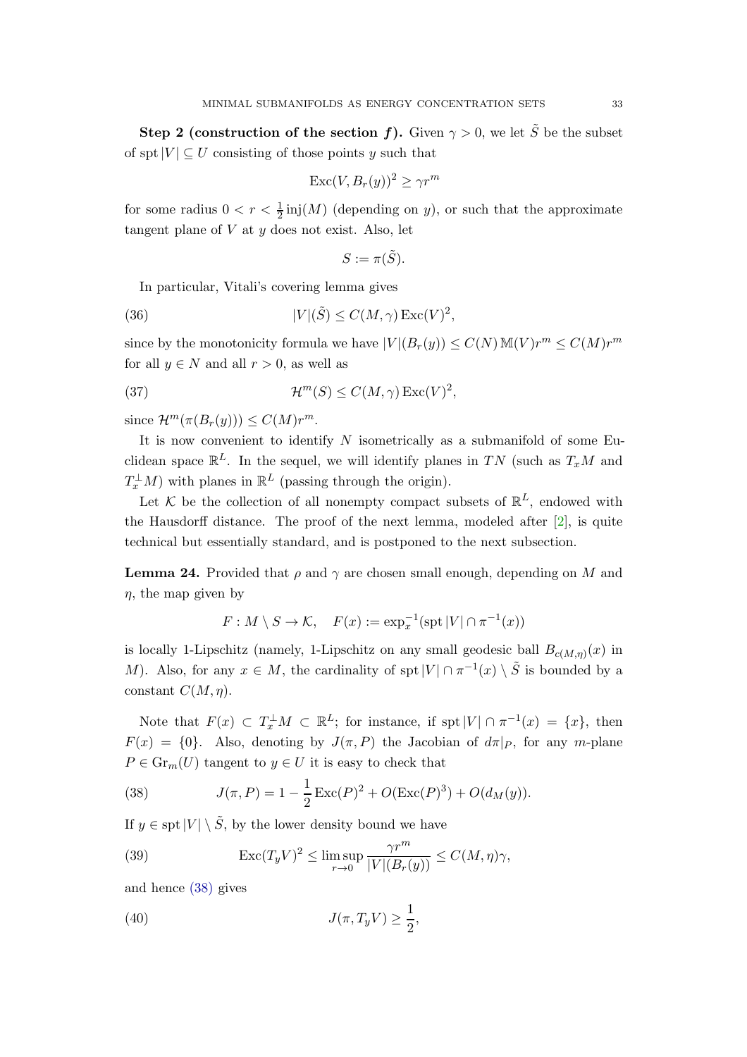Step 2 (construction of the section f). Given  $\gamma > 0$ , we let  $\tilde{S}$  be the subset of spt $|V| \subset U$  consisting of those points y such that

$$
\operatorname{Exc}(V, B_r(y))^2 \ge \gamma r^m
$$

for some radius  $0 < r < \frac{1}{2}$  inj $(M)$  (depending on y), or such that the approximate tangent plane of  $V$  at  $y$  does not exist. Also, let

$$
S := \pi(\tilde{S}).
$$

In particular, Vitali's covering lemma gives

<span id="page-32-2"></span>(36) 
$$
|V|(\tilde{S}) \le C(M,\gamma) \operatorname{Exc}(V)^2,
$$

since by the monotonicity formula we have  $|V|(B_r(y)) \le C(N) \mathbb{M}(V) r^m \le C(M) r^m$ for all  $y \in N$  and all  $r > 0$ , as well as

<span id="page-32-3"></span>(37) 
$$
\mathcal{H}^m(S) \leq C(M,\gamma) \operatorname{Exc}(V)^2,
$$

since  $\mathcal{H}^m(\pi(B_r(y))) \leq C(M)r^m$ .

It is now convenient to identify  $N$  isometrically as a submanifold of some Euclidean space  $\mathbb{R}^L$ . In the sequel, we will identify planes in TN (such as  $T_xM$  and  $T_x^{\perp}M$ ) with planes in  $\mathbb{R}^L$  (passing through the origin).

Let K be the collection of all nonempty compact subsets of  $\mathbb{R}^L$ , endowed with the Hausdorff distance. The proof of the next lemma, modeled after [\[2\]](#page-43-6), is quite technical but essentially standard, and is postponed to the next subsection.

<span id="page-32-0"></span>**Lemma 24.** Provided that  $\rho$  and  $\gamma$  are chosen small enough, depending on M and  $\eta$ , the map given by

$$
F: M \setminus S \to \mathcal{K}, \quad F(x) := \exp_x^{-1}(\operatorname{spt} |V| \cap \pi^{-1}(x))
$$

is locally 1-Lipschitz (namely, 1-Lipschitz on any small geodesic ball  $B_{c(M,\eta)}(x)$  in M). Also, for any  $x \in M$ , the cardinality of spt  $|V| \cap \pi^{-1}(x) \setminus \tilde{S}$  is bounded by a constant  $C(M, \eta)$ .

Note that  $F(x) \subset T_x^{\perp}M \subset \mathbb{R}^L$ ; for instance, if  $spt|V| \cap \pi^{-1}(x) = \{x\}$ , then  $F(x) = \{0\}$ . Also, denoting by  $J(\pi, P)$  the Jacobian of  $d\pi|_P$ , for any m-plane  $P \in \mathrm{Gr}_m(U)$  tangent to  $y \in U$  it is easy to check that

<span id="page-32-1"></span>(38) 
$$
J(\pi, P) = 1 - \frac{1}{2} \operatorname{Exc}(P)^2 + O(\operatorname{Exc}(P)^3) + O(d_M(y)).
$$

If  $y \in \text{spt}|V| \setminus \tilde{S}$ , by the lower density bound we have

<span id="page-32-4"></span>(39) 
$$
\operatorname{Exc}(T_yV)^2 \le \limsup_{r \to 0} \frac{\gamma r^m}{|V|(B_r(y))} \le C(M,\eta)\gamma,
$$

and hence [\(38\)](#page-32-1) gives

<span id="page-32-5"></span>(40) 
$$
J(\pi, T_y V) \geq \frac{1}{2},
$$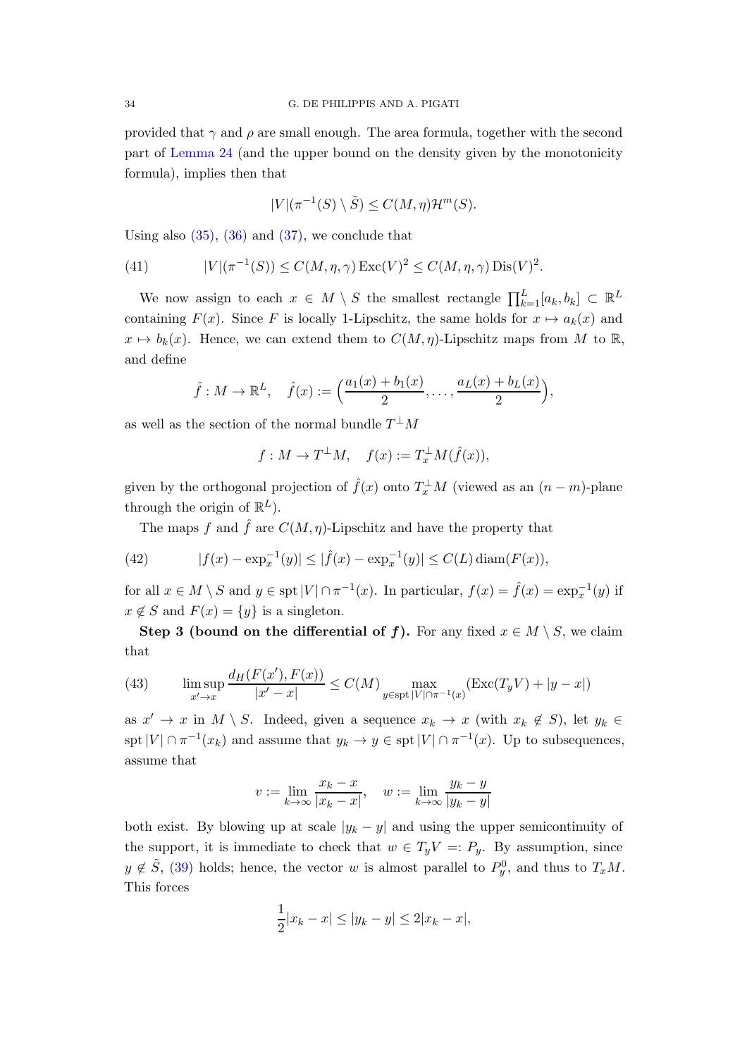provided that  $\gamma$  and  $\rho$  are small enough. The area formula, together with the second part of [Lemma 24](#page-32-0) (and the upper bound on the density given by the monotonicity formula), implies then that

$$
|V|(\pi^{-1}(S)\setminus \tilde{S}) \le C(M,\eta)\mathcal{H}^m(S).
$$

Using also  $(35)$ ,  $(36)$  and  $(37)$ , we conclude that

<span id="page-33-2"></span>(41) 
$$
|V|(\pi^{-1}(S)) \le C(M, \eta, \gamma) \operatorname{Exc}(V)^2 \le C(M, \eta, \gamma) \operatorname{Dis}(V)^2.
$$

We now assign to each  $x \in M \setminus S$  the smallest rectangle  $\prod_{k=1}^{L} [a_k, b_k] \subset \mathbb{R}^L$ containing  $F(x)$ . Since F is locally 1-Lipschitz, the same holds for  $x \mapsto a_k(x)$  and  $x \mapsto b_k(x)$ . Hence, we can extend them to  $C(M, \eta)$ -Lipschitz maps from M to R, and define

$$
\hat{f}: M \to \mathbb{R}^L
$$
,  $\hat{f}(x) := \left(\frac{a_1(x) + b_1(x)}{2}, \dots, \frac{a_L(x) + b_L(x)}{2}\right)$ ,

as well as the section of the normal bundle  $T^{\perp}M$ 

$$
f: M \to T^{\perp}M, \quad f(x) := T_x^{\perp}M(\hat{f}(x)),
$$

given by the orthogonal projection of  $\hat{f}(x)$  onto  $T_x^{\perp}M$  (viewed as an  $(n-m)$ -plane through the origin of  $\mathbb{R}^L$ ).

The maps f and  $\hat{f}$  are  $C(M, \eta)$ -Lipschitz and have the property that

<span id="page-33-1"></span>(42) 
$$
|f(x) - \exp_x^{-1}(y)| \le |\hat{f}(x) - \exp_x^{-1}(y)| \le C(L) \operatorname{diam}(F(x)),
$$

for all  $x \in M \setminus S$  and  $y \in \text{spt } |V| \cap \pi^{-1}(x)$ . In particular,  $f(x) = \hat{f}(x) = \exp_x^{-1}(y)$  if  $x \notin S$  and  $F(x) = \{y\}$  is a singleton.

Step 3 (bound on the differential of f). For any fixed  $x \in M \setminus S$ , we claim that

<span id="page-33-0"></span>(43) 
$$
\limsup_{x' \to x} \frac{d_H(F(x'), F(x))}{|x' - x|} \le C(M) \max_{y \in \text{spt } |V| \cap \pi^{-1}(x)} (\text{Exc}(T_y V) + |y - x|)
$$

as  $x' \to x$  in  $M \setminus S$ . Indeed, given a sequence  $x_k \to x$  (with  $x_k \notin S$ ), let  $y_k \in$ spt $|V| \cap \pi^{-1}(x_k)$  and assume that  $y_k \to y \in \text{spt}|V| \cap \pi^{-1}(x)$ . Up to subsequences, assume that

$$
v := \lim_{k \to \infty} \frac{x_k - x}{|x_k - x|}, \quad w := \lim_{k \to \infty} \frac{y_k - y}{|y_k - y|}
$$

both exist. By blowing up at scale  $|y_k - y|$  and using the upper semicontinuity of the support, it is immediate to check that  $w \in T_yV =: P_y$ . By assumption, since  $y \notin \tilde{S}$ , [\(39\)](#page-32-4) holds; hence, the vector w is almost parallel to  $P_y^0$ , and thus to  $T_xM$ . This forces

$$
\frac{1}{2}|x_k - x| \le |y_k - y| \le 2|x_k - x|,
$$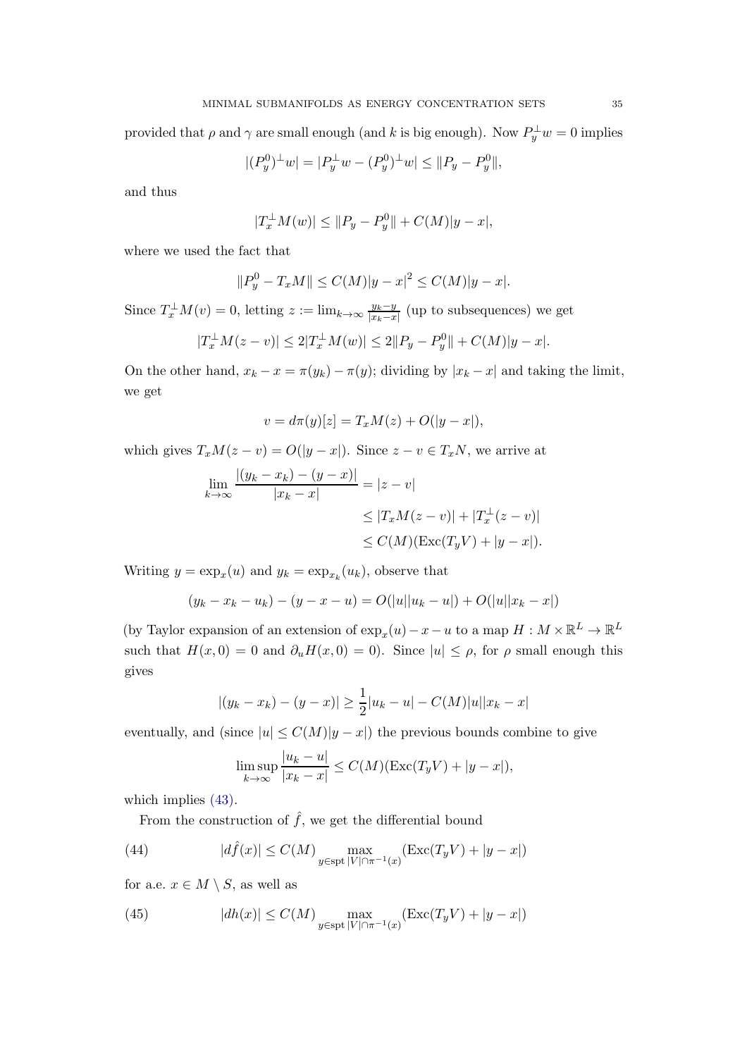provided that  $\rho$  and  $\gamma$  are small enough (and k is big enough). Now  $P_y^{\perp}w = 0$  implies

$$
|(P_y^0)^{\perp}w| = |P_y^{\perp}w - (P_y^0)^{\perp}w| \le ||P_y - P_y^0||,
$$

and thus

$$
|T_x^{\perp}M(w)| \le ||P_y - P_y^0|| + C(M)|y - x|,
$$

where we used the fact that

$$
||P_y^0 - T_xM|| \le C(M)|y - x|^2 \le C(M)|y - x|.
$$

Since  $T_x^{\perp}M(v) = 0$ , letting  $z := \lim_{k \to \infty} \frac{y_k - y_k}{|x_k - x_k|}$  $\frac{y_k-y}{|x_k-x|}$  (up to subsequences) we get

$$
|T_x^{\perp}M(z-v)| \le 2|T_x^{\perp}M(w)| \le 2||P_y - P_y^0|| + C(M)|y-x|.
$$

On the other hand,  $x_k - x = \pi(y_k) - \pi(y)$ ; dividing by  $|x_k - x|$  and taking the limit, we get

$$
v = d\pi(y)[z] = T_x M(z) + O(|y - x|),
$$

which gives  $T_xM(z - v) = O(|y - x|)$ . Since  $z - v \in T_xN$ , we arrive at

$$
\lim_{k \to \infty} \frac{|(y_k - x_k) - (y - x)|}{|x_k - x|} = |z - v|
$$
\n
$$
\leq |T_x M(z - v)| + |T_x^{\perp}(z - v)|
$$
\n
$$
\leq C(M)(\text{Exc}(T_y V) + |y - x|).
$$

Writing  $y = \exp_x(u)$  and  $y_k = \exp_{x_k}(u_k)$ , observe that

$$
(y_k - x_k - u_k) - (y - x - u) = O(|u||u_k - u|) + O(|u||x_k - x|)
$$

(by Taylor expansion of an extension of  $\exp_x(u) - x - u$  to a map  $H : M \times \mathbb{R}^L \to \mathbb{R}^L$ such that  $H(x, 0) = 0$  and  $\partial_u H(x, 0) = 0$ . Since  $|u| \le \rho$ , for  $\rho$  small enough this gives

$$
|(y_k - x_k) - (y - x)| \ge \frac{1}{2}|u_k - u| - C(M)|u||x_k - x|
$$

eventually, and (since  $|u| \leq C(M)|y-x|$ ) the previous bounds combine to give

$$
\limsup_{k \to \infty} \frac{|u_k - u|}{|x_k - x|} \le C(M)(\text{Exc}(T_yV) + |y - x|),
$$

which implies  $(43)$ .

From the construction of  $\hat{f}$ , we get the differential bound

<span id="page-34-0"></span>(44) 
$$
|d\hat{f}(x)| \leq C(M) \max_{y \in \text{spt } |V| \cap \pi^{-1}(x)} (\text{Exc}(T_yV) + |y-x|)
$$

for a.e.  $x \in M \setminus S$ , as well as

<span id="page-34-1"></span>(45) 
$$
|dh(x)| \leq C(M) \max_{y \in \text{spt } |V| \cap \pi^{-1}(x)} (\text{Exc}(T_yV) + |y-x|)
$$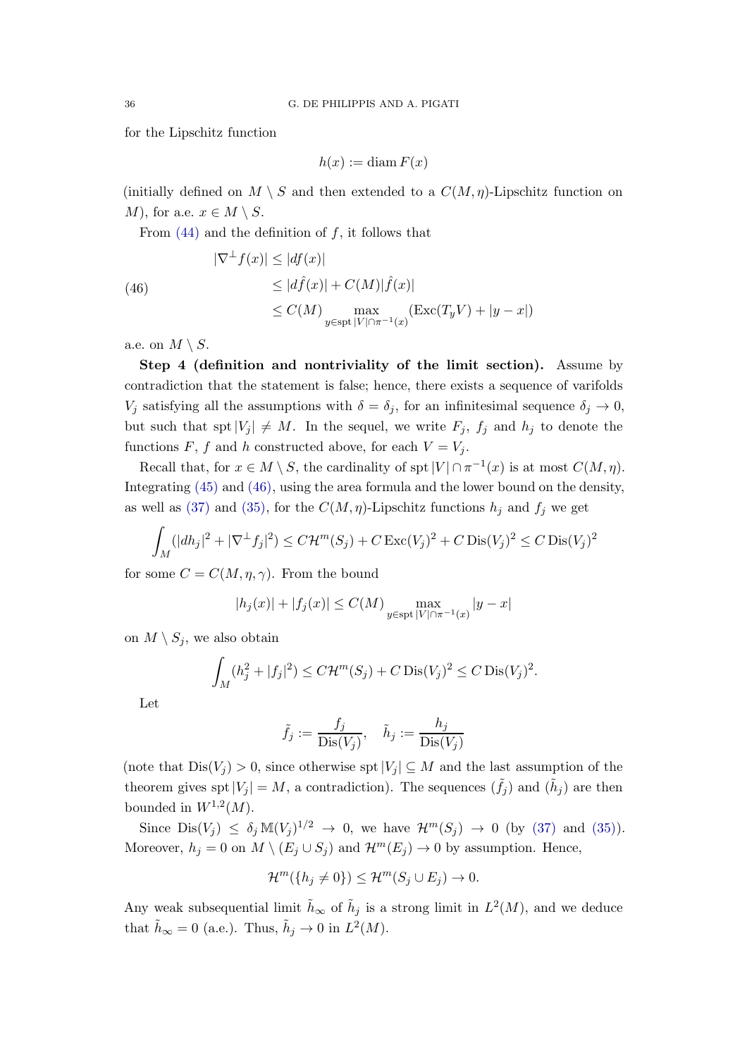for the Lipschitz function

$$
h(x) := \operatorname{diam} F(x)
$$

(initially defined on  $M \setminus S$  and then extended to a  $C(M, \eta)$ -Lipschitz function on *M*), for a.e.  $x \in M \setminus S$ .

From  $(44)$  and the definition of f, it follows that

<span id="page-35-0"></span>(46)  
\n
$$
|\nabla^{\perp} f(x)| \le |df(x)|
$$
\n
$$
\le |d\hat{f}(x)| + C(M)|\hat{f}(x)|
$$
\n
$$
\le C(M) \max_{y \in \text{spt } |V| \cap \pi^{-1}(x)} (\text{Exc}(T_y V) + |y - x|)
$$

a.e. on  $M \setminus S$ .

Step 4 (definition and nontriviality of the limit section). Assume by contradiction that the statement is false; hence, there exists a sequence of varifolds  $V_i$  satisfying all the assumptions with  $\delta = \delta_i$ , for an infinitesimal sequence  $\delta_i \to 0$ , but such that spt  $|V_j| \neq M$ . In the sequel, we write  $F_j$ ,  $f_j$  and  $h_j$  to denote the functions F, f and h constructed above, for each  $V = V_i$ .

Recall that, for  $x \in M \setminus S$ , the cardinality of spt  $|V| \cap \pi^{-1}(x)$  is at most  $C(M, \eta)$ . Integrating [\(45\)](#page-34-1) and [\(46\),](#page-35-0) using the area formula and the lower bound on the density, as well as [\(37\)](#page-32-3) and [\(35\),](#page-31-0) for the  $C(M, \eta)$ -Lipschitz functions  $h_j$  and  $f_j$  we get

$$
\int_M (|dh_j|^2 + |\nabla^{\perp} f_j|^2) \le C\mathcal{H}^m(S_j) + C \operatorname{Exc}(V_j)^2 + C \operatorname{Dis}(V_j)^2 \le C \operatorname{Dis}(V_j)^2
$$

for some  $C = C(M, \eta, \gamma)$ . From the bound

$$
|h_j(x)| + |f_j(x)| \le C(M) \max_{y \in \text{spt } |V| \cap \pi^{-1}(x)} |y - x|
$$

on  $M \setminus S_i$ , we also obtain

$$
\int_M (h_j^2 + |f_j|^2) \le C\mathcal{H}^m(S_j) + C \operatorname{Dis}(V_j)^2 \le C \operatorname{Dis}(V_j)^2.
$$

Let

$$
\tilde{f}_j := \frac{f_j}{\text{Dis}(V_j)}, \quad \tilde{h}_j := \frac{h_j}{\text{Dis}(V_j)}
$$

(note that  $Dis(V_i) > 0$ , since otherwise spt $|V_i| \subseteq M$  and the last assumption of the theorem gives spt  $|V_j| = M$ , a contradiction). The sequences  $(\tilde{f}_j)$  and  $(\tilde{h}_j)$  are then bounded in  $W^{1,2}(M)$ .

Since  $\text{Dis}(V_j) \leq \delta_j \mathbb{M}(V_j)^{1/2} \to 0$ , we have  $\mathcal{H}^m(S_j) \to 0$  (by [\(37\)](#page-32-3) and [\(35\)\)](#page-31-0). Moreover,  $h_j = 0$  on  $M \setminus (E_j \cup S_j)$  and  $\mathcal{H}^m(E_j) \to 0$  by assumption. Hence,

$$
\mathcal{H}^m(\lbrace h_j \neq 0 \rbrace) \leq \mathcal{H}^m(S_j \cup E_j) \to 0.
$$

Any weak subsequential limit  $\tilde{h}_{\infty}$  of  $\tilde{h}_j$  is a strong limit in  $L^2(M)$ , and we deduce that  $\tilde{h}_{\infty} = 0$  (a.e.). Thus,  $\tilde{h}_j \to 0$  in  $L^2(M)$ .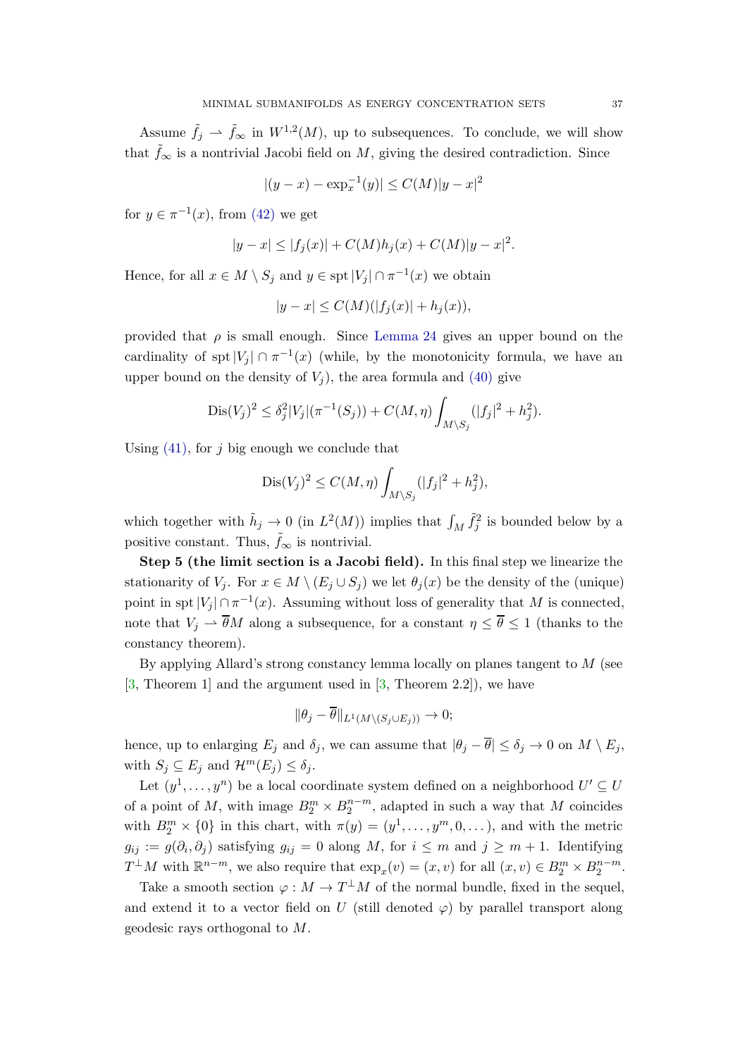Assume  $\tilde{f}_j \rightharpoonup \tilde{f}_{\infty}$  in  $W^{1,2}(M)$ , up to subsequences. To conclude, we will show that  $f_{\infty}$  is a nontrivial Jacobi field on M, giving the desired contradiction. Since

$$
|(y - x) - \exp_x^{-1}(y)| \le C(M)|y - x|^2
$$

for  $y \in \pi^{-1}(x)$ , from [\(42\)](#page-33-1) we get

$$
|y - x| \le |f_j(x)| + C(M)h_j(x) + C(M)|y - x|^2.
$$

Hence, for all  $x \in M \setminus S_j$  and  $y \in \text{spt } |V_j| \cap \pi^{-1}(x)$  we obtain

$$
|y - x| \le C(M)(|f_j(x)| + h_j(x)),
$$

provided that  $\rho$  is small enough. Since [Lemma 24](#page-32-0) gives an upper bound on the cardinality of spt  $|V_j| \cap \pi^{-1}(x)$  (while, by the monotonicity formula, we have an upper bound on the density of  $V_i$ , the area formula and [\(40\)](#page-32-5) give

$$
Dis(V_j)^2 \leq \delta_j^2 |V_j|(\pi^{-1}(S_j)) + C(M, \eta) \int_{M \setminus S_j} (|f_j|^2 + h_j^2).
$$

Using  $(41)$ , for j big enough we conclude that

$$
Dis(V_j)^2 \le C(M, \eta) \int_{M \setminus S_j} (|f_j|^2 + h_j^2),
$$

which together with  $\tilde{h}_j \to 0$  (in  $L^2(M)$ ) implies that  $\int_M \tilde{f}_j^2$  is bounded below by a positive constant. Thus,  $\tilde{f}_{\infty}$  is nontrivial.

Step 5 (the limit section is a Jacobi field). In this final step we linearize the stationarity of  $V_i$ . For  $x \in M \setminus (E_i \cup S_j)$  we let  $\theta_i(x)$  be the density of the (unique) point in spt  $|V_j| \cap \pi^{-1}(x)$ . Assuming without loss of generality that M is connected, note that  $V_j \rightharpoonup \overline{\theta}M$  along a subsequence, for a constant  $\eta \leq \overline{\theta} \leq 1$  (thanks to the constancy theorem).

By applying Allard's strong constancy lemma locally on planes tangent to  $M$  (see  $[3,$  Theorem 1 and the argument used in  $[3,$  Theorem 2.2,), we have

$$
\|\theta_j - \overline{\theta}\|_{L^1(M\setminus (S_j \cup E_j))} \to 0;
$$

hence, up to enlarging  $E_j$  and  $\delta_j$ , we can assume that  $|\theta_j - \overline{\theta}| \leq \delta_j \to 0$  on  $M \setminus E_j$ , with  $S_j \subseteq E_j$  and  $\mathcal{H}^m(E_j) \leq \delta_j$ .

Let  $(y^1, \ldots, y^n)$  be a local coordinate system defined on a neighborhood  $U' \subseteq U$ of a point of M, with image  $B_2^m \times B_2^{n-m}$ , adapted in such a way that M coincides with  $B_2^m \times \{0\}$  in this chart, with  $\pi(y) = (y^1, \ldots, y^m, 0, \ldots)$ , and with the metric  $g_{ij} := g(\partial_i, \partial_j)$  satisfying  $g_{ij} = 0$  along M, for  $i \leq m$  and  $j \geq m + 1$ . Identifying  $T^{\perp}M$  with  $\mathbb{R}^{n-m}$ , we also require that  $\exp_x(v) = (x, v)$  for all  $(x, v) \in B_2^m \times B_2^{n-m}$ .

Take a smooth section  $\varphi : M \to T^{\perp}M$  of the normal bundle, fixed in the sequel, and extend it to a vector field on U (still denoted  $\varphi$ ) by parallel transport along geodesic rays orthogonal to M.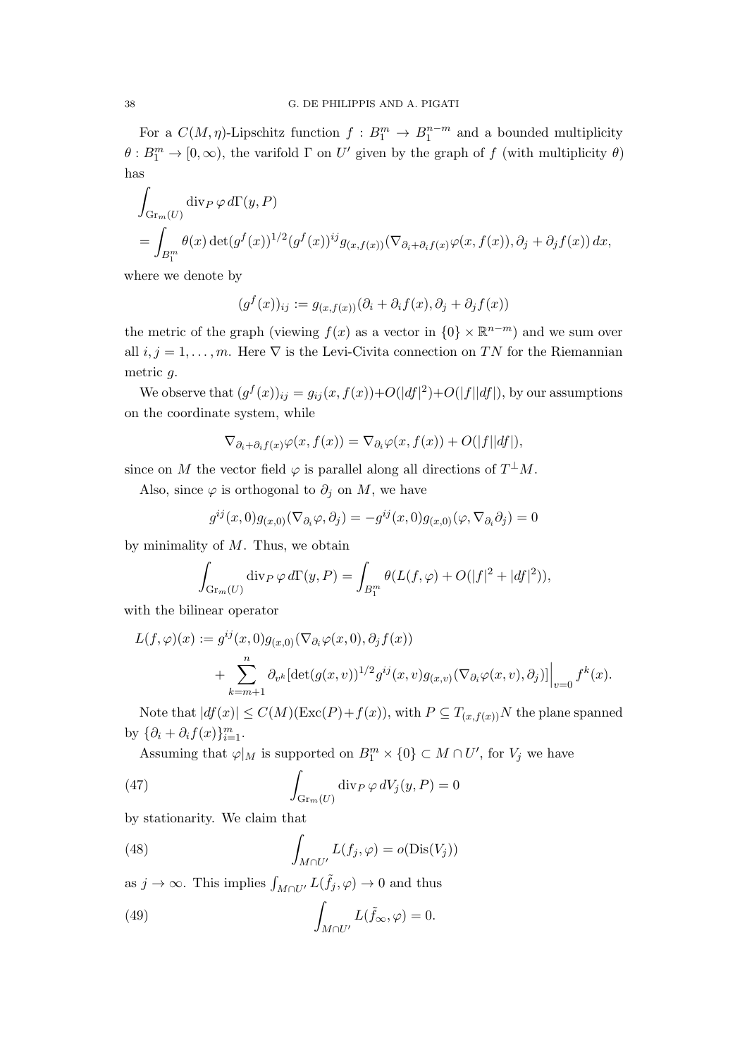For a  $C(M, \eta)$ -Lipschitz function  $f: B_1^m \to B_1^{n-m}$  and a bounded multiplicity  $\theta: B_1^m \to [0, \infty)$ , the varifold  $\Gamma$  on U' given by the graph of f (with multiplicity  $\theta$ ) has

$$
\int_{\text{Gr}_m(U)} \text{div}_P \, \varphi \, d\Gamma(y, P) \n= \int_{B_1^m} \theta(x) \det(g^f(x))^{1/2} (g^f(x))^{ij} g_{(x, f(x))} (\nabla_{\partial_i + \partial_i f(x)} \varphi(x, f(x)), \partial_j + \partial_j f(x)) dx,
$$

where we denote by

$$
(g^f(x))_{ij} := g_{(x,f(x))}(\partial_i + \partial_i f(x), \partial_j + \partial_j f(x))
$$

the metric of the graph (viewing  $f(x)$  as a vector in  $\{0\} \times \mathbb{R}^{n-m}$ ) and we sum over all  $i, j = 1, \ldots, m$ . Here  $\nabla$  is the Levi-Civita connection on TN for the Riemannian metric g.

We observe that  $(g^f(x))_{ij} = g_{ij}(x, f(x)) + O(|df|^2) + O(|f||df|)$ , by our assumptions on the coordinate system, while

$$
\nabla_{\partial_i + \partial_i f(x)} \varphi(x, f(x)) = \nabla_{\partial_i} \varphi(x, f(x)) + O(|f||df|),
$$

since on M the vector field  $\varphi$  is parallel along all directions of  $T^{\perp}M$ .

Also, since  $\varphi$  is orthogonal to  $\partial_j$  on M, we have

$$
g^{ij}(x,0)g_{(x,0)}(\nabla_{\partial_i}\varphi,\partial_j)=-g^{ij}(x,0)g_{(x,0)}(\varphi,\nabla_{\partial_i}\partial_j)=0
$$

by minimality of  $M$ . Thus, we obtain

$$
\int_{\mathrm{Gr}_m(U)} \operatorname{div}_P \varphi \, d\Gamma(y, P) = \int_{B_1^m} \theta(L(f, \varphi) + O(|f|^2 + |df|^2)),
$$

with the bilinear operator

$$
L(f,\varphi)(x) := g^{ij}(x,0)g_{(x,0)}(\nabla_{\partial_i}\varphi(x,0),\partial_j f(x))
$$
  
+ 
$$
\sum_{k=m+1}^n \partial_{v^k}[\det(g(x,v))^{1/2}g^{ij}(x,v)g_{(x,v)}(\nabla_{\partial_i}\varphi(x,v),\partial_j)]\Big|_{v=0}f^k(x).
$$

Note that  $|df(x)| \leq C(M)(\text{Exc}(P) + f(x))$ , with  $P \subseteq T_{(x,f(x))}N$  the plane spanned by  $\{\partial_i + \partial_i f(x)\}_{i=1}^m$ .

Assuming that  $\varphi|_M$  is supported on  $B_1^m \times \{0\} \subset M \cap U'$ , for  $V_j$  we have

<span id="page-37-0"></span>(47) 
$$
\int_{\text{Gr}_m(U)} \text{div}_P \, \varphi \, dV_j(y, P) = 0
$$

by stationarity. We claim that

(48) 
$$
\int_{M \cap U'} L(f_j, \varphi) = o(\text{Dis}(V_j))
$$

as  $j \to \infty$ . This implies  $\int_{M \cap U'} L(\tilde{f}_j, \varphi) \to 0$  and thus

<span id="page-37-1"></span>(49) 
$$
\int_{M \cap U'} L(\tilde{f}_{\infty}, \varphi) = 0.
$$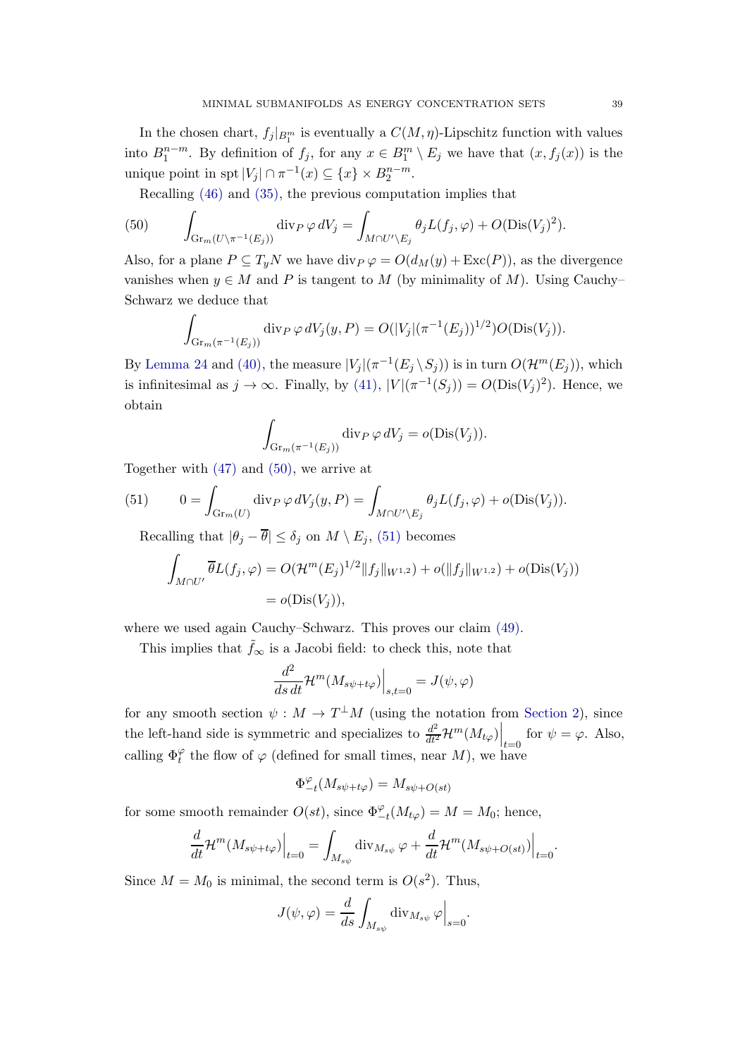In the chosen chart,  $f_j|_{B^m_1}$  is eventually a  $C(M, \eta)$ -Lipschitz function with values into  $B_1^{n-m}$ . By definition of  $f_j$ , for any  $x \in B_1^m \setminus E_j$  we have that  $(x, f_j(x))$  is the unique point in spt  $|V_j| \cap \pi^{-1}(x) \subseteq \{x\} \times B_2^{n-m}$ .

Recalling [\(46\)](#page-35-0) and [\(35\),](#page-31-0) the previous computation implies that

<span id="page-38-0"></span>(50) 
$$
\int_{\mathrm{Gr}_m(U\backslash \pi^{-1}(E_j))} \mathrm{div}_P \, \varphi \, dV_j = \int_{M \cap U'\backslash E_j} \theta_j L(f_j, \varphi) + O(\mathrm{Dis}(V_j)^2).
$$

Also, for a plane  $P \subseteq T_yN$  we have  $\text{div}_P \varphi = O(d_M(y) + \text{Exc}(P))$ , as the divergence vanishes when  $y \in M$  and P is tangent to M (by minimality of M). Using Cauchy– Schwarz we deduce that

$$
\int_{\text{Gr}_{m}(\pi^{-1}(E_j))} \text{div}_{P} \, \varphi \, dV_j(y, P) = O(|V_j|(\pi^{-1}(E_j))^{1/2}) O(\text{Dis}(V_j)).
$$

By [Lemma 24](#page-32-0) and [\(40\),](#page-32-5) the measure  $|V_j|(\pi^{-1}(E_j \setminus S_j))$  is in turn  $O(\mathcal{H}^m(E_j))$ , which is infinitesimal as  $j \to \infty$ . Finally, by [\(41\),](#page-33-2)  $|V|(\pi^{-1}(S_j)) = O(Dis(V_j)^2)$ . Hence, we obtain

$$
\int_{\mathrm{Gr}_m(\pi^{-1}(E_j))} \mathrm{div}_P \,\varphi \,dV_j = o(\mathrm{Dis}(V_j)).
$$

Together with [\(47\)](#page-37-0) and [\(50\),](#page-38-0) we arrive at

<span id="page-38-1"></span>(51) 
$$
0 = \int_{\text{Gr}_m(U)} \text{div}_P \, \varphi \, dV_j(y, P) = \int_{M \cap U' \backslash E_j} \theta_j L(f_j, \varphi) + o(\text{Dis}(V_j)).
$$

Recalling that  $|\theta_j - \overline{\theta}| \leq \delta_j$  on  $M \setminus E_j$ , [\(51\)](#page-38-1) becomes

$$
\int_{M \cap U'} \overline{\theta} L(f_j, \varphi) = O(\mathcal{H}^m(E_j)^{1/2} || f_j ||_{W^{1,2}}) + o(||f_j||_{W^{1,2}}) + o(\text{Dis}(V_j))
$$
  
=  $o(\text{Dis}(V_j)),$ 

where we used again Cauchy–Schwarz. This proves our claim [\(49\).](#page-37-1)

This implies that  $\tilde{f}_{\infty}$  is a Jacobi field: to check this, note that

$$
\frac{d^2}{ds\,dt} \mathcal{H}^m(M_{s\psi+t\varphi})\Big|_{s,t=0} = J(\psi,\varphi)
$$

for any smooth section  $\psi : M \to T^{\perp}M$  (using the notation from [Section 2\)](#page-10-0), since the left-hand side is symmetric and specializes to  $\frac{d^2}{dt^2} \mathcal{H}^m(M_{t\varphi})\Big|_{t=0}$  for  $\psi = \varphi$ . Also, calling  $\Phi_t^{\varphi}$  the flow of  $\varphi$  (defined for small times, near M), we have

$$
\Phi_{-t}^{\varphi}(M_{s\psi+t\varphi})=M_{s\psi+O(st)}
$$

for some smooth remainder  $O(st)$ , since  $\Phi_{-t}^{\varphi}(M_{t\varphi}) = M = M_0$ ; hence,

$$
\frac{d}{dt} \mathcal{H}^m(M_{s\psi+t\varphi})\Big|_{t=0} = \int_{M_{s\psi}} \operatorname{div}_{M_{s\psi}} \varphi + \frac{d}{dt} \mathcal{H}^m(M_{s\psi+O(st)})\Big|_{t=0}.
$$

Since  $M = M_0$  is minimal, the second term is  $O(s^2)$ . Thus,

$$
J(\psi, \varphi) = \frac{d}{ds} \int_{M_{s\psi}} \operatorname{div}_{M_{s\psi}} \varphi \Big|_{s=0}.
$$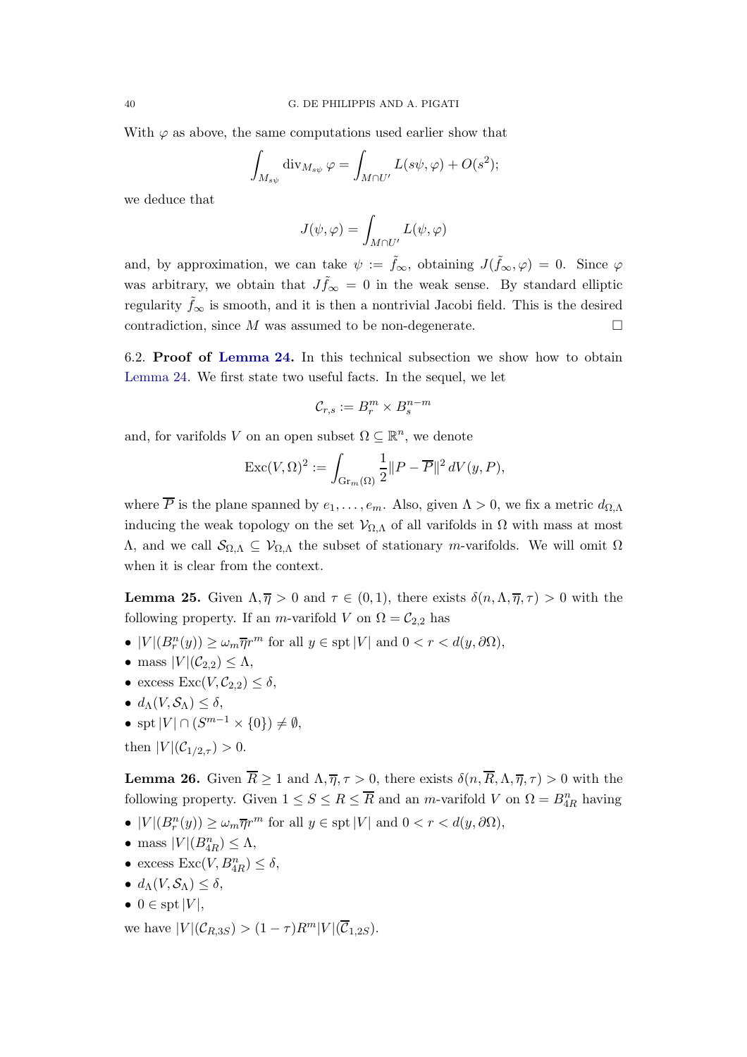With  $\varphi$  as above, the same computations used earlier show that

$$
\int_{M_{s\psi}} \operatorname{div}_{M_{s\psi}} \varphi = \int_{M \cap U'} L(s\psi, \varphi) + O(s^2);
$$

we deduce that

$$
J(\psi,\varphi) = \int_{M \cap U'} L(\psi,\varphi)
$$

and, by approximation, we can take  $\psi := \tilde{f}_{\infty}$ , obtaining  $J(\tilde{f}_{\infty}, \varphi) = 0$ . Since  $\varphi$ was arbitrary, we obtain that  $J_{\tilde{f}\infty} = 0$  in the weak sense. By standard elliptic regularity  $\tilde{f}_{\infty}$  is smooth, and it is then a nontrivial Jacobi field. This is the desired contradiction, since M was assumed to be non-degenerate.  $\Box$ 

<span id="page-39-0"></span>6.2. Proof of [Lemma 24.](#page-32-0) In this technical subsection we show how to obtain [Lemma 24.](#page-32-0) We first state two useful facts. In the sequel, we let

$$
\mathcal{C}_{r,s} := B_r^m \times B_s^{n-m}
$$

and, for varifolds V on an open subset  $\Omega \subseteq \mathbb{R}^n$ , we denote

$$
\operatorname{Exc}(V,\Omega)^2 := \int_{\operatorname{Gr}_m(\Omega)} \frac{1}{2} ||P - \overline{P}||^2 dV(y,P),
$$

where  $\overline{P}$  is the plane spanned by  $e_1, \ldots, e_m$ . Also, given  $\Lambda > 0$ , we fix a metric  $d_{\Omega, \Lambda}$ inducing the weak topology on the set  $V_{\Omega,\Lambda}$  of all varifolds in  $\Omega$  with mass at most  $Λ$ , and we call  $\mathcal{S}_{Ω,Λ} ⊆ \mathcal{V}_{Ω,Λ}$  the subset of stationary *m*-varifolds. We will omit Ω when it is clear from the context.

<span id="page-39-1"></span>**Lemma 25.** Given  $\Lambda, \overline{\eta} > 0$  and  $\tau \in (0, 1)$ , there exists  $\delta(n, \Lambda, \overline{\eta}, \tau) > 0$  with the following property. If an *m*-varifold V on  $\Omega = C_{2,2}$  has

- $|V|(B_r^n(y)) \ge \omega_m \overline{\eta}r^m$  for all  $y \in \text{spt}|V|$  and  $0 < r < d(y, \partial\Omega)$ ,
- mass  $|V|(\mathcal{C}_{2,2}) \leq \Lambda$ ,
- excess  $\text{Exc}(V, \mathcal{C}_{2,2}) \leq \delta$ ,
- $d_{\Lambda}(V, \mathcal{S}_{\Lambda}) \leq \delta$ ,
- spt  $|V| \cap (S^{m-1} \times \{0\}) \neq \emptyset$ ,
- <span id="page-39-2"></span>then  $|V|(\mathcal{C}_{1/2,\tau}) > 0$ .

**Lemma 26.** Given  $\overline{R} \geq 1$  and  $\Lambda, \overline{\eta}, \tau > 0$ , there exists  $\delta(n, \overline{R}, \Lambda, \overline{\eta}, \tau) > 0$  with the following property. Given  $1 \leq S \leq R \leq \overline{R}$  and an *m*-varifold V on  $\Omega = B_{4R}^n$  having

- $|V|(B_r^n(y)) \ge \omega_m \overline{\eta}r^m$  for all  $y \in \text{spt}|V|$  and  $0 < r < d(y, \partial\Omega)$ ,
- mass  $|V|(B_{4R}^n) \leq \Lambda$ ,
- excess  $\text{Exc}(V, B_{4R}^n) \leq \delta$ ,
- $d_{\Lambda}(V, \mathcal{S}_{\Lambda}) \leq \delta$ ,
- $0 \in \text{spt } |V|,$

we have  $|V|(\mathcal{C}_{R,3S}) > (1-\tau)R^m|V|(\overline{\mathcal{C}}_{1,2S}).$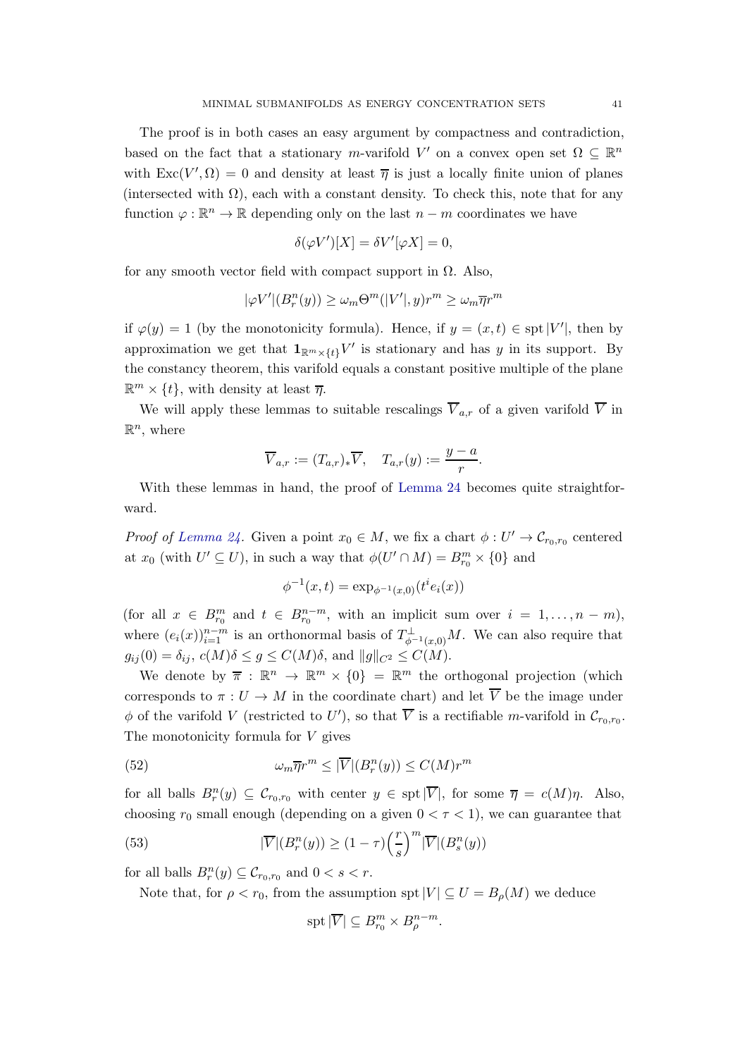The proof is in both cases an easy argument by compactness and contradiction, based on the fact that a stationary m-varifold V' on a convex open set  $\Omega \subseteq \mathbb{R}^n$ with  $\text{Exc}(V', \Omega) = 0$  and density at least  $\overline{\eta}$  is just a locally finite union of planes (intersected with  $\Omega$ ), each with a constant density. To check this, note that for any function  $\varphi : \mathbb{R}^n \to \mathbb{R}$  depending only on the last  $n - m$  coordinates we have

$$
\delta(\varphi V')[X] = \delta V'[\varphi X] = 0,
$$

for any smooth vector field with compact support in  $\Omega$ . Also,

$$
|\varphi V'|(B_r^n(y)) \ge \omega_m \Theta^m(|V'|,y)r^m \ge \omega_m \overline{\eta}r^m
$$

if  $\varphi(y) = 1$  (by the monotonicity formula). Hence, if  $y = (x, t) \in \text{spt}|V'|$ , then by approximation we get that  $\mathbf{1}_{\mathbb{R}^m \times \{t\}} V'$  is stationary and has y in its support. By the constancy theorem, this varifold equals a constant positive multiple of the plane  $\mathbb{R}^m \times \{t\}$ , with density at least  $\overline{\eta}$ .

We will apply these lemmas to suitable rescalings  $\overline{V}_{a,r}$  of a given varifold  $\overline{V}$  in  $\mathbb{R}^n$ , where

$$
\overline{V}_{a,r} := (T_{a,r})_* \overline{V}, \quad T_{a,r}(y) := \frac{y-a}{r}.
$$

With these lemmas in hand, the proof of [Lemma 24](#page-32-0) becomes quite straightforward.

*Proof of [Lemma 24.](#page-32-0)* Given a point  $x_0 \in M$ , we fix a chart  $\phi: U' \to \mathcal{C}_{r_0,r_0}$  centered at  $x_0$  (with  $U' \subseteq U$ ), in such a way that  $\phi(U' \cap M) = B_{r_0}^m \times \{0\}$  and

$$
\phi^{-1}(x,t) = \exp_{\phi^{-1}(x,0)}(t^i e_i(x))
$$

(for all  $x \in B^m_{r_0}$  and  $t \in B^{n-m}_{r_0}$ , with an implicit sum over  $i = 1, \ldots, n-m$ ), where  $(e_i(x))_{i=1}^{n-m}$  is an orthonormal basis of  $T_{\phi^{-1}(x,0)}^{\perp}M$ . We can also require that  $g_{ij}(0) = \delta_{ij}, c(M)\delta \le g \le C(M)\delta$ , and  $||g||_{C^2} \le C(M)$ .

We denote by  $\overline{\pi}$ :  $\mathbb{R}^n \to \mathbb{R}^m \times \{0\} = \mathbb{R}^m$  the orthogonal projection (which corresponds to  $\pi: U \to M$  in the coordinate chart) and let  $\overline{V}$  be the image under  $\phi$  of the varifold V (restricted to U'), so that V is a rectifiable m-varifold in  $\mathcal{C}_{r_0,r_0}$ . The monotonicity formula for  $V$  gives

<span id="page-40-0"></span>(52) 
$$
\omega_m \overline{\eta} r^m \leq |\overline{V}| (B_r^n(y)) \leq C(M) r^m
$$

for all balls  $B_r^n(y) \subseteq C_{r_0,r_0}$  with center  $y \in \text{spt}|\overline{V}|$ , for some  $\overline{\eta} = c(M)\eta$ . Also, choosing  $r_0$  small enough (depending on a given  $0 < \tau < 1$ ), we can guarantee that

<span id="page-40-1"></span>(53) 
$$
|\overline{V}|(B_r^n(y)) \ge (1-\tau)\left(\frac{r}{s}\right)^m |\overline{V}|(B_s^n(y))
$$

for all balls  $B_r^n(y) \subseteq \mathcal{C}_{r_0,r_0}$  and  $0 < s < r$ .

Note that, for  $\rho < r_0$ , from the assumption spt  $|V| \subseteq U = B_{\rho}(M)$  we deduce

$$
\operatorname{spt} |\overline{V}| \subseteq B^m_{r_0} \times B^{n-m}_{\rho}.
$$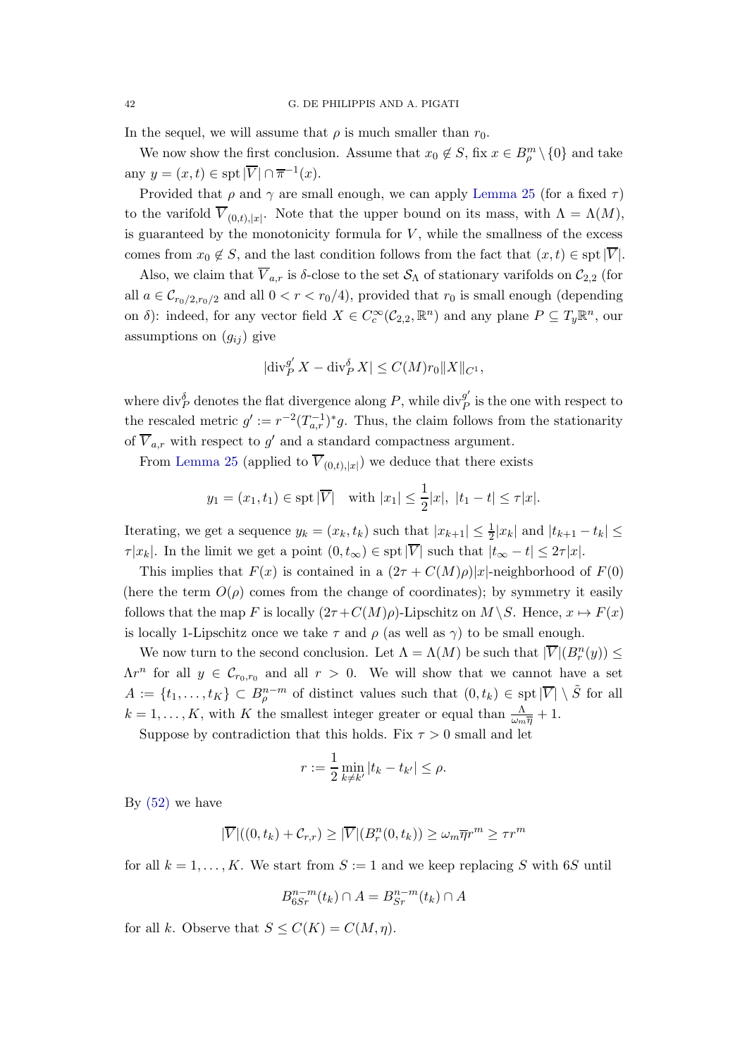In the sequel, we will assume that  $\rho$  is much smaller than  $r_0$ .

We now show the first conclusion. Assume that  $x_0 \notin S$ , fix  $x \in B^m_\rho \setminus \{0\}$  and take any  $y = (x, t) \in \text{spt} |\overline{V}| \cap \overline{\pi}^{-1}(x)$ .

Provided that  $\rho$  and  $\gamma$  are small enough, we can apply [Lemma 25](#page-39-1) (for a fixed  $\tau$ ) to the varifold  $V_{(0,t),|x|}$ . Note that the upper bound on its mass, with  $\Lambda = \Lambda(M)$ , is guaranteed by the monotonicity formula for  $V$ , while the smallness of the excess comes from  $x_0 \notin S$ , and the last condition follows from the fact that  $(x, t) \in \text{spt}|\overline{V}|$ .

Also, we claim that  $\overline{V}_{a,r}$  is δ-close to the set  $\mathcal{S}_{\Lambda}$  of stationary varifolds on  $\mathcal{C}_{2,2}$  (for all  $a \in \mathcal{C}_{r_0/2,r_0/2}$  and all  $0 < r < r_0/4$ , provided that  $r_0$  is small enough (depending on  $\delta$ ): indeed, for any vector field  $X \in C_c^{\infty}(\mathcal{C}_{2,2}, \mathbb{R}^n)$  and any plane  $P \subseteq T_y \mathbb{R}^n$ , our assumptions on  $(g_{ij})$  give

$$
|\mathrm{div}_P^{g'} X - \mathrm{div}_P^{\delta} X| \le C(M) r_0 ||X||_{C^1},
$$

where  $\text{div}_{P}^{\delta}$  denotes the flat divergence along  $P$ , while  $\text{div}_{P}^{g'}$  $P_P^g$  is the one with respect to the rescaled metric  $g' := r^{-2}(T_{a,r}^{-1})^*g$ . Thus, the claim follows from the stationarity of  $V_{a,r}$  with respect to  $g'$  and a standard compactness argument.

From [Lemma 25](#page-39-1) (applied to  $V_{(0,t),|x|}$ ) we deduce that there exists

$$
y_1 = (x_1, t_1) \in \text{spt } |\overline{V}| \text{ with } |x_1| \leq \frac{1}{2}|x|, |t_1 - t| \leq \tau |x|.
$$

Iterating, we get a sequence  $y_k = (x_k, t_k)$  such that  $|x_{k+1}| \leq \frac{1}{2}|x_k|$  and  $|t_{k+1} - t_k| \leq$  $\tau |x_k|$ . In the limit we get a point  $(0, t_{\infty}) \in \text{spt}|\overline{V}|$  such that  $|t_{\infty} - t| \leq 2\tau |x|$ .

This implies that  $F(x)$  is contained in a  $(2\tau + C(M)\rho)|x|$ -neighborhood of  $F(0)$ (here the term  $O(\rho)$  comes from the change of coordinates); by symmetry it easily follows that the map F is locally  $(2\tau + C(M)\rho)$ -Lipschitz on  $M \backslash S$ . Hence,  $x \mapsto F(x)$ is locally 1-Lipschitz once we take  $\tau$  and  $\rho$  (as well as  $\gamma$ ) to be small enough.

We now turn to the second conclusion. Let  $\Lambda = \Lambda(M)$  be such that  $|\overline{V}|(B_r^n(y)) \le$  $\Lambda r^n$  for all  $y \in \mathcal{C}_{r_0,r_0}$  and all  $r > 0$ . We will show that we cannot have a set  $A := \{t_1, \ldots, t_K\} \subset B^{n-m}_{\rho}$  of distinct values such that  $(0, t_k) \in \text{spt}|\overline{V}| \setminus \tilde{S}$  for all  $k = 1, \ldots, K$ , with K the smallest integer greater or equal than  $\frac{\Lambda}{\omega_m \overline{\eta}} + 1$ .

Suppose by contradiction that this holds. Fix  $\tau > 0$  small and let

$$
r := \frac{1}{2} \min_{k \neq k'} |t_k - t_{k'}| \le \rho.
$$

By  $(52)$  we have

$$
|\overline{V}|((0,t_k)+\mathcal{C}_{r,r}) \geq |\overline{V}|(B_r^n(0,t_k)) \geq \omega_m \overline{\eta}r^m \geq \tau r^m
$$

for all  $k = 1, \ldots, K$ . We start from  $S := 1$  and we keep replacing S with 6S until

$$
B_{6Sr}^{n-m}(t_k) \cap A = B_{Sr}^{n-m}(t_k) \cap A
$$

for all k. Observe that  $S \leq C(K) = C(M, \eta)$ .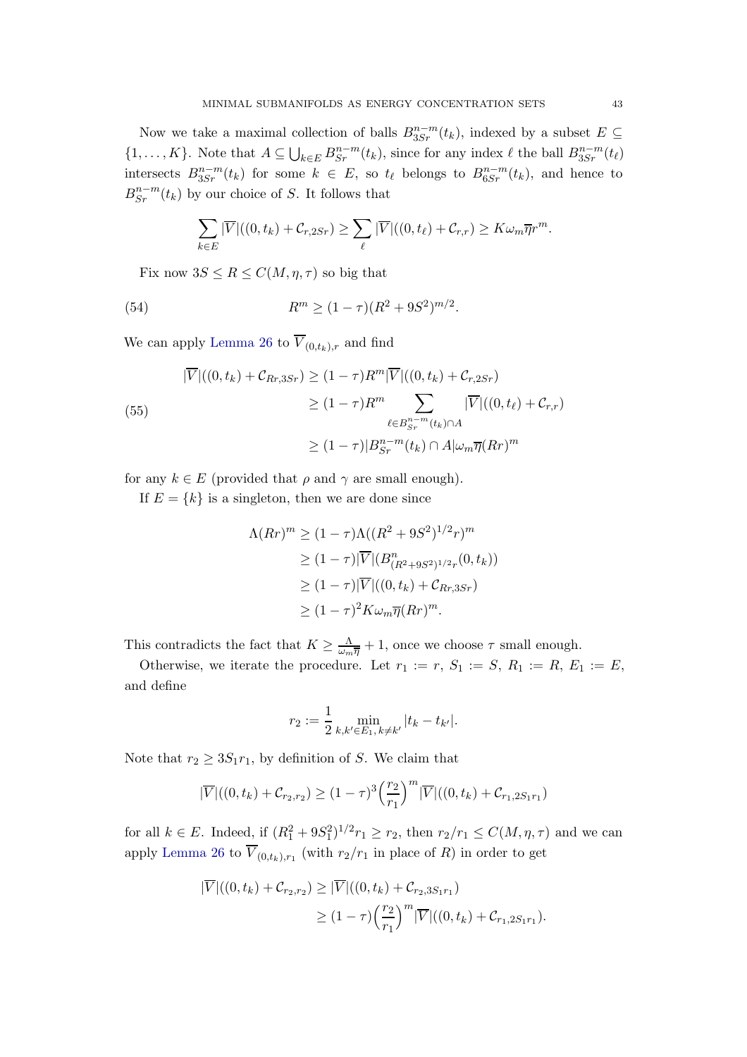Now we take a maximal collection of balls  $B_{3Sr}^{n-m}(t_k)$ , indexed by a subset  $E \subseteq$  $\{1,\ldots,K\}$ . Note that  $A \subseteq \bigcup_{k \in E} B^{n-m}_{Sr}(t_k)$ , since for any index  $\ell$  the ball  $B^{n-m}_{3Sr}(t_\ell)$ intersects  $B_{3Sr}^{n-m}(t_k)$  for some  $k \in E$ , so  $t_\ell$  belongs to  $B_{6Sr}^{n-m}(t_k)$ , and hence to  $B_{Sr}^{n-m}(t_k)$  by our choice of S. It follows that

$$
\sum_{k\in E} |\overline{V}|((0,t_k)+C_{r,2Sr}) \geq \sum_{\ell} |\overline{V}|((0,t_{\ell})+C_{r,r}) \geq K\omega_m \overline{\eta}r^m.
$$

Fix now  $3S \leq R \leq C(M, \eta, \tau)$  so big that

<span id="page-42-0"></span>(54) 
$$
R^m \ge (1 - \tau)(R^2 + 9S^2)^{m/2}.
$$

We can apply [Lemma 26](#page-39-2) to  $\overline{V}_{(0,t_k),r}$  and find

<span id="page-42-1"></span>(55)  
\n
$$
|\overline{V}|((0, t_k) + C_{Rr,3Sr}) \ge (1 - \tau)R^m |\overline{V}|((0, t_k) + C_{r,2Sr})
$$
\n
$$
\ge (1 - \tau)R^m \sum_{\ell \in B^{n-m}_{sr}(t_k) \cap A} |\overline{V}|((0, t_{\ell}) + C_{r,r})
$$
\n
$$
\ge (1 - \tau)|B^{n-m}_{Sr}(t_k) \cap A| \omega_m \overline{\eta}(Rr)^m
$$

for any  $k \in E$  (provided that  $\rho$  and  $\gamma$  are small enough).

If  $E = \{k\}$  is a singleton, then we are done since

$$
\Lambda(Rr)^m \ge (1 - \tau) \Lambda((R^2 + 9S^2)^{1/2}r)^m
$$
  
\n
$$
\ge (1 - \tau) |\overline{V}| (B_{(R^2 + 9S^2)^{1/2}r}^n(0, t_k))
$$
  
\n
$$
\ge (1 - \tau) |\overline{V}| ((0, t_k) + C_{Rr, 3Sr})
$$
  
\n
$$
\ge (1 - \tau)^2 K \omega_m \overline{\eta}(Rr)^m.
$$

This contradicts the fact that  $K \geq \frac{\Lambda}{\omega_m \overline{\eta}} + 1$ , once we choose  $\tau$  small enough.

Otherwise, we iterate the procedure. Let  $r_1 := r, S_1 := S, R_1 := R, E_1 := E$ , and define

$$
r_2 := \frac{1}{2} \min_{k, k' \in E_1, k \neq k'} |t_k - t_{k'}|.
$$

Note that  $r_2 \geq 3S_1r_1$ , by definition of S. We claim that

$$
|\overline{V}|((0, t_k) + C_{r_2, r_2}) \ge (1 - \tau)^3 \left(\frac{r_2}{r_1}\right)^m |\overline{V}|((0, t_k) + C_{r_1, 2S_1 r_1})
$$

for all  $k \in E$ . Indeed, if  $(R_1^2 + 9S_1^2)^{1/2} r_1 \ge r_2$ , then  $r_2/r_1 \le C(M, \eta, \tau)$  and we can apply [Lemma 26](#page-39-2) to  $V_{(0,t_k),r_1}$  (with  $r_2/r_1$  in place of R) in order to get

$$
|\overline{V}|((0, t_k) + C_{r_2, r_2}) \geq |\overline{V}|((0, t_k) + C_{r_2, 3S_1 r_1})
$$
  
\n
$$
\geq (1 - \tau) \left(\frac{r_2}{r_1}\right)^m |\overline{V}|((0, t_k) + C_{r_1, 2S_1 r_1}).
$$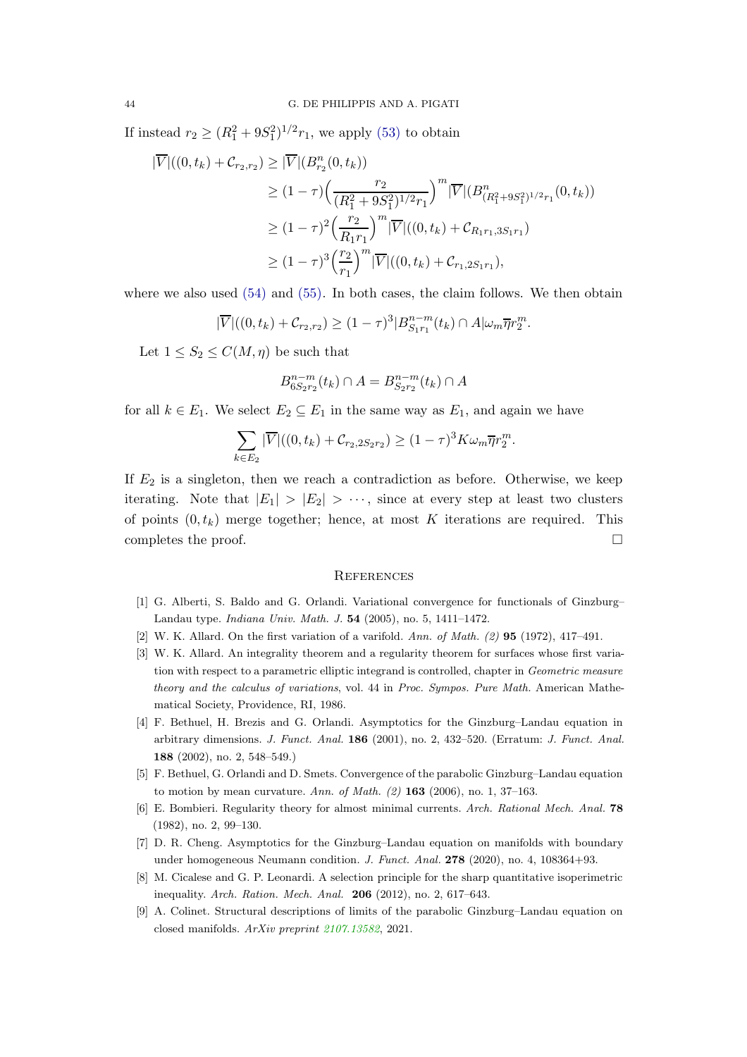If instead  $r_2 \ge (R_1^2 + 9S_1^2)^{1/2} r_1$ , we apply [\(53\)](#page-40-1) to obtain

$$
|\overline{V}|((0, t_k) + C_{r_2, r_2}) \geq |\overline{V}|(B_{r_2}^n(0, t_k))
$$
  
\n
$$
\geq (1 - \tau) \Big(\frac{r_2}{(R_1^2 + 9S_1^2)^{1/2}r_1}\Big)^m |\overline{V}|(B_{(R_1^2 + 9S_1^2)^{1/2}r_1}^n(0, t_k))
$$
  
\n
$$
\geq (1 - \tau)^2 \Big(\frac{r_2}{R_1 r_1}\Big)^m |\overline{V}|((0, t_k) + C_{R_1 r_1, 3S_1 r_1})
$$
  
\n
$$
\geq (1 - \tau)^3 \Big(\frac{r_2}{r_1}\Big)^m |\overline{V}|((0, t_k) + C_{r_1, 2S_1 r_1}),
$$

where we also used  $(54)$  and  $(55)$ . In both cases, the claim follows. We then obtain

$$
|\overline{V}|((0,t_k)+\mathcal{C}_{r_2,r_2}) \ge (1-\tau)^3 |B^{n-m}_{S_1r_1}(t_k) \cap A|\omega_m \overline{\eta}r_2^m.
$$

Let  $1 \leq S_2 \leq C(M, \eta)$  be such that

$$
B_{6S_2r_2}^{n-m}(t_k) \cap A = B_{S_2r_2}^{n-m}(t_k) \cap A
$$

for all  $k \in E_1$ . We select  $E_2 \subseteq E_1$  in the same way as  $E_1$ , and again we have

$$
\sum_{k \in E_2} |\overline{V}|((0, t_k) + C_{r_2, 2S_2r_2}) \ge (1 - \tau)^3 K \omega_m \overline{\eta} r_2^m.
$$

If  $E_2$  is a singleton, then we reach a contradiction as before. Otherwise, we keep iterating. Note that  $|E_1| > |E_2| > \cdots$ , since at every step at least two clusters of points  $(0, t_k)$  merge together; hence, at most K iterations are required. This completes the proof.  $\Box$ 

### <span id="page-43-0"></span>**REFERENCES**

- <span id="page-43-6"></span><span id="page-43-2"></span>[1] G. Alberti, S. Baldo and G. Orlandi. Variational convergence for functionals of Ginzburg– Landau type. Indiana Univ. Math. J. 54 (2005), no. 5, 1411–1472.
- <span id="page-43-9"></span>[2] W. K. Allard. On the first variation of a varifold. Ann. of Math.  $(2)$  95 (1972), 417-491.
- [3] W. K. Allard. An integrality theorem and a regularity theorem for surfaces whose first variation with respect to a parametric elliptic integrand is controlled, chapter in Geometric measure theory and the calculus of variations, vol. 44 in Proc. Sympos. Pure Math. American Mathematical Society, Providence, RI, 1986.
- <span id="page-43-1"></span>[4] F. Bethuel, H. Brezis and G. Orlandi. Asymptotics for the Ginzburg–Landau equation in arbitrary dimensions. J. Funct. Anal. 186 (2001), no. 2, 432–520. (Erratum: J. Funct. Anal. 188 (2002), no. 2, 548–549.)
- <span id="page-43-8"></span><span id="page-43-4"></span>[5] F. Bethuel, G. Orlandi and D. Smets. Convergence of the parabolic Ginzburg–Landau equation to motion by mean curvature. Ann. of Math.  $(2)$  163 (2006), no. 1, 37–163.
- <span id="page-43-3"></span>[6] E. Bombieri. Regularity theory for almost minimal currents. Arch. Rational Mech. Anal. 78 (1982), no. 2, 99–130.
- <span id="page-43-7"></span>[7] D. R. Cheng. Asymptotics for the Ginzburg–Landau equation on manifolds with boundary under homogeneous Neumann condition. J. Funct. Anal.  $278$  (2020), no. 4, 108364+93.
- <span id="page-43-5"></span>[8] M. Cicalese and G. P. Leonardi. A selection principle for the sharp quantitative isoperimetric inequality. Arch. Ration. Mech. Anal. 206 (2012), no. 2, 617–643.
- [9] A. Colinet. Structural descriptions of limits of the parabolic Ginzburg–Landau equation on closed manifolds. ArXiv preprint [2107.13582](https://arxiv.org/abs/2107.13582), 2021.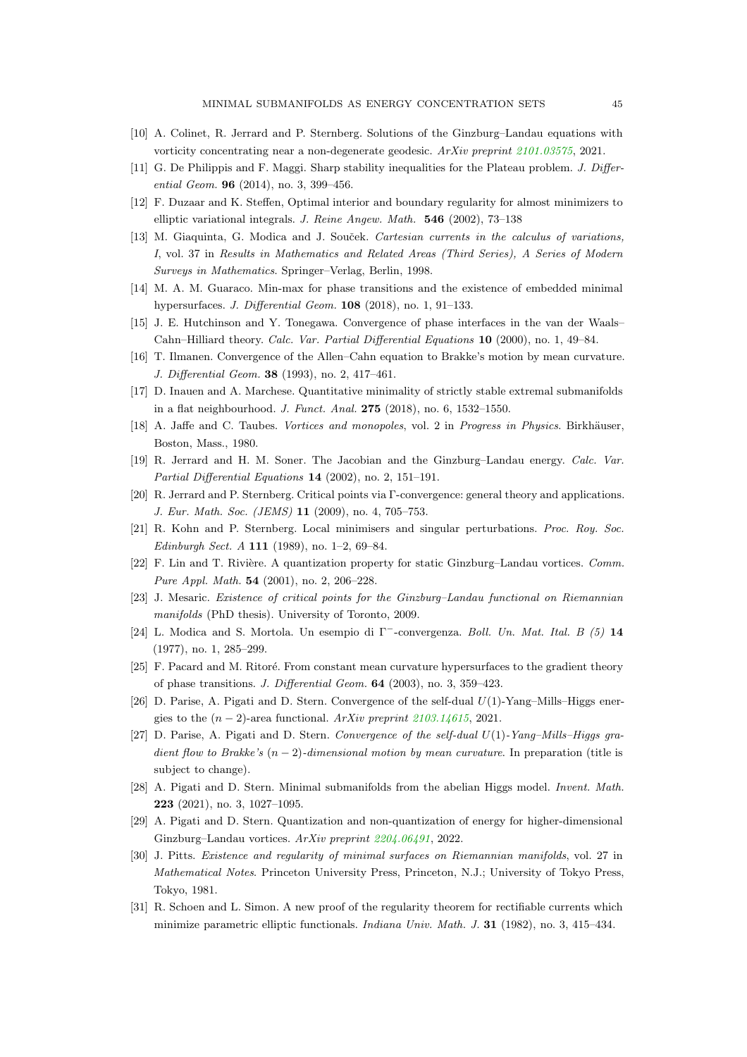- <span id="page-44-18"></span><span id="page-44-1"></span>[10] A. Colinet, R. Jerrard and P. Sternberg. Solutions of the Ginzburg–Landau equations with vorticity concentrating near a non-degenerate geodesic. ArXiv preprint [2101.03575](https://arxiv.org/abs/2101.03575), 2021.
- <span id="page-44-20"></span>[11] G. De Philippis and F. Maggi. Sharp stability inequalities for the Plateau problem. J. Differential Geom. **96** (2014), no. 3, 399-456.
- <span id="page-44-15"></span>[12] F. Duzaar and K. Steffen, Optimal interior and boundary regularity for almost minimizers to elliptic variational integrals. J. Reine Angew. Math. 546 (2002), 73–138
- [13] M. Giaquinta, G. Modica and J. Souček. Cartesian currents in the calculus of variations, I, vol. 37 in Results in Mathematics and Related Areas (Third Series), A Series of Modern Surveys in Mathematics. Springer–Verlag, Berlin, 1998.
- <span id="page-44-5"></span><span id="page-44-4"></span>[14] M. A. M. Guaraco. Min-max for phase transitions and the existence of embedded minimal hypersurfaces. J. Differential Geom. 108 (2018), no. 1, 91–133.
- <span id="page-44-10"></span>[15] J. E. Hutchinson and Y. Tonegawa. Convergence of phase interfaces in the van der Waals– Cahn–Hilliard theory. Calc. Var. Partial Differential Equations 10 (2000), no. 1, 49–84.
- <span id="page-44-19"></span>[16] T. Ilmanen. Convergence of the Allen–Cahn equation to Brakke's motion by mean curvature. J. Differential Geom. 38 (1993), no. 2, 417–461.
- <span id="page-44-17"></span>[17] D. Inauen and A. Marchese. Quantitative minimality of strictly stable extremal submanifolds in a flat neighbourhood. J. Funct. Anal. 275 (2018), no. 6, 1532–1550.
- <span id="page-44-7"></span>[18] A. Jaffe and C. Taubes. Vortices and monopoles, vol. 2 in Progress in Physics. Birkhäuser, Boston, Mass., 1980.
- <span id="page-44-0"></span>[19] R. Jerrard and H. M. Soner. The Jacobian and the Ginzburg–Landau energy. Calc. Var. Partial Differential Equations 14 (2002), no. 2, 151–191.
- <span id="page-44-12"></span>[20] R. Jerrard and P. Sternberg. Critical points via Γ-convergence: general theory and applications. J. Eur. Math. Soc. (JEMS) 11 (2009), no. 4, 705–753.
- <span id="page-44-6"></span>[21] R. Kohn and P. Sternberg. Local minimisers and singular perturbations. Proc. Roy. Soc. Edinburgh Sect. A 111 (1989), no. 1–2, 69–84.
- <span id="page-44-16"></span>[22] F. Lin and T. Rivière. A quantization property for static Ginzburg–Landau vortices. Comm. Pure Appl. Math. **54** (2001), no. 2, 206-228.
- <span id="page-44-3"></span>[23] J. Mesaric. Existence of critical points for the Ginzburg–Landau functional on Riemannian manifolds (PhD thesis). University of Toronto, 2009.
- <span id="page-44-13"></span>[24] L. Modica and S. Mortola. Un esempio di Γ<sup>−</sup>-convergenza. Boll. Un. Mat. Ital. B (5) 14 (1977), no. 1, 285–299.
- <span id="page-44-9"></span>[25] F. Pacard and M. Ritoré. From constant mean curvature hypersurfaces to the gradient theory of phase transitions. J. Differential Geom. 64 (2003), no. 3, 359–423.
- <span id="page-44-11"></span>[26] D. Parise, A. Pigati and D. Stern. Convergence of the self-dual  $U(1)$ -Yang–Mills–Higgs energies to the  $(n-2)$ -area functional. ArXiv preprint [2103.14615](https://arxiv.org/abs/2103.14615), 2021.
- [27] D. Parise, A. Pigati and D. Stern. Convergence of the self-dual  $U(1)$ -Yang–Mills–Higgs gradient flow to Brakke's  $(n-2)$ -dimensional motion by mean curvature. In preparation (title is subject to change).
- <span id="page-44-14"></span><span id="page-44-8"></span>[28] A. Pigati and D. Stern. Minimal submanifolds from the abelian Higgs model. Invent. Math. 223 (2021), no. 3, 1027–1095.
- <span id="page-44-2"></span>[29] A. Pigati and D. Stern. Quantization and non-quantization of energy for higher-dimensional Ginzburg–Landau vortices. ArXiv preprint [2204.06491](https://arxiv.org/abs/2204.06491), 2022.
- [30] J. Pitts. Existence and regularity of minimal surfaces on Riemannian manifolds, vol. 27 in Mathematical Notes. Princeton University Press, Princeton, N.J.; University of Tokyo Press, Tokyo, 1981.
- <span id="page-44-21"></span>[31] R. Schoen and L. Simon. A new proof of the regularity theorem for rectifiable currents which minimize parametric elliptic functionals. Indiana Univ. Math. J. 31 (1982), no. 3, 415–434.